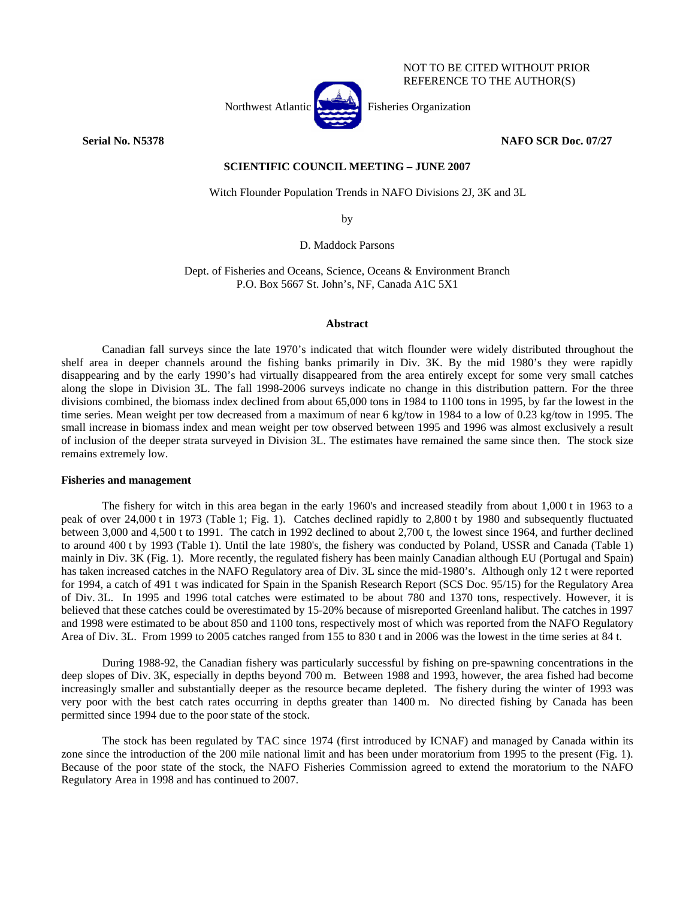

REFERENCE TO THE AUTHOR(S)

NOT TO BE CITED WITHOUT PRIOR

**Serial No. N5378 NAFO SCR Doc. 07/27** 

# **SCIENTIFIC COUNCIL MEETING – JUNE 2007**

Witch Flounder Population Trends in NAFO Divisions 2J, 3K and 3L

by

D. Maddock Parsons

Dept. of Fisheries and Oceans, Science, Oceans & Environment Branch P.O. Box 5667 St. John's, NF, Canada A1C 5X1

#### **Abstract**

Canadian fall surveys since the late 1970's indicated that witch flounder were widely distributed throughout the shelf area in deeper channels around the fishing banks primarily in Div. 3K. By the mid 1980's they were rapidly disappearing and by the early 1990's had virtually disappeared from the area entirely except for some very small catches along the slope in Division 3L. The fall 1998-2006 surveys indicate no change in this distribution pattern. For the three divisions combined, the biomass index declined from about 65,000 tons in 1984 to 1100 tons in 1995, by far the lowest in the time series. Mean weight per tow decreased from a maximum of near 6 kg/tow in 1984 to a low of 0.23 kg/tow in 1995. The small increase in biomass index and mean weight per tow observed between 1995 and 1996 was almost exclusively a result of inclusion of the deeper strata surveyed in Division 3L. The estimates have remained the same since then. The stock size remains extremely low.

## **Fisheries and management**

 The fishery for witch in this area began in the early 1960's and increased steadily from about 1,000 t in 1963 to a peak of over 24,000 t in 1973 (Table 1; Fig. 1). Catches declined rapidly to 2,800 t by 1980 and subsequently fluctuated between 3,000 and 4,500 t to 1991. The catch in 1992 declined to about 2,700 t, the lowest since 1964, and further declined to around 400 t by 1993 (Table 1). Until the late 1980's, the fishery was conducted by Poland, USSR and Canada (Table 1) mainly in Div. 3K (Fig. 1). More recently, the regulated fishery has been mainly Canadian although EU (Portugal and Spain) has taken increased catches in the NAFO Regulatory area of Div. 3L since the mid-1980's. Although only 12 t were reported for 1994, a catch of 491 t was indicated for Spain in the Spanish Research Report (SCS Doc. 95/15) for the Regulatory Area of Div. 3L. In 1995 and 1996 total catches were estimated to be about 780 and 1370 tons, respectively. However, it is believed that these catches could be overestimated by 15-20% because of misreported Greenland halibut. The catches in 1997 and 1998 were estimated to be about 850 and 1100 tons, respectively most of which was reported from the NAFO Regulatory Area of Div. 3L. From 1999 to 2005 catches ranged from 155 to 830 t and in 2006 was the lowest in the time series at 84 t.

 During 1988-92, the Canadian fishery was particularly successful by fishing on pre-spawning concentrations in the deep slopes of Div. 3K, especially in depths beyond 700 m. Between 1988 and 1993, however, the area fished had become increasingly smaller and substantially deeper as the resource became depleted. The fishery during the winter of 1993 was very poor with the best catch rates occurring in depths greater than 1400 m. No directed fishing by Canada has been permitted since 1994 due to the poor state of the stock.

The stock has been regulated by TAC since 1974 (first introduced by ICNAF) and managed by Canada within its zone since the introduction of the 200 mile national limit and has been under moratorium from 1995 to the present (Fig. 1). Because of the poor state of the stock, the NAFO Fisheries Commission agreed to extend the moratorium to the NAFO Regulatory Area in 1998 and has continued to 2007.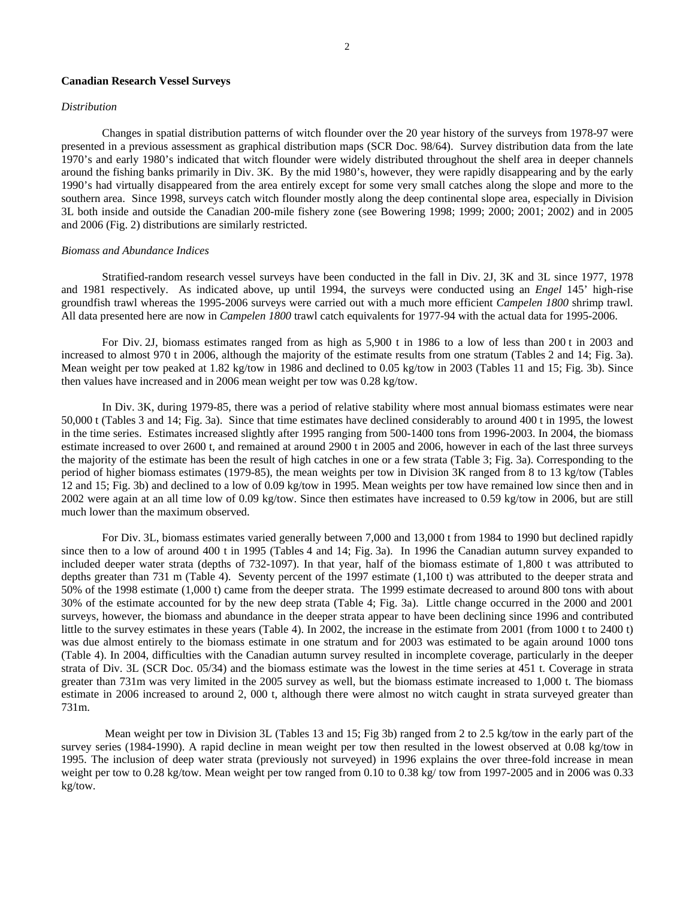# **Canadian Research Vessel Surveys**

# *Distribution*

Changes in spatial distribution patterns of witch flounder over the 20 year history of the surveys from 1978-97 were presented in a previous assessment as graphical distribution maps (SCR Doc. 98/64). Survey distribution data from the late 1970's and early 1980's indicated that witch flounder were widely distributed throughout the shelf area in deeper channels around the fishing banks primarily in Div. 3K. By the mid 1980's, however, they were rapidly disappearing and by the early 1990's had virtually disappeared from the area entirely except for some very small catches along the slope and more to the southern area. Since 1998, surveys catch witch flounder mostly along the deep continental slope area, especially in Division 3L both inside and outside the Canadian 200-mile fishery zone (see Bowering 1998; 1999; 2000; 2001; 2002) and in 2005 and 2006 (Fig. 2) distributions are similarly restricted.

#### *Biomass and Abundance Indices*

 Stratified-random research vessel surveys have been conducted in the fall in Div. 2J, 3K and 3L since 1977, 1978 and 1981 respectively. As indicated above, up until 1994, the surveys were conducted using an *Engel* 145' high-rise groundfish trawl whereas the 1995-2006 surveys were carried out with a much more efficient *Campelen 1800* shrimp trawl. All data presented here are now in *Campelen 1800* trawl catch equivalents for 1977-94 with the actual data for 1995-2006.

For Div. 2J, biomass estimates ranged from as high as 5,900 t in 1986 to a low of less than 200 t in 2003 and increased to almost 970 t in 2006, although the majority of the estimate results from one stratum (Tables 2 and 14; Fig. 3a). Mean weight per tow peaked at 1.82 kg/tow in 1986 and declined to 0.05 kg/tow in 2003 (Tables 11 and 15; Fig. 3b). Since then values have increased and in 2006 mean weight per tow was 0.28 kg/tow.

In Div. 3K, during 1979-85, there was a period of relative stability where most annual biomass estimates were near 50,000 t (Tables 3 and 14; Fig. 3a). Since that time estimates have declined considerably to around 400 t in 1995, the lowest in the time series. Estimates increased slightly after 1995 ranging from 500-1400 tons from 1996-2003. In 2004, the biomass estimate increased to over 2600 t, and remained at around 2900 t in 2005 and 2006, however in each of the last three surveys the majority of the estimate has been the result of high catches in one or a few strata (Table 3; Fig. 3a). Corresponding to the period of higher biomass estimates (1979-85), the mean weights per tow in Division 3K ranged from 8 to 13 kg/tow (Tables 12 and 15; Fig. 3b) and declined to a low of 0.09 kg/tow in 1995. Mean weights per tow have remained low since then and in 2002 were again at an all time low of 0.09 kg/tow. Since then estimates have increased to 0.59 kg/tow in 2006, but are still much lower than the maximum observed.

For Div. 3L, biomass estimates varied generally between 7,000 and 13,000 t from 1984 to 1990 but declined rapidly since then to a low of around 400 t in 1995 (Tables 4 and 14; Fig. 3a). In 1996 the Canadian autumn survey expanded to included deeper water strata (depths of 732-1097). In that year, half of the biomass estimate of 1,800 t was attributed to depths greater than 731 m (Table 4). Seventy percent of the 1997 estimate (1,100 t) was attributed to the deeper strata and 50% of the 1998 estimate (1,000 t) came from the deeper strata. The 1999 estimate decreased to around 800 tons with about 30% of the estimate accounted for by the new deep strata (Table 4; Fig. 3a). Little change occurred in the 2000 and 2001 surveys, however, the biomass and abundance in the deeper strata appear to have been declining since 1996 and contributed little to the survey estimates in these years (Table 4). In 2002, the increase in the estimate from 2001 (from 1000 t to 2400 t) was due almost entirely to the biomass estimate in one stratum and for 2003 was estimated to be again around 1000 tons (Table 4). In 2004, difficulties with the Canadian autumn survey resulted in incomplete coverage, particularly in the deeper strata of Div. 3L (SCR Doc. 05/34) and the biomass estimate was the lowest in the time series at 451 t. Coverage in strata greater than 731m was very limited in the 2005 survey as well, but the biomass estimate increased to 1,000 t. The biomass estimate in 2006 increased to around 2, 000 t, although there were almost no witch caught in strata surveyed greater than 731m.

 Mean weight per tow in Division 3L (Tables 13 and 15; Fig 3b) ranged from 2 to 2.5 kg/tow in the early part of the survey series (1984-1990). A rapid decline in mean weight per tow then resulted in the lowest observed at 0.08 kg/tow in 1995. The inclusion of deep water strata (previously not surveyed) in 1996 explains the over three-fold increase in mean weight per tow to 0.28 kg/tow. Mean weight per tow ranged from 0.10 to 0.38 kg/ tow from 1997-2005 and in 2006 was 0.33 kg/tow.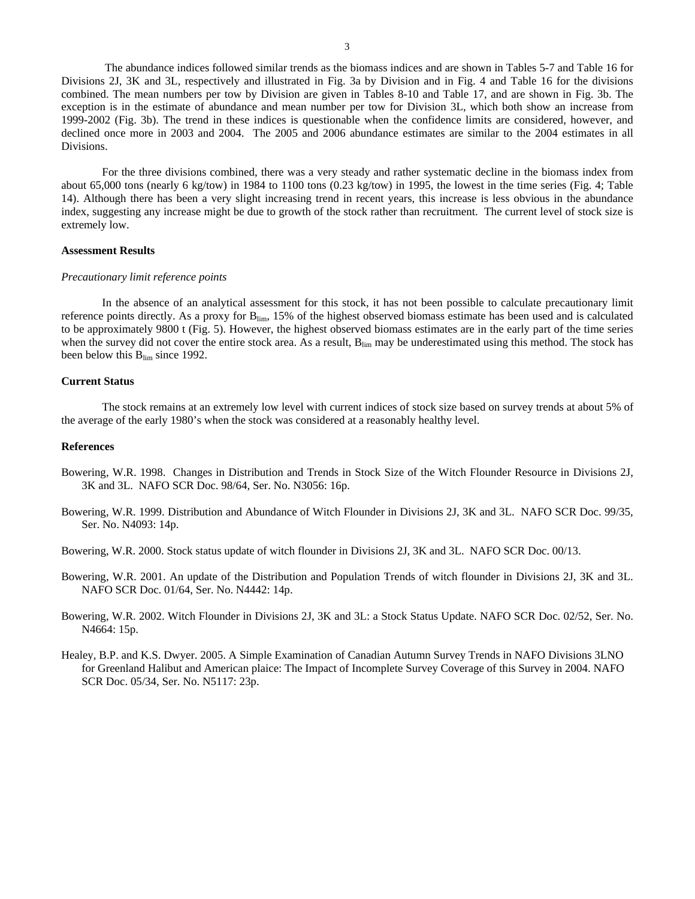The abundance indices followed similar trends as the biomass indices and are shown in Tables 5-7 and Table 16 for Divisions 2J, 3K and 3L, respectively and illustrated in Fig. 3a by Division and in Fig. 4 and Table 16 for the divisions combined. The mean numbers per tow by Division are given in Tables 8-10 and Table 17, and are shown in Fig. 3b. The exception is in the estimate of abundance and mean number per tow for Division 3L, which both show an increase from 1999-2002 (Fig. 3b). The trend in these indices is questionable when the confidence limits are considered, however, and declined once more in 2003 and 2004. The 2005 and 2006 abundance estimates are similar to the 2004 estimates in all Divisions.

For the three divisions combined, there was a very steady and rather systematic decline in the biomass index from about 65,000 tons (nearly 6 kg/tow) in 1984 to 1100 tons (0.23 kg/tow) in 1995, the lowest in the time series (Fig. 4; Table 14). Although there has been a very slight increasing trend in recent years, this increase is less obvious in the abundance index, suggesting any increase might be due to growth of the stock rather than recruitment. The current level of stock size is extremely low.

#### **Assessment Results**

#### *Precautionary limit reference points*

In the absence of an analytical assessment for this stock, it has not been possible to calculate precautionary limit reference points directly. As a proxy for Blim, 15% of the highest observed biomass estimate has been used and is calculated to be approximately 9800 t (Fig. 5). However, the highest observed biomass estimates are in the early part of the time series when the survey did not cover the entire stock area. As a result,  $B_{\text{lim}}$  may be underestimated using this method. The stock has been below this  $B_{\text{lim}}$  since 1992.

# **Current Status**

The stock remains at an extremely low level with current indices of stock size based on survey trends at about 5% of the average of the early 1980's when the stock was considered at a reasonably healthy level.

### **References**

- Bowering, W.R. 1998. Changes in Distribution and Trends in Stock Size of the Witch Flounder Resource in Divisions 2J, 3K and 3L. NAFO SCR Doc. 98/64, Ser. No. N3056: 16p.
- Bowering, W.R. 1999. Distribution and Abundance of Witch Flounder in Divisions 2J, 3K and 3L. NAFO SCR Doc. 99/35, Ser. No. N4093: 14p.
- Bowering, W.R. 2000. Stock status update of witch flounder in Divisions 2J, 3K and 3L. NAFO SCR Doc. 00/13.
- Bowering, W.R. 2001. An update of the Distribution and Population Trends of witch flounder in Divisions 2J, 3K and 3L. NAFO SCR Doc. 01/64, Ser. No. N4442: 14p.
- Bowering, W.R. 2002. Witch Flounder in Divisions 2J, 3K and 3L: a Stock Status Update. NAFO SCR Doc. 02/52, Ser. No. N4664: 15p.
- Healey, B.P. and K.S. Dwyer. 2005. A Simple Examination of Canadian Autumn Survey Trends in NAFO Divisions 3LNO for Greenland Halibut and American plaice: The Impact of Incomplete Survey Coverage of this Survey in 2004. NAFO SCR Doc. 05/34, Ser. No. N5117: 23p.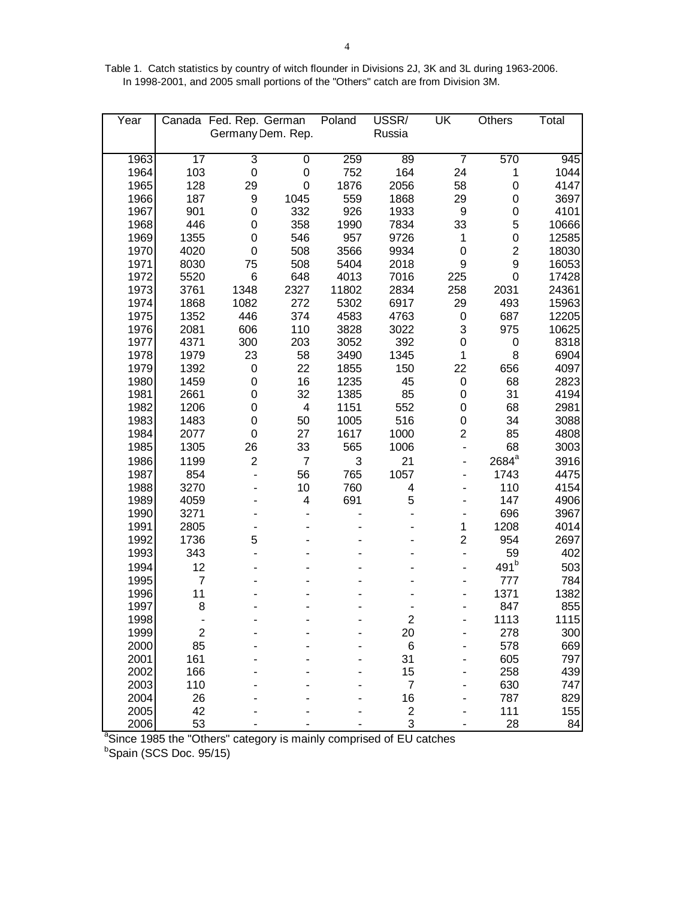Table 1. Catch statistics by country of witch flounder in Divisions 2J, 3K and 3L during 1963-2006. In 1998-2001, and 2005 small portions of the "Others" catch are from Division 3M.

| Year         |                  | Canada Fed. Rep. German |                         | Poland       | USSR/          | UK                           | Others            | Total        |
|--------------|------------------|-------------------------|-------------------------|--------------|----------------|------------------------------|-------------------|--------------|
|              |                  |                         | Germany Dem. Rep.       |              | Russia         |                              |                   |              |
|              |                  |                         |                         |              |                |                              |                   |              |
| 1963         | $\overline{17}$  | 3                       | $\pmb{0}$               | 259          | 89             | $\overline{7}$               | 570               | 945          |
| 1964         | 103              | $\mathbf 0$             | $\mathbf 0$             | 752          | 164            | 24                           | 1                 | 1044         |
| 1965         | 128              | 29                      | 0                       | 1876         | 2056           | 58                           | 0                 | 4147         |
| 1966         | 187              | 9                       | 1045                    | 559          | 1868           | 29                           | 0                 | 3697         |
| 1967         | 901              | 0                       | 332                     | 926          | 1933           | 9                            | 0                 | 4101         |
| 1968         | 446              | 0                       | 358                     | 1990         | 7834           | 33                           | 5                 | 10666        |
| 1969         | 1355             | 0                       | 546                     | 957          | 9726           | 1                            | 0                 | 12585        |
| 1970         | 4020             | 0                       | 508                     | 3566         | 9934           | $\mathbf 0$                  | $\overline{c}$    | 18030        |
| 1971         | 8030             | 75                      | 508                     | 5404         | 2018           | 9                            | 9                 | 16053        |
| 1972         | 5520             | 6                       | 648                     | 4013         | 7016           | 225                          | 0                 | 17428        |
| 1973         | 3761             | 1348                    | 2327                    | 11802        | 2834           | 258                          | 2031              | 24361        |
| 1974         | 1868             | 1082                    | 272                     | 5302         | 6917           | 29                           | 493               | 15963        |
| 1975         | 1352             | 446                     | 374                     | 4583         | 4763           | 0                            | 687               | 12205        |
| 1976<br>1977 | 2081             | 606                     | 110                     | 3828         | 3022           | 3                            | 975               | 10625        |
| 1978         | 4371<br>1979     | 300<br>23               | 203<br>58               | 3052<br>3490 | 392<br>1345    | 0<br>1                       | 0<br>8            | 8318<br>6904 |
| 1979         | 1392             | 0                       | 22                      | 1855         | 150            | 22                           | 656               | 4097         |
| 1980         | 1459             | 0                       | 16                      | 1235         | 45             | $\mathbf 0$                  | 68                | 2823         |
| 1981         | 2661             | 0                       | 32                      | 1385         | 85             | 0                            | 31                | 4194         |
| 1982         | 1206             | 0                       | $\overline{\mathbf{4}}$ | 1151         | 552            | 0                            | 68                | 2981         |
| 1983         | 1483             | 0                       | 50                      | 1005         | 516            | $\mathbf 0$                  | 34                | 3088         |
| 1984         | 2077             | 0                       | 27                      | 1617         | 1000           | $\overline{2}$               | 85                | 4808         |
| 1985         | 1305             | 26                      | 33                      | 565          | 1006           | $\blacksquare$               | 68                | 3003         |
| 1986         | 1199             | $\overline{2}$          | $\overline{7}$          | 3            | 21             |                              | 2684 <sup>a</sup> | 3916         |
| 1987         | 854              |                         | 56                      | 765          | 1057           |                              | 1743              | 4475         |
| 1988         | 3270             |                         | 10                      | 760          | 4              |                              | 110               | 4154         |
| 1989         | 4059             |                         | 4                       | 691          | 5              |                              | 147               | 4906         |
| 1990         | 3271             |                         |                         |              |                |                              | 696               | 3967         |
| 1991         | 2805             |                         |                         |              |                | $\mathbf 1$                  | 1208              | 4014         |
| 1992         | 1736             | 5                       |                         |              |                | $\overline{2}$               | 954               | 2697         |
| 1993         | 343              |                         |                         |              |                | $\qquad \qquad \blacksquare$ | 59                | 402          |
| 1994         | 12               |                         |                         |              |                |                              | 491 <sup>b</sup>  | 503          |
| 1995         | $\overline{7}$   |                         |                         |              |                |                              | 777               | 784          |
| 1996         | 11               |                         |                         |              |                |                              | 1371              | 1382         |
| 1997         | 8                |                         |                         |              |                |                              | 847               | 855          |
| 1998         |                  |                         |                         |              | 2              |                              | 1113              | <b>1115</b>  |
| 1999         | $\boldsymbol{2}$ |                         |                         |              | 20             |                              | 278               | 300          |
| 2000         | 85               |                         |                         |              | $\,6$          |                              | 578               | 669          |
| 2001         | 161              |                         |                         |              | 31             |                              | 605               | 797          |
| 2002         | 166              |                         |                         |              | 15             |                              | 258               | 439          |
| 2003         | 110              |                         |                         |              | $\overline{7}$ |                              | 630               | 747          |
| 2004         | 26               |                         |                         |              | 16             |                              | 787               | 829          |
| 2005         | 42               |                         |                         |              | $\sqrt{2}$     |                              | 111               | 155          |
| 2006         | 53               |                         |                         |              | 3              |                              | 28                | 84           |

2006 53 - - - 3 - 3 - 28 84<br>
<sup>a</sup>Since 1985 the "Others" category is mainly comprised of EU catches<br><sup>b</sup>Spain (SCS Doc. 95/15)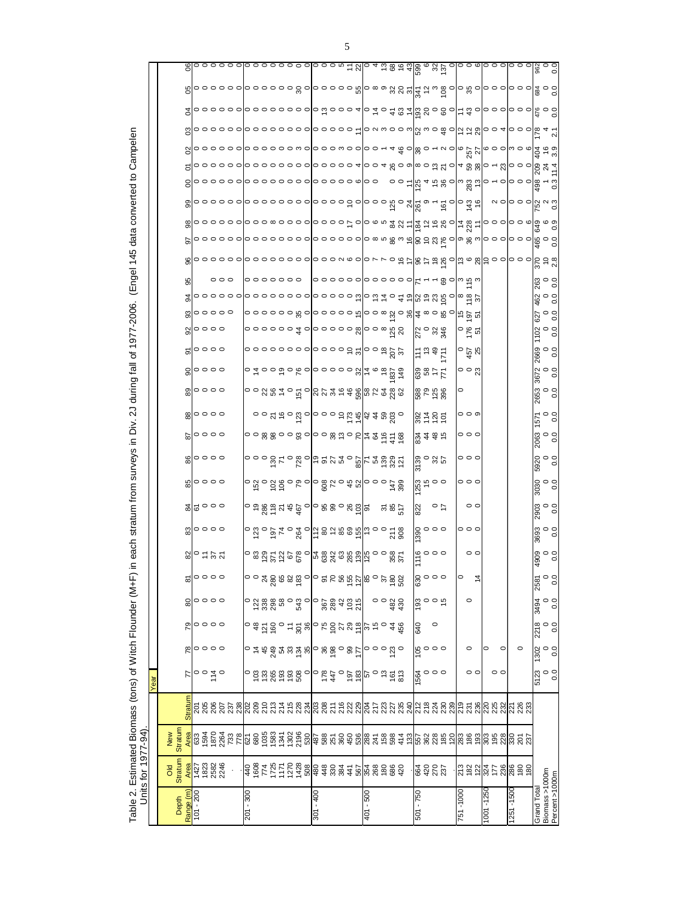| Table 2. Estimated Biomass (tons) of Witch Flounder (M+F) in | Units for 1977-94)                      |                       |         |                               |                                                                                                                                                                                                                                                                                                                     |                                                                                                                                                                                                                                                                                                                          |                                                                                                                                                                                                                                                                                                                  |               |                                                                                                     | each.                     |                                             |                                                                       | stratum from surveys in               |                                     | Š.                                                                                                       | 2J during fall of 1977-2006.                                                                                                             |                         |                        |                                          |                                                      |                     | (Engel 145 |   | data converted to                                                                     |                                                                            |                                       | Campelen |                                                               |                                                                          |                                                                                  |                                                                                           |
|--------------------------------------------------------------|-----------------------------------------|-----------------------|---------|-------------------------------|---------------------------------------------------------------------------------------------------------------------------------------------------------------------------------------------------------------------------------------------------------------------------------------------------------------------|--------------------------------------------------------------------------------------------------------------------------------------------------------------------------------------------------------------------------------------------------------------------------------------------------------------------------|------------------------------------------------------------------------------------------------------------------------------------------------------------------------------------------------------------------------------------------------------------------------------------------------------------------|---------------|-----------------------------------------------------------------------------------------------------|---------------------------|---------------------------------------------|-----------------------------------------------------------------------|---------------------------------------|-------------------------------------|----------------------------------------------------------------------------------------------------------|------------------------------------------------------------------------------------------------------------------------------------------|-------------------------|------------------------|------------------------------------------|------------------------------------------------------|---------------------|------------|---|---------------------------------------------------------------------------------------|----------------------------------------------------------------------------|---------------------------------------|----------|---------------------------------------------------------------|--------------------------------------------------------------------------|----------------------------------------------------------------------------------|-------------------------------------------------------------------------------------------|
|                                                              |                                         |                       |         |                               |                                                                                                                                                                                                                                                                                                                     |                                                                                                                                                                                                                                                                                                                          |                                                                                                                                                                                                                                                                                                                  |               |                                                                                                     |                           |                                             |                                                                       |                                       |                                     |                                                                                                          |                                                                                                                                          |                         |                        |                                          |                                                      |                     |            |   |                                                                                       |                                                                            |                                       |          |                                                               |                                                                          |                                                                                  |                                                                                           |
|                                                              |                                         |                       |         | Year                          |                                                                                                                                                                                                                                                                                                                     |                                                                                                                                                                                                                                                                                                                          |                                                                                                                                                                                                                                                                                                                  |               |                                                                                                     |                           |                                             |                                                                       |                                       |                                     |                                                                                                          |                                                                                                                                          |                         |                        |                                          |                                                      |                     |            |   |                                                                                       |                                                                            |                                       |          |                                                               |                                                                          |                                                                                  |                                                                                           |
| Depth                                                        | Stratum<br>$\overline{d}$               | <b>Stratum</b><br>New |         |                               |                                                                                                                                                                                                                                                                                                                     |                                                                                                                                                                                                                                                                                                                          |                                                                                                                                                                                                                                                                                                                  |               |                                                                                                     |                           |                                             |                                                                       |                                       |                                     |                                                                                                          |                                                                                                                                          |                         |                        |                                          |                                                      |                     |            |   |                                                                                       |                                                                            |                                       |          |                                                               |                                                                          |                                                                                  |                                                                                           |
| Range (m)                                                    | Area                                    |                       | Stratun | 77                            | ಜಿ                                                                                                                                                                                                                                                                                                                  | $\overline{51}$                                                                                                                                                                                                                                                                                                          | 80                                                                                                                                                                                                                                                                                                               | ౚ             |                                                                                                     |                           |                                             |                                                                       |                                       |                                     |                                                                                                          |                                                                                                                                          |                         |                        |                                          |                                                      |                     |            | 5 |                                                                                       |                                                                            |                                       |          |                                                               |                                                                          |                                                                                  |                                                                                           |
| 101 - 200                                                    |                                         |                       |         |                               |                                                                                                                                                                                                                                                                                                                     |                                                                                                                                                                                                                                                                                                                          |                                                                                                                                                                                                                                                                                                                  |               | 8,│○ 는 ½ ½                                                                                          | စ္ <mark></mark> ျာ ၁ ၁ ၁ | $\frac{8}{4}$ $\frac{6}{2}$ 000             | ၑျွာဝဝဝ                                                               | $\frac{6}{6}$ $\circ$ $\circ$ $\circ$ | $\frac{6}{8}$  0000                 |                                                                                                          | $\frac{1}{20}$ $\circ$ $\circ$ $\circ$                                                                                                   | $8$ $\circ \circ \circ$ | 20000                  | $\%$                                     |                                                      |                     |            |   |                                                                                       |                                                                            |                                       |          |                                                               |                                                                          |                                                                                  |                                                                                           |
|                                                              |                                         |                       |         |                               |                                                                                                                                                                                                                                                                                                                     |                                                                                                                                                                                                                                                                                                                          |                                                                                                                                                                                                                                                                                                                  |               |                                                                                                     |                           |                                             |                                                                       |                                       |                                     |                                                                                                          |                                                                                                                                          |                         |                        |                                          |                                                      |                     |            |   |                                                                                       |                                                                            |                                       |          |                                                               |                                                                          |                                                                                  |                                                                                           |
|                                                              | 7<br>23<br>28<br>28<br>28<br>28<br>28   |                       |         | $\circ$ $\frac{1}{4}$ $\circ$ | 。。。                                                                                                                                                                                                                                                                                                                 | 。。。                                                                                                                                                                                                                                                                                                                      | <b>000</b>                                                                                                                                                                                                                                                                                                       | 。。。           |                                                                                                     |                           |                                             |                                                                       |                                       |                                     |                                                                                                          |                                                                                                                                          |                         |                        |                                          | 00000                                                |                     |            |   |                                                                                       |                                                                            |                                       |          |                                                               |                                                                          |                                                                                  |                                                                                           |
|                                                              |                                         |                       |         |                               |                                                                                                                                                                                                                                                                                                                     |                                                                                                                                                                                                                                                                                                                          |                                                                                                                                                                                                                                                                                                                  |               |                                                                                                     |                           |                                             |                                                                       |                                       |                                     |                                                                                                          |                                                                                                                                          |                         |                        |                                          |                                                      |                     |            |   |                                                                                       |                                                                            |                                       |          |                                                               |                                                                          |                                                                                  |                                                                                           |
|                                                              |                                         |                       |         |                               |                                                                                                                                                                                                                                                                                                                     |                                                                                                                                                                                                                                                                                                                          |                                                                                                                                                                                                                                                                                                                  |               |                                                                                                     |                           |                                             |                                                                       |                                       |                                     |                                                                                                          |                                                                                                                                          |                         |                        |                                          |                                                      | $\circ \circ \circ$ |            |   | ႜၜ <mark>ႜ</mark> ၜၜၜၜၜ႞ၜၣၜႜၜၜၜၜ႞ၜၜၜၣၣၜ႞ၜႜၜႜၓၟၛႜႃ႞ႍႜၛၟႍႜႜႜႜႍႜႜၛၟႜႜႜႜႜႜႜၛႜႜၣၜၜ႞ၜၜႜၛၜၞၜ | ၜ <mark>ႜ</mark> ၜၣၜၜၜၜၜၜၜၜၜၜၜၜၜၜၜၜၣၜၣၜၣၜၜၛၟၜႜၛႜၛၙႜၜ <u>ႜၟၜ</u> ၟၜႝၜၛၟႍၜႍႜ | 000000 <mark>00000000000000</mark> 00 |          | ۵ ၀၀၀၀၀ ၀၀၀၀၀၀၀ ၀၀၀၀၀  ၀۸၈၀၀၈  ႘၈၀ၛႍဝပ္ရြက္ရွစ္ပါဝ၀၀  ၒၟ + ္ဂ | <u>န္</u> ၀ြဝဝဝဝဝဝဝဝဝဝဝဝဝဝဝဝဝ (၁ အမြန္မာ အေနအြဲ ၁ အဝါး အီဝါဝဝဝဝဝ ဝါအီဝဝိ | စ္ပြဲ ၁၀၀၀၀၀၀၀၀၀၀၀ ေတြ ၁၀၀၀ ဖို့တြဲ စစ္တဲ့ မွ မွန္ကြဲ မွ ေတြ မွာ ၀၀၀၀၀၀၀ ေနာ္ပတ္ | ၜႝႝၣဝဝဝဝဝဝဝဝဝဝဝဝဝဝဝဝဝ အငည်းပြ 4 ထံ အမံ အဖြစ် မည် ၁၀ဝဝဝဝဝ အမြင် ၁၀<br>အခြာဝဝဝဝဝဝဝဝဝဝဝဝဝဝဝဝ |
| 008 - 102                                                    |                                         |                       |         |                               |                                                                                                                                                                                                                                                                                                                     |                                                                                                                                                                                                                                                                                                                          |                                                                                                                                                                                                                                                                                                                  |               |                                                                                                     |                           |                                             |                                                                       |                                       |                                     |                                                                                                          |                                                                                                                                          |                         |                        |                                          |                                                      |                     |            |   |                                                                                       |                                                                            |                                       |          |                                                               |                                                                          |                                                                                  |                                                                                           |
|                                                              |                                         |                       |         |                               |                                                                                                                                                                                                                                                                                                                     |                                                                                                                                                                                                                                                                                                                          |                                                                                                                                                                                                                                                                                                                  |               |                                                                                                     |                           |                                             |                                                                       |                                       |                                     |                                                                                                          |                                                                                                                                          |                         |                        |                                          |                                                      |                     |            |   |                                                                                       |                                                                            |                                       |          |                                                               |                                                                          |                                                                                  |                                                                                           |
|                                                              |                                         |                       |         |                               |                                                                                                                                                                                                                                                                                                                     |                                                                                                                                                                                                                                                                                                                          |                                                                                                                                                                                                                                                                                                                  |               |                                                                                                     |                           |                                             |                                                                       |                                       |                                     |                                                                                                          |                                                                                                                                          |                         |                        |                                          |                                                      |                     |            |   |                                                                                       |                                                                            |                                       |          |                                                               |                                                                          |                                                                                  |                                                                                           |
|                                                              |                                         |                       |         |                               |                                                                                                                                                                                                                                                                                                                     |                                                                                                                                                                                                                                                                                                                          |                                                                                                                                                                                                                                                                                                                  |               |                                                                                                     |                           |                                             |                                                                       |                                       |                                     |                                                                                                          |                                                                                                                                          |                         |                        |                                          |                                                      |                     |            |   |                                                                                       |                                                                            |                                       |          |                                                               |                                                                          |                                                                                  |                                                                                           |
|                                                              | $4884755728884787777777777888847888884$ |                       |         |                               | $\circ$ $\pm$ $\frac{1}{6}$ $\frac{4}{6}$ $\frac{3}{4}$ $\frac{1}{8}$ $\frac{1}{8}$ $\frac{1}{8}$ $\frac{3}{8}$ $\frac{3}{8}$ $\frac{3}{8}$ $\frac{3}{8}$ $\frac{3}{8}$ $\frac{3}{8}$ $\frac{3}{8}$ $\frac{3}{8}$ $\frac{3}{8}$ $\frac{3}{8}$ $\frac{3}{8}$ $\frac{3}{8}$ $\frac{3}{8}$ $\frac{3}{8}$ $\frac{3}{8}$ | $\sim$ $\frac{1}{3}$ $\frac{1}{2}$ $\frac{1}{2}$ $\frac{1}{2}$ $\frac{1}{2}$ $\frac{1}{2}$ $\frac{1}{2}$ $\frac{1}{2}$ $\frac{1}{2}$ $\frac{1}{2}$ $\frac{1}{2}$ $\frac{1}{2}$ $\frac{1}{2}$ $\frac{1}{2}$ $\frac{1}{2}$ $\frac{1}{2}$ $\frac{1}{2}$ $\frac{1}{2}$ $\frac{1}{2}$ $\frac{1}{2}$ $\frac{1}{2}$ $\frac{1}{$ | $\circ$ $\frac{36888}{27330}$ $\circ$ $\frac{360}{27}$ $\circ$ $\frac{360}{27}$ $\circ$ $\frac{360}{27}$ $\circ$ $\frac{360}{27}$ $\circ$ $\frac{360}{27}$ $\circ$ $\frac{360}{27}$ $\circ$ $\frac{360}{27}$ $\circ$ $\frac{360}{27}$ $\circ$ $\frac{360}{27}$ $\circ$ $\frac{360}{27}$ $\circ$ $\frac{360}{27}$ |               | ေ အ ဒ္မ င္က ဒ္က ဌ ေ ျ အ အ ဆု အ ဆု ဆု ေ ေ အ င္က<br>   ေ အ ဒ္မ င္က ဒ္က ဌ ေ ျ အ အ ဆု ဆု ဆု ေ ေ အ င္က ဌ |                           | $\sim$ $\frac{1}{2}$ ေဆြ ေဆြ ေဆြ ေဆြ ေဆြးဆြ | ၀ အံ့ ၀ ခ် ခ် ေ ၆ ၀ ၆ မီ ၆ ၀ ခ် မီ မီ ၆ ၀ ၀ ဉ် ဆိ                     | <b>ooogederder</b>                    | ㅇㅇ ☆ ☆ ㅇㅇ ☆ ㅇ ㅇㅇ ☆ ☆ ㅇ ㅇ ㅊ \$ £ ㅊ ≌ | $\circ \circ \times \pi \circ \overline{\alpha}$ o $\circ \circ \circ \pi \pi$ d $\pi \pi \omega \omega$ | $\circ$ $\circ$ ន ឌ ≈ $\circ$ $\frac{1}{5}$ $\circ$ $\left  \frac{1}{5} \right\rangle$ ន $\frac{1}{3}$ ឌ $\frac{2}{5}$ ឌ $\frac{2}{5}$ ន |                         | 00000000  000000  0000 | ၀၀၀၀၀၀ <del> </del> ၀ ၀၀၀၀၀   ၀၀¤    ဂ္ဂ | 00000080                                             | 0000000             |            |   |                                                                                       |                                                                            |                                       |          |                                                               |                                                                          |                                                                                  |                                                                                           |
|                                                              |                                         |                       |         |                               |                                                                                                                                                                                                                                                                                                                     |                                                                                                                                                                                                                                                                                                                          |                                                                                                                                                                                                                                                                                                                  |               |                                                                                                     |                           |                                             |                                                                       |                                       |                                     |                                                                                                          |                                                                                                                                          |                         |                        |                                          |                                                      |                     |            |   |                                                                                       |                                                                            |                                       |          |                                                               |                                                                          |                                                                                  |                                                                                           |
|                                                              |                                         |                       |         |                               |                                                                                                                                                                                                                                                                                                                     |                                                                                                                                                                                                                                                                                                                          |                                                                                                                                                                                                                                                                                                                  |               |                                                                                                     |                           |                                             |                                                                       |                                       |                                     |                                                                                                          |                                                                                                                                          |                         |                        |                                          |                                                      |                     |            |   |                                                                                       |                                                                            |                                       |          |                                                               |                                                                          |                                                                                  |                                                                                           |
|                                                              |                                         |                       |         |                               |                                                                                                                                                                                                                                                                                                                     |                                                                                                                                                                                                                                                                                                                          |                                                                                                                                                                                                                                                                                                                  |               |                                                                                                     |                           |                                             |                                                                       |                                       |                                     |                                                                                                          |                                                                                                                                          |                         |                        |                                          |                                                      |                     |            |   |                                                                                       |                                                                            |                                       |          |                                                               |                                                                          |                                                                                  |                                                                                           |
|                                                              |                                         |                       |         |                               |                                                                                                                                                                                                                                                                                                                     |                                                                                                                                                                                                                                                                                                                          |                                                                                                                                                                                                                                                                                                                  |               |                                                                                                     |                           |                                             |                                                                       |                                       |                                     |                                                                                                          |                                                                                                                                          |                         |                        |                                          |                                                      |                     |            |   |                                                                                       |                                                                            |                                       |          |                                                               |                                                                          |                                                                                  |                                                                                           |
| 007 - 108                                                    |                                         |                       |         |                               |                                                                                                                                                                                                                                                                                                                     |                                                                                                                                                                                                                                                                                                                          |                                                                                                                                                                                                                                                                                                                  |               |                                                                                                     |                           |                                             |                                                                       |                                       |                                     |                                                                                                          |                                                                                                                                          |                         |                        |                                          |                                                      |                     |            |   |                                                                                       |                                                                            |                                       |          |                                                               |                                                                          |                                                                                  |                                                                                           |
|                                                              |                                         |                       |         |                               |                                                                                                                                                                                                                                                                                                                     |                                                                                                                                                                                                                                                                                                                          |                                                                                                                                                                                                                                                                                                                  |               |                                                                                                     |                           |                                             |                                                                       |                                       |                                     |                                                                                                          |                                                                                                                                          |                         |                        |                                          |                                                      |                     |            |   |                                                                                       |                                                                            |                                       |          |                                                               |                                                                          |                                                                                  |                                                                                           |
|                                                              |                                         |                       |         |                               |                                                                                                                                                                                                                                                                                                                     |                                                                                                                                                                                                                                                                                                                          |                                                                                                                                                                                                                                                                                                                  |               |                                                                                                     |                           |                                             |                                                                       |                                       |                                     |                                                                                                          |                                                                                                                                          |                         |                        |                                          |                                                      |                     |            |   |                                                                                       |                                                                            |                                       |          |                                                               |                                                                          |                                                                                  |                                                                                           |
|                                                              |                                         |                       |         |                               |                                                                                                                                                                                                                                                                                                                     |                                                                                                                                                                                                                                                                                                                          |                                                                                                                                                                                                                                                                                                                  |               |                                                                                                     |                           |                                             |                                                                       |                                       |                                     |                                                                                                          |                                                                                                                                          |                         |                        |                                          |                                                      |                     |            |   |                                                                                       |                                                                            |                                       |          |                                                               |                                                                          |                                                                                  |                                                                                           |
|                                                              |                                         |                       |         |                               |                                                                                                                                                                                                                                                                                                                     |                                                                                                                                                                                                                                                                                                                          |                                                                                                                                                                                                                                                                                                                  |               |                                                                                                     |                           |                                             |                                                                       |                                       |                                     |                                                                                                          |                                                                                                                                          |                         |                        |                                          |                                                      |                     |            |   |                                                                                       |                                                                            |                                       |          |                                                               |                                                                          |                                                                                  |                                                                                           |
|                                                              |                                         |                       |         |                               |                                                                                                                                                                                                                                                                                                                     |                                                                                                                                                                                                                                                                                                                          |                                                                                                                                                                                                                                                                                                                  |               |                                                                                                     |                           |                                             |                                                                       |                                       |                                     |                                                                                                          |                                                                                                                                          |                         |                        |                                          |                                                      |                     |            |   |                                                                                       |                                                                            |                                       |          |                                                               |                                                                          |                                                                                  |                                                                                           |
| 009 - 10                                                     |                                         |                       |         |                               |                                                                                                                                                                                                                                                                                                                     |                                                                                                                                                                                                                                                                                                                          |                                                                                                                                                                                                                                                                                                                  |               |                                                                                                     |                           |                                             |                                                                       |                                       |                                     |                                                                                                          |                                                                                                                                          |                         |                        |                                          |                                                      |                     |            |   |                                                                                       |                                                                            |                                       |          |                                                               |                                                                          |                                                                                  |                                                                                           |
|                                                              |                                         |                       |         |                               |                                                                                                                                                                                                                                                                                                                     |                                                                                                                                                                                                                                                                                                                          | $\circ$                                                                                                                                                                                                                                                                                                          |               |                                                                                                     |                           |                                             |                                                                       |                                       |                                     |                                                                                                          |                                                                                                                                          |                         |                        |                                          |                                                      |                     |            |   |                                                                                       |                                                                            |                                       |          |                                                               |                                                                          |                                                                                  |                                                                                           |
|                                                              |                                         |                       |         |                               |                                                                                                                                                                                                                                                                                                                     |                                                                                                                                                                                                                                                                                                                          |                                                                                                                                                                                                                                                                                                                  |               |                                                                                                     |                           | 3800                                        |                                                                       |                                       |                                     |                                                                                                          |                                                                                                                                          |                         |                        |                                          |                                                      |                     |            |   |                                                                                       |                                                                            |                                       |          |                                                               |                                                                          |                                                                                  |                                                                                           |
|                                                              |                                         |                       |         |                               |                                                                                                                                                                                                                                                                                                                     |                                                                                                                                                                                                                                                                                                                          | 482<br>430                                                                                                                                                                                                                                                                                                       |               |                                                                                                     |                           |                                             |                                                                       |                                       |                                     |                                                                                                          |                                                                                                                                          |                         |                        |                                          |                                                      |                     |            |   |                                                                                       |                                                                            |                                       |          |                                                               |                                                                          |                                                                                  |                                                                                           |
|                                                              |                                         |                       |         |                               |                                                                                                                                                                                                                                                                                                                     |                                                                                                                                                                                                                                                                                                                          |                                                                                                                                                                                                                                                                                                                  |               |                                                                                                     |                           |                                             |                                                                       |                                       |                                     |                                                                                                          |                                                                                                                                          |                         |                        |                                          |                                                      |                     |            |   |                                                                                       |                                                                            |                                       |          |                                                               |                                                                          |                                                                                  |                                                                                           |
|                                                              |                                         |                       |         |                               |                                                                                                                                                                                                                                                                                                                     |                                                                                                                                                                                                                                                                                                                          |                                                                                                                                                                                                                                                                                                                  |               |                                                                                                     |                           |                                             |                                                                       |                                       |                                     |                                                                                                          |                                                                                                                                          |                         |                        |                                          |                                                      |                     |            |   |                                                                                       |                                                                            |                                       |          |                                                               |                                                                          |                                                                                  |                                                                                           |
| 501 - 750                                                    | <b>6425237</b><br>00252                 |                       |         | $\frac{15}{4}$ 000            | $\frac{8}{5}$ 000                                                                                                                                                                                                                                                                                                   | 640                                                                                                                                                                                                                                                                                                                      | a<br>Soo<br>So                                                                                                                                                                                                                                                                                                   | စ္က ၀ ၀<br>ဖ  |                                                                                                     | စ္က ၀ ၀ ၀<br>၈            | 822                                         | $\frac{1}{2}$ $\frac{1}{2}$ $\frac{1}{2}$ $\frac{1}{2}$ $\frac{1}{2}$ | នា<br>១<br>និង                        | <u>8</u><br>육 <del>4</del> ఉ 15     | 8725                                                                                                     | 88<br>2<br>2<br>3<br>3<br>3<br>3<br>3<br>3<br>3<br>3<br>3<br>3<br>3<br>3<br>3<br>3<br>1<br>3<br>1<br>1<br>                               | 크 <sub>4</sub> 88<br>88 | 들음육돈                   | $\frac{27}{20}$ $\frac{28}{20}$          | <u>ဝဝဝဝဝ ဂ်ာဝဝ စ ႘ိဝ ႘ို႖ီ စ ဝ ႘ိဝ ဂ်ာ ဗို ဗို ပ</u> |                     |            |   |                                                                                       |                                                                            |                                       |          |                                                               |                                                                          |                                                                                  |                                                                                           |
|                                                              |                                         |                       |         |                               |                                                                                                                                                                                                                                                                                                                     |                                                                                                                                                                                                                                                                                                                          |                                                                                                                                                                                                                                                                                                                  |               |                                                                                                     |                           |                                             |                                                                       |                                       |                                     |                                                                                                          |                                                                                                                                          |                         |                        |                                          |                                                      |                     |            |   |                                                                                       |                                                                            |                                       |          |                                                               |                                                                          |                                                                                  |                                                                                           |
|                                                              |                                         |                       |         |                               |                                                                                                                                                                                                                                                                                                                     | $\circ$                                                                                                                                                                                                                                                                                                                  |                                                                                                                                                                                                                                                                                                                  |               |                                                                                                     |                           | $\overline{a}$                              |                                                                       |                                       |                                     |                                                                                                          |                                                                                                                                          |                         |                        |                                          |                                                      |                     |            |   |                                                                                       |                                                                            |                                       |          |                                                               |                                                                          |                                                                                  |                                                                                           |
|                                                              |                                         |                       |         |                               |                                                                                                                                                                                                                                                                                                                     |                                                                                                                                                                                                                                                                                                                          |                                                                                                                                                                                                                                                                                                                  |               |                                                                                                     |                           |                                             |                                                                       |                                       |                                     |                                                                                                          |                                                                                                                                          |                         |                        |                                          |                                                      |                     |            |   |                                                                                       |                                                                            |                                       |          |                                                               |                                                                          |                                                                                  |                                                                                           |
|                                                              |                                         |                       |         |                               |                                                                                                                                                                                                                                                                                                                     |                                                                                                                                                                                                                                                                                                                          |                                                                                                                                                                                                                                                                                                                  |               |                                                                                                     |                           |                                             |                                                                       |                                       |                                     |                                                                                                          |                                                                                                                                          |                         |                        |                                          |                                                      |                     |            |   |                                                                                       |                                                                            |                                       |          |                                                               |                                                                          |                                                                                  |                                                                                           |
| 751 - 1000                                                   |                                         |                       |         |                               |                                                                                                                                                                                                                                                                                                                     |                                                                                                                                                                                                                                                                                                                          |                                                                                                                                                                                                                                                                                                                  | 0             |                                                                                                     |                           |                                             |                                                                       |                                       |                                     |                                                                                                          |                                                                                                                                          |                         |                        |                                          |                                                      |                     |            |   |                                                                                       |                                                                            |                                       |          |                                                               |                                                                          |                                                                                  |                                                                                           |
|                                                              |                                         |                       |         | $\circ$                       | $\circ$                                                                                                                                                                                                                                                                                                             |                                                                                                                                                                                                                                                                                                                          | $\circ$                                                                                                                                                                                                                                                                                                          |               | $\circ$                                                                                             | 000                       | $\circ$                                     | 000                                                                   | 000                                   | 000                                 | ၀ ၀ ၈                                                                                                    |                                                                                                                                          | ၀၀ $\approx$            | ី ភ្នំ និ              | ៓ឨ៓                                      | $\frac{26}{8}$                                       |                     |            |   |                                                                                       |                                                                            |                                       |          |                                                               |                                                                          |                                                                                  |                                                                                           |
|                                                              |                                         |                       |         |                               |                                                                                                                                                                                                                                                                                                                     |                                                                                                                                                                                                                                                                                                                          |                                                                                                                                                                                                                                                                                                                  |               |                                                                                                     |                           |                                             |                                                                       |                                       |                                     |                                                                                                          |                                                                                                                                          |                         |                        |                                          |                                                      |                     |            |   |                                                                                       |                                                                            |                                       |          |                                                               |                                                                          |                                                                                  |                                                                                           |
| 1001 - 1250                                                  |                                         |                       |         |                               | $\circ$                                                                                                                                                                                                                                                                                                             |                                                                                                                                                                                                                                                                                                                          |                                                                                                                                                                                                                                                                                                                  |               |                                                                                                     |                           |                                             |                                                                       |                                       |                                     |                                                                                                          |                                                                                                                                          |                         |                        |                                          |                                                      |                     |            |   |                                                                                       |                                                                            |                                       |          |                                                               |                                                                          |                                                                                  |                                                                                           |
|                                                              |                                         |                       |         | $\circ$                       |                                                                                                                                                                                                                                                                                                                     |                                                                                                                                                                                                                                                                                                                          |                                                                                                                                                                                                                                                                                                                  |               |                                                                                                     |                           |                                             |                                                                       |                                       |                                     |                                                                                                          |                                                                                                                                          |                         |                        |                                          |                                                      |                     |            |   |                                                                                       |                                                                            |                                       |          |                                                               |                                                                          |                                                                                  |                                                                                           |
|                                                              |                                         |                       |         |                               | $\circ$                                                                                                                                                                                                                                                                                                             |                                                                                                                                                                                                                                                                                                                          |                                                                                                                                                                                                                                                                                                                  |               |                                                                                                     |                           |                                             |                                                                       |                                       |                                     |                                                                                                          |                                                                                                                                          |                         |                        |                                          |                                                      |                     |            |   |                                                                                       |                                                                            |                                       |          |                                                               |                                                                          |                                                                                  |                                                                                           |
| 1251 - 1500                                                  |                                         |                       |         |                               |                                                                                                                                                                                                                                                                                                                     |                                                                                                                                                                                                                                                                                                                          |                                                                                                                                                                                                                                                                                                                  |               |                                                                                                     |                           |                                             |                                                                       |                                       |                                     |                                                                                                          |                                                                                                                                          |                         |                        |                                          |                                                      |                     |            |   |                                                                                       |                                                                            |                                       |          |                                                               |                                                                          |                                                                                  |                                                                                           |
|                                                              | <u>ដូតដង្ក្រី ដូង្គូ ទី ទី</u>          |                       |         |                               | $\circ$                                                                                                                                                                                                                                                                                                             |                                                                                                                                                                                                                                                                                                                          |                                                                                                                                                                                                                                                                                                                  |               |                                                                                                     |                           |                                             |                                                                       |                                       |                                     |                                                                                                          |                                                                                                                                          |                         |                        |                                          |                                                      |                     |            |   |                                                                                       | $\alpha$ o o o $\alpha$ $\alpha$ $\alpha$ $\beta$                          |                                       |          |                                                               |                                                                          |                                                                                  |                                                                                           |
|                                                              |                                         |                       |         |                               |                                                                                                                                                                                                                                                                                                                     |                                                                                                                                                                                                                                                                                                                          |                                                                                                                                                                                                                                                                                                                  |               |                                                                                                     |                           |                                             |                                                                       |                                       |                                     |                                                                                                          |                                                                                                                                          |                         |                        |                                          |                                                      |                     |            |   |                                                                                       |                                                                            |                                       |          |                                                               |                                                                          |                                                                                  |                                                                                           |
| Grand Total                                                  |                                         |                       |         | 5123                          | 1302                                                                                                                                                                                                                                                                                                                | 2218                                                                                                                                                                                                                                                                                                                     | <b>P6bE</b>                                                                                                                                                                                                                                                                                                      | 2581          | $\begin{bmatrix} 0 & 0 \\ 0 & 0 \\ 0 & 0 \end{bmatrix}$                                             | 3693                      | 2903                                        | 3030                                                                  | 5920<br>0.0                           | 2063<br>0.0                         | 151                                                                                                      | 2653                                                                                                                                     | 3672<br>0.0             | 2669<br>0.0            | 627<br>1102                              | 462                                                  | 0.0<br>0.0          |            |   |                                                                                       |                                                                            |                                       |          |                                                               |                                                                          |                                                                                  |                                                                                           |
| Biomass >1000m<br>Percent >1000m                             |                                         |                       |         | $\frac{1}{5}$                 | $\frac{1}{2}$                                                                                                                                                                                                                                                                                                       | $\circ$ $\circ$                                                                                                                                                                                                                                                                                                          | $\frac{1}{2}$                                                                                                                                                                                                                                                                                                    | $\frac{1}{2}$ |                                                                                                     | $\circ$ $\circ$           | $\circ$ <sub>0</sub>                        | $\circ$ <sub>0</sub>                                                  |                                       |                                     | $\circ$ $\circ$                                                                                          | $\circ$ <sub>o</sub>                                                                                                                     |                         |                        | $\circ$ <sub>0</sub>                     | $\frac{0}{0}$<br>$\circ$                             |                     |            |   |                                                                                       |                                                                            |                                       |          |                                                               |                                                                          |                                                                                  |                                                                                           |
|                                                              |                                         |                       |         |                               |                                                                                                                                                                                                                                                                                                                     |                                                                                                                                                                                                                                                                                                                          |                                                                                                                                                                                                                                                                                                                  |               |                                                                                                     |                           |                                             |                                                                       |                                       |                                     |                                                                                                          |                                                                                                                                          |                         |                        | 0.0                                      |                                                      |                     |            |   |                                                                                       |                                                                            | $0.\overline{3}$                      |          |                                                               |                                                                          |                                                                                  |                                                                                           |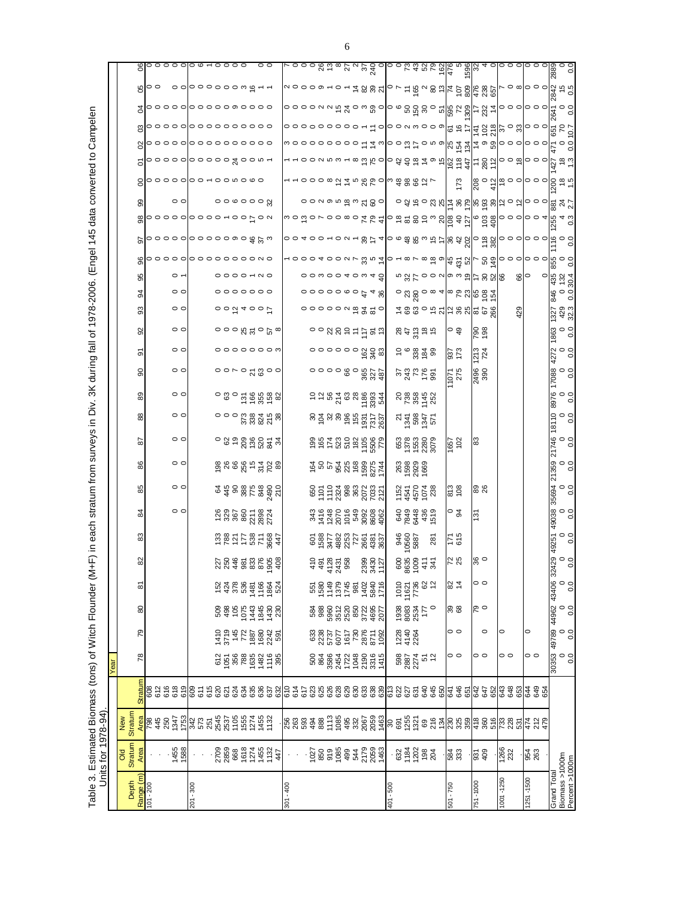| ֚֘<br>I<br>۱<br>֦֦֝֝֝֝֝֝֝֝֝֝֝֝֝֝֝֝֝֝֝<br>֧֪֚֝֝֝֝֝֝֝֝֝֝֝֝֝<br>)<br>S<br>S |  |
|--------------------------------------------------------------------------|--|
|                                                                          |  |
| <b>THE CONSIST</b><br><b>ミニー・シンコン</b>                                    |  |
| )<br>-                                                                   |  |
| والمتأخر المتسابط كالانتباسية والمتاريخ<br>$\vdots$                      |  |
|                                                                          |  |
|                                                                          |  |
|                                                                          |  |
|                                                                          |  |
| ĺ.                                                                       |  |
| ,<br>.<br>.<br>.                                                         |  |
|                                                                          |  |
|                                                                          |  |
|                                                                          |  |
|                                                                          |  |
| ا<br>أ                                                                   |  |
|                                                                          |  |

|                                  |                                                                                                                                                                                                                                                                                                                     |                                                                                                 |                          | Year                                     |                                                   |                                                                                                                                                                                                                                                                                                               |                                |                                                                                                                                             |                     |                                                                                                                                                                                                                                                                                                                                                   |                             |                                                |                             |                                                                                                             |                                                |                                       |                                             |                                                                                      |                                                                                          |                                                                                                                                                                                                                                                                                                                     |    |                            |               |                                              |                                                |                             |                                       |                   |                                                                                                                |                    |
|----------------------------------|---------------------------------------------------------------------------------------------------------------------------------------------------------------------------------------------------------------------------------------------------------------------------------------------------------------------|-------------------------------------------------------------------------------------------------|--------------------------|------------------------------------------|---------------------------------------------------|---------------------------------------------------------------------------------------------------------------------------------------------------------------------------------------------------------------------------------------------------------------------------------------------------------------|--------------------------------|---------------------------------------------------------------------------------------------------------------------------------------------|---------------------|---------------------------------------------------------------------------------------------------------------------------------------------------------------------------------------------------------------------------------------------------------------------------------------------------------------------------------------------------|-----------------------------|------------------------------------------------|-----------------------------|-------------------------------------------------------------------------------------------------------------|------------------------------------------------|---------------------------------------|---------------------------------------------|--------------------------------------------------------------------------------------|------------------------------------------------------------------------------------------|---------------------------------------------------------------------------------------------------------------------------------------------------------------------------------------------------------------------------------------------------------------------------------------------------------------------|----|----------------------------|---------------|----------------------------------------------|------------------------------------------------|-----------------------------|---------------------------------------|-------------------|----------------------------------------------------------------------------------------------------------------|--------------------|
|                                  | <b>DIO</b>                                                                                                                                                                                                                                                                                                          | New                                                                                             |                          |                                          |                                                   |                                                                                                                                                                                                                                                                                                               |                                |                                                                                                                                             |                     |                                                                                                                                                                                                                                                                                                                                                   |                             |                                                |                             |                                                                                                             |                                                |                                       |                                             |                                                                                      |                                                                                          |                                                                                                                                                                                                                                                                                                                     |    |                            |               |                                              |                                                |                             |                                       |                   |                                                                                                                |                    |
| Range (m)<br>Depth               | Stratum                                                                                                                                                                                                                                                                                                             | Stratum                                                                                         | <b>Stratun</b>           | $\overline{78}$                          | 79                                                | 80                                                                                                                                                                                                                                                                                                            | ౚ                              | 8                                                                                                                                           | 83                  | $\frac{8}{4}$                                                                                                                                                                                                                                                                                                                                     | 85                          | 86                                             | 5                           | 88                                                                                                          | 89                                             | $\mathsf{S}$                          | စ်                                          | 95                                                                                   | 93                                                                                       | 95<br>34                                                                                                                                                                                                                                                                                                            | 96 |                            |               | ஜ                                            |                                                |                             |                                       |                   |                                                                                                                |                    |
| $101 - 200$                      |                                                                                                                                                                                                                                                                                                                     |                                                                                                 |                          |                                          |                                                   |                                                                                                                                                                                                                                                                                                               |                                |                                                                                                                                             |                     |                                                                                                                                                                                                                                                                                                                                                   |                             |                                                |                             |                                                                                                             |                                                |                                       |                                             |                                                                                      |                                                                                          |                                                                                                                                                                                                                                                                                                                     |    |                            |               |                                              |                                                |                             |                                       |                   |                                                                                                                |                    |
|                                  |                                                                                                                                                                                                                                                                                                                     | <mark>ទ្យ</mark><br>ត្តុង មិន អូន ដូង ប៊ុន មិន មិន ដូច អូន<br>ត្តុង មិន អូន ដូច អូន មិន អូន អូន | 625<br>625<br>609<br>609 |                                          |                                                   |                                                                                                                                                                                                                                                                                                               |                                |                                                                                                                                             |                     |                                                                                                                                                                                                                                                                                                                                                   |                             |                                                |                             |                                                                                                             |                                                |                                       |                                             |                                                                                      |                                                                                          |                                                                                                                                                                                                                                                                                                                     |    | $\circ$ ၀၀၀၀၀၀၀၀၈၀မ္ ပ္က က | $\frac{1}{2}$ |                                              |                                                |                             | 800000000000000<br>ၛၟၣၜၜၜၜ႞ၜၜၜၜၜၜၜၜၜၜ | gloooolooooowoooo | Boo oooooow&rr                                                                                                 | $g$  00000 00+0000 |
|                                  | 1455<br>1588                                                                                                                                                                                                                                                                                                        |                                                                                                 |                          |                                          |                                                   |                                                                                                                                                                                                                                                                                                               |                                |                                                                                                                                             |                     | $\circ$ $\circ$                                                                                                                                                                                                                                                                                                                                   | $\circ$                     | $\circ$                                        | $\circ$                     | $\circ$                                                                                                     | $\circ$                                        | $\circ$                               | $\circ$                                     | $\circ$                                                                              | $\circ$                                                                                  | $\circ$ $\overline{\phantom{a}}$<br>$\circ$                                                                                                                                                                                                                                                                         |    |                            |               |                                              |                                                |                             |                                       |                   |                                                                                                                |                    |
| 006 - 102                        |                                                                                                                                                                                                                                                                                                                     |                                                                                                 | 800<br>615<br>620        |                                          |                                                   |                                                                                                                                                                                                                                                                                                               |                                |                                                                                                                                             |                     |                                                                                                                                                                                                                                                                                                                                                   |                             |                                                |                             |                                                                                                             |                                                |                                       |                                             |                                                                                      |                                                                                          |                                                                                                                                                                                                                                                                                                                     |    |                            |               |                                              |                                                |                             |                                       |                   |                                                                                                                |                    |
|                                  |                                                                                                                                                                                                                                                                                                                     |                                                                                                 |                          |                                          |                                                   |                                                                                                                                                                                                                                                                                                               |                                |                                                                                                                                             |                     |                                                                                                                                                                                                                                                                                                                                                   |                             |                                                |                             |                                                                                                             |                                                |                                       |                                             |                                                                                      |                                                                                          |                                                                                                                                                                                                                                                                                                                     |    |                            |               |                                              |                                                |                             |                                       |                   |                                                                                                                |                    |
|                                  |                                                                                                                                                                                                                                                                                                                     |                                                                                                 |                          |                                          |                                                   |                                                                                                                                                                                                                                                                                                               |                                |                                                                                                                                             |                     |                                                                                                                                                                                                                                                                                                                                                   |                             |                                                |                             |                                                                                                             |                                                |                                       |                                             |                                                                                      |                                                                                          |                                                                                                                                                                                                                                                                                                                     |    |                            |               |                                              |                                                |                             |                                       |                   |                                                                                                                |                    |
|                                  |                                                                                                                                                                                                                                                                                                                     |                                                                                                 |                          |                                          |                                                   |                                                                                                                                                                                                                                                                                                               |                                |                                                                                                                                             |                     |                                                                                                                                                                                                                                                                                                                                                   |                             |                                                |                             |                                                                                                             |                                                |                                       |                                             |                                                                                      |                                                                                          |                                                                                                                                                                                                                                                                                                                     |    |                            |               |                                              |                                                |                             |                                       |                   |                                                                                                                |                    |
|                                  |                                                                                                                                                                                                                                                                                                                     |                                                                                                 |                          |                                          |                                                   |                                                                                                                                                                                                                                                                                                               |                                |                                                                                                                                             |                     |                                                                                                                                                                                                                                                                                                                                                   |                             |                                                |                             |                                                                                                             |                                                |                                       |                                             |                                                                                      |                                                                                          |                                                                                                                                                                                                                                                                                                                     |    |                            |               |                                              |                                                |                             |                                       |                   |                                                                                                                |                    |
|                                  |                                                                                                                                                                                                                                                                                                                     |                                                                                                 |                          |                                          |                                                   |                                                                                                                                                                                                                                                                                                               |                                |                                                                                                                                             |                     | $\begin{array}{l} 26 \\ 23 \\ 26 \\ 27 \\ 28 \\ 28 \\ 29 \\ 21 \\ 24 \\ 26 \\ 27 \\ 28 \\ 27 \\ 29 \\ 20 \\ 21 \\ 22 \\ 23 \\ 24 \\ 27 \\ 28 \\ 29 \\ 20 \\ 24 \\ 27 \\ 29 \\ 20 \\ 27 \\ 29 \\ 20 \\ 20 \\ 27 \\ 29 \\ 20 \\ 27 \\ 29 \\ 20 \\ 27 \\ 29 \\ 20 \\ 27 \\ 29 \\ 20 \\ 27 \\ 29 \\ 29 \\ 20 \\ 27 \\ 29 \\ 29 \\ 29 \\ 20 \\ 20 \\ $ |                             |                                                |                             |                                                                                                             |                                                |                                       |                                             |                                                                                      | $\overrightarrow{0}$                                                                     | $\circ \circ \circ \circ \circ \circ \circ$                                                                                                                                                                                                                                                                         |    |                            |               | $\circ$ $\circ$ $\circ$ $\circ$ $\circ$ $\%$ |                                                |                             |                                       |                   |                                                                                                                | $\circ$            |
|                                  | 2709<br>2859<br>688<br>167145<br>147142                                                                                                                                                                                                                                                                             |                                                                                                 |                          | $0.558882258$<br>$0.55882258$            |                                                   | 8885548588                                                                                                                                                                                                                                                                                                    | $1248885824$<br>$428852834$    | 258888899                                                                                                                                   | 78877878847         |                                                                                                                                                                                                                                                                                                                                                   | $77.88878877$               | 9888857788                                     |                             | $\circ$ $\circ$ $\circ$ $\frac{6}{5}$ $\frac{8}{5}$ $\frac{8}{5}$ $\frac{8}{5}$ $\frac{8}{5}$ $\frac{8}{5}$ | ុន ូ ដ៏ ត្ថិដូន ន                              | $\circ \circ \circ \circ \circ \circ$ | $\circ \circ \circ \circ \circ \circ \circ$ | $\circ$ $\circ$ $\circ$ $\approx$ $\circ$ $\circ$ $\circ$                            |                                                                                          |                                                                                                                                                                                                                                                                                                                     |    |                            |               |                                              |                                                |                             |                                       |                   |                                                                                                                |                    |
| $301 - 400$                      |                                                                                                                                                                                                                                                                                                                     |                                                                                                 |                          |                                          |                                                   |                                                                                                                                                                                                                                                                                                               |                                |                                                                                                                                             |                     |                                                                                                                                                                                                                                                                                                                                                   |                             |                                                |                             |                                                                                                             |                                                |                                       |                                             |                                                                                      |                                                                                          |                                                                                                                                                                                                                                                                                                                     |    |                            |               |                                              |                                                |                             |                                       |                   |                                                                                                                |                    |
|                                  |                                                                                                                                                                                                                                                                                                                     |                                                                                                 |                          |                                          |                                                   |                                                                                                                                                                                                                                                                                                               |                                |                                                                                                                                             |                     |                                                                                                                                                                                                                                                                                                                                                   |                             |                                                |                             |                                                                                                             |                                                |                                       |                                             |                                                                                      |                                                                                          |                                                                                                                                                                                                                                                                                                                     |    |                            |               |                                              |                                                |                             |                                       |                   |                                                                                                                |                    |
|                                  | $\frac{1}{2}$ $\frac{1}{2}$ $\frac{1}{2}$ $\frac{1}{2}$ $\frac{1}{2}$ $\frac{1}{2}$ $\frac{1}{2}$ $\frac{1}{2}$ $\frac{1}{2}$ $\frac{1}{2}$ $\frac{1}{2}$ $\frac{1}{2}$ $\frac{1}{2}$ $\frac{1}{2}$ $\frac{1}{2}$ $\frac{1}{2}$ $\frac{1}{2}$ $\frac{1}{2}$ $\frac{1}{2}$ $\frac{1}{2}$ $\frac{1}{2}$ $\frac{1}{2}$ |                                                                                                 |                          | 50885238655<br>88852866555<br>5885255655 | 833<br>2385777<br>287878789<br>2878789<br>2879789 | $\begin{array}{l} 3880 \\ 3890 \\ 3670 \\ 3700 \\ 3890 \\ 3990 \\ 3990 \\ 3990 \\ 3990 \\ 3990 \\ 3990 \\ 3990 \\ 3990 \\ 3990 \\ 3990 \\ 3990 \\ 3990 \\ 3990 \\ 3990 \\ 3990 \\ 3990 \\ 3990 \\ 3990 \\ 3990 \\ 3990 \\ 3990 \\ 3990 \\ 3990 \\ 3990 \\ 3990 \\ 3990 \\ 3990 \\ 3990 \\ 3990 \\ 3990 \\ 39$ |                                | $\frac{1}{6}$ $\frac{1}{2}$ $\frac{1}{2}$ $\frac{1}{2}$ $\frac{1}{2}$ $\frac{1}{2}$ $\frac{1}{2}$ $\frac{1}{2}$ $\frac{1}{2}$ $\frac{1}{2}$ |                     |                                                                                                                                                                                                                                                                                                                                                   |                             | <b><i>Googless</i></b><br>Googless<br>Googless | 9877828887                  | 8288965558<br>8288965557                                                                                    | $52878$<br>$25888$<br>$2583$<br>$258$<br>$258$ | 000080828                             |                                             | $\circ$ $\circ$ $\alpha$ $\beta$ $\circ$ $\pm$ $\frac{1}{2}$ $\approx$ $\frac{1}{2}$ | $\circ$ $\circ$ $\circ$ $\circ$ $\circ$ $\ast$ $\frac{1}{2}$ $\frac{2}{2}$ $\frac{1}{2}$ | 00000040040<br>00000000748                                                                                                                                                                                                                                                                                          |    |                            |               |                                              |                                                |                             |                                       |                   |                                                                                                                |                    |
|                                  |                                                                                                                                                                                                                                                                                                                     |                                                                                                 |                          |                                          |                                                   |                                                                                                                                                                                                                                                                                                               |                                |                                                                                                                                             |                     |                                                                                                                                                                                                                                                                                                                                                   |                             |                                                |                             |                                                                                                             |                                                |                                       |                                             |                                                                                      |                                                                                          |                                                                                                                                                                                                                                                                                                                     |    |                            |               |                                              |                                                |                             |                                       |                   |                                                                                                                |                    |
|                                  |                                                                                                                                                                                                                                                                                                                     |                                                                                                 |                          |                                          |                                                   |                                                                                                                                                                                                                                                                                                               |                                |                                                                                                                                             |                     |                                                                                                                                                                                                                                                                                                                                                   |                             |                                                |                             |                                                                                                             |                                                |                                       |                                             |                                                                                      |                                                                                          |                                                                                                                                                                                                                                                                                                                     |    |                            |               |                                              |                                                |                             |                                       |                   |                                                                                                                |                    |
|                                  |                                                                                                                                                                                                                                                                                                                     |                                                                                                 |                          |                                          |                                                   |                                                                                                                                                                                                                                                                                                               |                                |                                                                                                                                             |                     |                                                                                                                                                                                                                                                                                                                                                   |                             |                                                |                             |                                                                                                             |                                                |                                       |                                             |                                                                                      |                                                                                          |                                                                                                                                                                                                                                                                                                                     |    |                            |               |                                              |                                                |                             |                                       |                   |                                                                                                                |                    |
|                                  |                                                                                                                                                                                                                                                                                                                     |                                                                                                 |                          |                                          |                                                   |                                                                                                                                                                                                                                                                                                               |                                |                                                                                                                                             |                     |                                                                                                                                                                                                                                                                                                                                                   |                             |                                                |                             |                                                                                                             |                                                |                                       |                                             |                                                                                      |                                                                                          |                                                                                                                                                                                                                                                                                                                     |    |                            |               |                                              |                                                |                             |                                       |                   |                                                                                                                |                    |
|                                  |                                                                                                                                                                                                                                                                                                                     |                                                                                                 |                          |                                          |                                                   |                                                                                                                                                                                                                                                                                                               |                                |                                                                                                                                             |                     |                                                                                                                                                                                                                                                                                                                                                   |                             |                                                |                             |                                                                                                             |                                                |                                       |                                             |                                                                                      |                                                                                          |                                                                                                                                                                                                                                                                                                                     |    |                            |               |                                              |                                                |                             |                                       |                   |                                                                                                                |                    |
|                                  |                                                                                                                                                                                                                                                                                                                     |                                                                                                 |                          |                                          |                                                   |                                                                                                                                                                                                                                                                                                               |                                | 2399<br>3430<br>1127                                                                                                                        |                     |                                                                                                                                                                                                                                                                                                                                                   |                             |                                                |                             |                                                                                                             |                                                |                                       |                                             |                                                                                      |                                                                                          |                                                                                                                                                                                                                                                                                                                     |    |                            |               |                                              |                                                |                             |                                       |                   |                                                                                                                |                    |
| 401 - 500                        |                                                                                                                                                                                                                                                                                                                     |                                                                                                 |                          |                                          |                                                   |                                                                                                                                                                                                                                                                                                               |                                |                                                                                                                                             |                     |                                                                                                                                                                                                                                                                                                                                                   |                             |                                                |                             |                                                                                                             |                                                |                                       |                                             |                                                                                      |                                                                                          |                                                                                                                                                                                                                                                                                                                     |    |                            |               |                                              |                                                |                             |                                       |                   |                                                                                                                |                    |
|                                  | $-23.8888$                                                                                                                                                                                                                                                                                                          |                                                                                                 |                          | 586752<br>88752                          | 12264<br>4140                                     | $\frac{88337}{28837}$                                                                                                                                                                                                                                                                                         | 1000<br>10000<br>100000        | $8880 + 14$                                                                                                                                 | 288<br>0950<br>0950 | 843<br>2843<br>843<br>843                                                                                                                                                                                                                                                                                                                         | 152<br>4570<br>1541<br>1528 | 83<br>8888<br>1889                             | 658<br>1958<br>1988<br>1988 | $2\frac{1}{2}$ $8\frac{1}{2}$ $2$                                                                           | 88848                                          | s greg                                | $5\degree$ $8\frac{3}{2}\degree$            | 83386                                                                                |                                                                                          |                                                                                                                                                                                                                                                                                                                     |    |                            |               |                                              |                                                |                             |                                       |                   |                                                                                                                |                    |
|                                  |                                                                                                                                                                                                                                                                                                                     |                                                                                                 |                          |                                          |                                                   |                                                                                                                                                                                                                                                                                                               |                                |                                                                                                                                             |                     |                                                                                                                                                                                                                                                                                                                                                   |                             |                                                |                             |                                                                                                             |                                                |                                       |                                             |                                                                                      |                                                                                          |                                                                                                                                                                                                                                                                                                                     |    |                            |               |                                              |                                                |                             |                                       |                   |                                                                                                                |                    |
|                                  |                                                                                                                                                                                                                                                                                                                     |                                                                                                 |                          |                                          |                                                   |                                                                                                                                                                                                                                                                                                               |                                |                                                                                                                                             |                     |                                                                                                                                                                                                                                                                                                                                                   |                             |                                                |                             |                                                                                                             |                                                |                                       |                                             |                                                                                      |                                                                                          |                                                                                                                                                                                                                                                                                                                     |    |                            |               |                                              |                                                |                             |                                       |                   |                                                                                                                |                    |
|                                  |                                                                                                                                                                                                                                                                                                                     |                                                                                                 |                          |                                          |                                                   |                                                                                                                                                                                                                                                                                                               |                                |                                                                                                                                             | 281                 |                                                                                                                                                                                                                                                                                                                                                   |                             |                                                |                             |                                                                                                             |                                                |                                       |                                             |                                                                                      |                                                                                          |                                                                                                                                                                                                                                                                                                                     |    |                            |               |                                              |                                                |                             |                                       |                   |                                                                                                                |                    |
| 501 - 750                        | 584<br>333                                                                                                                                                                                                                                                                                                          |                                                                                                 |                          | 00                                       | 00                                                | 88                                                                                                                                                                                                                                                                                                            | 284                            | 72                                                                                                                                          | $\frac{51}{171}$    | $\circ$ $\frac{9}{4}$                                                                                                                                                                                                                                                                                                                             | 813<br>108                  |                                                | $\frac{1657}{102}$          |                                                                                                             |                                                | $1071$<br>$275$                       | 87<br>173                                   | ၀ ဒု                                                                                 |                                                                                          |                                                                                                                                                                                                                                                                                                                     |    |                            |               |                                              |                                                |                             |                                       |                   |                                                                                                                |                    |
|                                  |                                                                                                                                                                                                                                                                                                                     |                                                                                                 |                          |                                          |                                                   |                                                                                                                                                                                                                                                                                                               |                                |                                                                                                                                             |                     |                                                                                                                                                                                                                                                                                                                                                   |                             |                                                |                             |                                                                                                             |                                                |                                       |                                             |                                                                                      | <u>៰៷័ៜ៰៰៰៹</u> ៲៰៰៓៷៲៰៝៑៝៷៝<br>70000572882500                                           | $\frac{1}{2}$ $\frac{1}{2}$ $\frac{1}{2}$ $\frac{1}{2}$ $\frac{1}{2}$ $\frac{1}{2}$ $\frac{1}{2}$ $\frac{1}{2}$ $\frac{1}{2}$ $\frac{1}{2}$ $\frac{1}{2}$ $\frac{1}{2}$ $\frac{1}{2}$ $\frac{1}{2}$ $\frac{1}{2}$ $\frac{1}{2}$ $\frac{1}{2}$ $\frac{1}{2}$ $\frac{1}{2}$ $\frac{1}{2}$ $\frac{1}{2}$ $\frac{1}{2}$ |    |                            |               |                                              | 173                                            |                             |                                       |                   | g a blood a collage that a self to self with only a sign of the self of the self of the self of the self of th |                    |
| 751-1000                         | $\frac{6}{3}$                                                                                                                                                                                                                                                                                                       |                                                                                                 |                          | 00                                       |                                                   | లి న                                                                                                                                                                                                                                                                                                          | 00                             | $\frac{6}{3}$                                                                                                                               |                     | 131                                                                                                                                                                                                                                                                                                                                               |                             |                                                | ုဆ                          |                                                                                                             |                                                | 2496                                  | I213<br>724                                 | 88                                                                                   |                                                                                          |                                                                                                                                                                                                                                                                                                                     |    |                            |               |                                              |                                                |                             |                                       |                   |                                                                                                                |                    |
|                                  |                                                                                                                                                                                                                                                                                                                     |                                                                                                 |                          |                                          | $\circ$                                           |                                                                                                                                                                                                                                                                                                               |                                |                                                                                                                                             |                     |                                                                                                                                                                                                                                                                                                                                                   |                             |                                                |                             |                                                                                                             |                                                |                                       |                                             |                                                                                      |                                                                                          |                                                                                                                                                                                                                                                                                                                     |    |                            |               |                                              |                                                |                             |                                       |                   |                                                                                                                |                    |
| 1001 - 1250                      | 1266<br>232                                                                                                                                                                                                                                                                                                         |                                                                                                 |                          | 00                                       | $\circ$                                           |                                                                                                                                                                                                                                                                                                               |                                |                                                                                                                                             |                     |                                                                                                                                                                                                                                                                                                                                                   |                             |                                                |                             |                                                                                                             |                                                |                                       |                                             |                                                                                      |                                                                                          |                                                                                                                                                                                                                                                                                                                     |    |                            |               |                                              | စ္လြင္ အိုင္ဘာ ေ၀ါ၀ ၀ ၀ါ၀ွိ <del>အို ပို</del> |                             |                                       |                   |                                                                                                                |                    |
|                                  |                                                                                                                                                                                                                                                                                                                     |                                                                                                 |                          |                                          |                                                   |                                                                                                                                                                                                                                                                                                               |                                |                                                                                                                                             |                     |                                                                                                                                                                                                                                                                                                                                                   |                             |                                                |                             |                                                                                                             |                                                |                                       |                                             |                                                                                      | 429                                                                                      | $\frac{66}{10}$                                                                                                                                                                                                                                                                                                     |    |                            |               |                                              |                                                |                             |                                       |                   |                                                                                                                |                    |
| $1251 - 1500$                    | 954<br>263                                                                                                                                                                                                                                                                                                          |                                                                                                 |                          | 00                                       | 0                                                 |                                                                                                                                                                                                                                                                                                               |                                |                                                                                                                                             |                     |                                                                                                                                                                                                                                                                                                                                                   |                             |                                                |                             |                                                                                                             |                                                |                                       |                                             |                                                                                      |                                                                                          |                                                                                                                                                                                                                                                                                                                     |    |                            |               |                                              |                                                |                             |                                       |                   |                                                                                                                |                    |
|                                  |                                                                                                                                                                                                                                                                                                                     |                                                                                                 |                          |                                          |                                                   |                                                                                                                                                                                                                                                                                                               |                                |                                                                                                                                             |                     |                                                                                                                                                                                                                                                                                                                                                   |                             |                                                |                             |                                                                                                             |                                                |                                       |                                             |                                                                                      |                                                                                          |                                                                                                                                                                                                                                                                                                                     |    |                            |               |                                              |                                                |                             |                                       |                   |                                                                                                                |                    |
| Grand Total                      |                                                                                                                                                                                                                                                                                                                     |                                                                                                 |                          | 30353                                    | 68267                                             | 79677                                                                                                                                                                                                                                                                                                         |                                | ွဲ                                                                                                                                          | 49251               |                                                                                                                                                                                                                                                                                                                                                   |                             |                                                |                             |                                                                                                             |                                                |                                       |                                             | 1863                                                                                 |                                                                                          |                                                                                                                                                                                                                                                                                                                     |    |                            |               |                                              |                                                |                             |                                       |                   |                                                                                                                |                    |
| Biomass >1000m<br>Percent >1000m |                                                                                                                                                                                                                                                                                                                     |                                                                                                 |                          | $\frac{0}{0}$                            | $\frac{0}{0}$                                     | $\frac{0}{0}$                                                                                                                                                                                                                                                                                                 | 0.0<br>0<br>90 <del>1</del> 87 | $^{0.0}_{4}$                                                                                                                                | $\circ$ $\circ$     | $0.0$<br>$0.0$                                                                                                                                                                                                                                                                                                                                    | 35694<br>0<br>0.0           | 0.0<br>0<br>0.0                                | 21746<br>0.0<br>0.0         | $0.0$<br>0.0                                                                                                | $0.0$<br>0.0                                   | $0.0$<br>$0.0$                        | 27<br>27 0.0<br>27                          | $\frac{0}{0}$                                                                        | $\circ$ <sub>o</sub><br>429<br>32.3                                                      | 30.4                                                                                                                                                                                                                                                                                                                |    |                            | ن<br>م        |                                              |                                                | $rac{27}{42}$ e $rac{3}{4}$ |                                       |                   |                                                                                                                |                    |
|                                  |                                                                                                                                                                                                                                                                                                                     |                                                                                                 |                          |                                          |                                                   |                                                                                                                                                                                                                                                                                                               |                                |                                                                                                                                             |                     |                                                                                                                                                                                                                                                                                                                                                   |                             |                                                |                             |                                                                                                             |                                                |                                       |                                             |                                                                                      |                                                                                          |                                                                                                                                                                                                                                                                                                                     |    |                            |               |                                              |                                                |                             |                                       |                   |                                                                                                                |                    |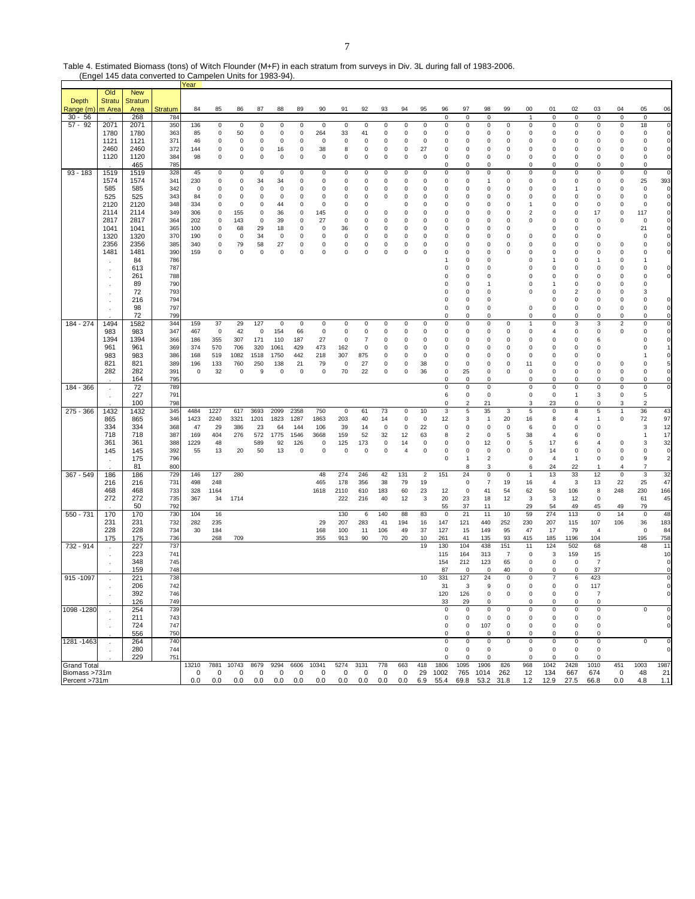| Table 4. Estimated Biomass (tons) of Witch Flounder (M+F) in each stratum from surveys in Div. 3L during fall of 1983-2006. |  |
|-----------------------------------------------------------------------------------------------------------------------------|--|
| (Engel 145 data converted to Campelen Units for 1983-94).                                                                   |  |

|                                     |                      |                       |                | Year                 |                            |             |                     |                           |                            |                   |                            |                                 |                    |                  |                            |                           |                            |                                      |                       |                               |                               |                            |                    |                            |                    |                            |
|-------------------------------------|----------------------|-----------------------|----------------|----------------------|----------------------------|-------------|---------------------|---------------------------|----------------------------|-------------------|----------------------------|---------------------------------|--------------------|------------------|----------------------------|---------------------------|----------------------------|--------------------------------------|-----------------------|-------------------------------|-------------------------------|----------------------------|--------------------|----------------------------|--------------------|----------------------------|
| Depth                               | Old<br><b>Stratu</b> | <b>New</b><br>Stratum |                |                      |                            |             |                     |                           |                            |                   |                            |                                 |                    |                  |                            |                           |                            |                                      |                       |                               |                               |                            |                    |                            |                    |                            |
| Range (m                            | m Area               | Area                  | <b>Stratum</b> | 84                   | 85                         | 86          | 87                  | 88                        | 89                         | 90                | 91                         | 92                              | 93                 | 94               | 95                         | 96                        | 97                         | 98                                   | 99                    | 00                            | 01                            | 02                         | 03                 | 04                         | 05                 | 06                         |
| $30 - 56$                           |                      | 268                   | 784            |                      |                            |             |                     |                           |                            |                   |                            |                                 |                    |                  |                            | 0                         | $\mathbf 0$                | 0                                    |                       | $\overline{1}$                | $\mathbf 0$                   | $\mathsf 0$                | 0                  | 0                          | $\mathbf 0$        |                            |
| $57 - 92$                           | 2071                 | 2071                  | 350            | 136                  | 0                          | 0           | 0                   | $\pmb{0}$                 | 0                          | $\mathbf 0$       | 0                          | 0                               | 0                  | $\pmb{0}$        | 0                          | $\pmb{0}$                 | 0                          | 0                                    | 0                     | $\mathbf 0$                   | $\pmb{0}$                     | 0                          | 0                  | $\pmb{0}$                  | 18                 | $\mathbf 0$                |
|                                     | 1780<br>1121         | 1780<br>1121          | 363<br>371     | 85<br>46             | $\mathbf 0$<br>$\mathbf 0$ | 50<br>0     | 0<br>0              | $\mathbf 0$<br>$^{\circ}$ | $\mathbf 0$<br>$\mathbf 0$ | 264<br>0          | 33<br>0                    | 41<br>$\mathbf 0$               | 0<br>0             | 0<br>0           | $\mathbf 0$<br>$\mathbf 0$ | $\mathbf 0$<br>$^{\circ}$ | 0<br>0                     | 0<br>0                               | 0<br>0                | $\mathbf 0$<br>0              | $\mathbf 0$<br>0              | $\Omega$<br>0              | 0<br>0             | $\mathsf 0$<br>0           | $\mathbf 0$<br>0   | 0<br>$\mathbf 0$           |
|                                     | 2460                 | 2460                  | 372            | 144                  | 0                          | 0           | 0                   | 16                        | 0                          | 38                | 8                          | 0                               | 0                  | 0                | 27                         | 0                         | 0                          | 0                                    | 0                     | 0                             | 0                             | 0                          | 0                  | $\mathsf 0$                | 0                  | $\mathbf 0$                |
|                                     | 1120                 | 1120                  | 384            | 98                   | $\pmb{0}$                  | 0           | $\mathbf 0$         | $\mathbf 0$               | $\pmb{0}$                  | $\mathbf 0$       | $\Omega$                   | $\pmb{0}$                       | 0                  | $\mathbf 0$      | $\mathsf 0$                | $\mathbf 0$               | 0                          | 0                                    | 0                     | $\mathbf 0$                   | $\mathsf 0$                   | $\mathbf 0$                | 0                  | $\mathsf 0$                | 0                  | $\mathbf 0$                |
| $93 - 183$                          | 1519                 | 465<br>1519           | 785<br>328     | 45                   | 0                          | 0           | 0                   | $\mathbf 0$               | 0                          | 0                 | 0                          | 0                               | 0                  | $\pmb{0}$        | 0                          | 0<br>0                    | 0<br>0                     | 0<br>$\mathbf 0$                     | 0                     | 0<br>0                        | 0<br>$\mathbf 0$              | 0<br>0                     | 0<br>0             | 0<br>$\pmb{0}$             | 0<br>$\pmb{0}$     | 0                          |
|                                     | 1574                 | 1574                  | 341            | 230                  | $\pmb{0}$                  | 0           | 34                  | 34                        | $\pmb{0}$                  | 0                 | 0                          | $\pmb{0}$                       | 0                  | 0                | 0                          | $\Omega$                  | 0                          | 1                                    | 0                     | 0                             | $\pmb{0}$                     | 0                          | 0                  | $\mathsf 0$                | 25                 | 393                        |
|                                     | 585                  | 585                   | 342            | 0                    | $\pmb{0}$                  | 0           | 0                   | $\mathbf 0$               | 0                          | 0                 | 0                          | $\pmb{0}$                       | 0                  | 0                | $\mathbf 0$                | 0                         | 0                          | 0                                    | 0                     | 0                             | 0                             | -1                         | 0                  | 0                          | $\mathbf 0$        | $\mathbf 0$                |
|                                     | 525<br>2120          | 525<br>2120           | 343            | 84                   | $\mathbf 0$                | 0           | 0                   | $\mathbf 0$<br>44         | $\mathbf 0$                | 0<br>$\mathbf 0$  | 0                          | 0                               | 0                  | 0                | 0                          | 0<br>$\Omega$             | 0<br>0                     | 0                                    | 0                     | $\mathbf 0$<br>$\overline{1}$ | 0                             | $\mathbf 0$<br>$\Omega$    | 0                  | $\mathsf 0$<br>$\mathbf 0$ | $\mathbf 0$        | $\mathbf 0$                |
|                                     | 2114                 | 2114                  | 348<br>349     | 334<br>306           | $\mathbf 0$<br>$^{\circ}$  | 0<br>155    | $\mathbf 0$<br>0    | 36                        | $\mathbf 0$<br>$^{\circ}$  | 145               | $\mathbf 0$<br>$\mathbf 0$ | $\mathbf 0$<br>$\mathbf 0$      | 0                  | 0<br>0           | 0<br>$\mathbf 0$           | $^{\circ}$                | 0                          | $\mathbf 0$<br>0                     | 0<br>0                | $\overline{2}$                | $\mathbf 0$<br>$\mathbf 0$    | $\mathbf 0$                | 0<br>17            | 0                          | $\mathbf 0$<br>117 | $\mathbf 0$<br>$\mathbf 0$ |
|                                     | 2817                 | 2817                  | 364            | 202                  | 0                          | 143         | 0                   | 39                        | $^{\circ}$                 | 27                | $\mathbf 0$                | $\mathbf 0$                     | 0                  | 0                | 0                          | $\Omega$                  | 0                          | 0                                    | 0                     | $\mathbf 0$                   | 0                             | $\mathbf 0$                | 0                  | $\mathsf 0$                | $\mathbf 0$        | $\mathbf 0$                |
|                                     | 1041                 | 1041                  | 365            | 100                  | $\mathbf 0$                | 68          | 29                  | 18                        | 0                          | $\mathbf 0$       | 36                         | $\mathbf 0$                     | 0<br>0             | $\mathbf 0$      | 0                          | $\Omega$                  | 0                          | $\mathbf 0$                          | 0                     |                               | $\mathbf 0$                   | $\Omega$                   | 0                  |                            | 21                 | 0<br>$\mathbf 0$           |
|                                     | 1320<br>2356         | 1320<br>2356          | 370<br>385     | 190<br>340           | $^{\circ}$<br>0            | 0<br>79     | 34<br>58            | $^{\circ}$<br>27          | $^{\circ}$<br>0            | 0<br>0            | 0<br>$\pmb{0}$             | $\mathbf 0$<br>0                | 0                  | 0<br>0           | $\mathbf 0$<br>0           | $^{\circ}$<br>0           | 0<br>0                     | 0<br>0                               | 0<br>0                | 0<br>0                        | 0<br>0                        | 0<br>$\mathbf 0$           | 0<br>0             | 0                          | $\mathsf 0$<br>0   | $\mathbf 0$                |
|                                     | 1481                 | 1481                  | 390            | 159                  | $\mathbf 0$                | 0           | $\mathbf 0$         | $\mathbf 0$               | $\mathbf 0$                | 0                 | $\Omega$                   | $\mathbf 0$                     | 0                  | $\mathbf 0$      | $\mathbf 0$                | $\Omega$                  | 0                          | $\mathbf 0$                          | $\Omega$              | $\mathbf 0$                   | $\mathbf 0$                   | $\Omega$                   | 0                  | $\mathbf 0$                | 0                  | $\mathbf 0$                |
|                                     |                      | 84                    | 786            |                      |                            |             |                     |                           |                            |                   |                            |                                 |                    |                  |                            |                           | 0                          | 0                                    |                       | 0                             | $\mathbf{1}$                  | 0                          | $\mathbf{1}$       | $^{\circ}$                 | 1                  |                            |
|                                     |                      | 613<br>261            | 787<br>788     |                      |                            |             |                     |                           |                            |                   |                            |                                 |                    |                  |                            | $\Omega$<br>$\Omega$      | 0<br>0                     | 0<br>$\mathbf 0$                     |                       | 0<br>$\mathbf 0$              | 0<br>$\mathbf 0$              | 0<br>$\Omega$              | 0<br>0             | 0<br>$\mathbf 0$           | 0<br>0             | 0<br>$\mathbf 0$           |
|                                     | $\cdot$              | 89                    | 790            |                      |                            |             |                     |                           |                            |                   |                            |                                 |                    |                  |                            | $\Omega$                  | 0                          | 1                                    |                       | 0                             | $\mathbf{1}$                  | 0                          | 0                  | $^{\circ}$                 | 0                  |                            |
|                                     | $\cdot$              | 72                    | 793            |                      |                            |             |                     |                           |                            |                   |                            |                                 |                    |                  |                            | $\Omega$                  | 0                          | 0                                    |                       | $\mathbf 0$                   | 0                             | 2                          | 0                  | 0                          | 3                  |                            |
|                                     | $\cdot$              | 216<br>98             | 794<br>797     |                      |                            |             |                     |                           |                            |                   |                            |                                 |                    |                  |                            | $\Omega$<br>$^{\circ}$    | 0<br>0                     | 0<br>0                               |                       | $\mathbf 0$                   | $\mathbf 0$<br>0              | $\Omega$<br>0              | 0<br>0             | $\mathbf 0$<br>0           | 0<br>0             | 0<br>$\mathbf 0$           |
|                                     | $\lambda$            | 72                    | 799            |                      |                            |             |                     |                           |                            |                   |                            |                                 |                    |                  |                            | $\mathbf 0$               | 0                          | 0                                    |                       | $\pmb{0}$                     | $\mathbf 0$                   | $\mathbf 0$                | 0                  | $\mathbf 0$                | 0                  | $\mathbf 0$                |
| 184 - 274                           | 1494                 | 1582                  | 344            | 159                  | 37                         | 29          | 127                 | $\mathbf 0$               | 0                          | 0                 | 0                          | 0                               | 0                  | 0                | 0                          | $\mathbf 0$               | 0                          | 0                                    | 0                     | 1                             | 0                             | 3                          | 3                  | $\overline{2}$             | 0                  | O                          |
|                                     | 983<br>1394          | 983<br>1394           | 347<br>366     | 467<br>186           | $\mathbf 0$<br>355         | 42<br>307   | $\mathbf 0$<br>171  | 154<br>110                | 66<br>187                  | 0<br>27           | 0<br>$\mathbf 0$           | $\mathbf 0$<br>$\boldsymbol{7}$ | 0<br>0             | 0<br>0           | $\mathbf 0$<br>0           | 0<br>0                    | 0<br>0                     | 0<br>0                               | 0<br>0                | 0<br>$\pmb{0}$                | $\overline{4}$<br>0           | 0<br>0                     | 0<br>6             | $\mathsf 0$                | 0<br>0             | $\mathbf 0$<br>$\mathbf 0$ |
|                                     | 961                  | 961                   | 369            | 374                  | 570                        | 706         | 320                 | 1061                      | 429                        | 473               | 162                        | 0                               | 0                  | 0                | 0                          | 0                         | 0                          | $\mathbf 0$                          | 0                     | $\mathbf 0$                   | $\mathbf 0$                   | $\mathbf 0$                | 0                  |                            | 0                  | $\mathbf{1}$               |
|                                     | 983                  | 983                   | 386            | 168                  | 519                        | 1082        | 1518                | 1750                      | 442                        | 218               | 307                        | 875                             | 0                  | 0                | $\mathbf 0$                | 0                         | 0                          | 0                                    | 0                     | $^{\circ}$                    | $\mathbf 0$                   | 0                          | 0                  |                            | 1                  | 0                          |
|                                     | 821<br>282           | 821<br>282            | 389<br>391     | 196<br>0             | 133<br>32                  | 760<br>0    | 250<br>9            | 138<br>$^{\circ}$         | 21<br>$\mathbf 0$          | 79<br>$\mathbf 0$ | 0<br>70                    | 27<br>22                        | 0<br>0             | 0<br>0           | 38<br>36                   | 0<br>0                    | 0<br>25                    | 0<br>0                               | 0<br>0                | 11<br>$\mathbf 0$             | 0<br>0                        | $\mathbf 0$<br>$\mathbf 0$ | 0<br>0             | 0<br>0                     | 0<br>0             | 5<br>0                     |
|                                     |                      | 164                   | 795            |                      |                            |             |                     |                           |                            |                   |                            |                                 |                    |                  |                            | 0                         | 0                          | 0                                    |                       | $\mathbf 0$                   | $\mathbf 0$                   | $\Omega$                   | 0                  | 0                          | 0                  | $\mathbf 0$                |
| 184 - 366                           | $\sim$               | 72                    | 789<br>791     |                      |                            |             |                     |                           |                            |                   |                            |                                 |                    |                  |                            | $\mathbf 0$<br>6          | 0<br>0                     | 0<br>$\pmb{0}$                       |                       | $\pmb{0}$<br>$\mathbf 0$      | 0<br>$\mathbf 0$              | 0                          | 0<br>3             | 0<br>$\mathsf 0$           | 0<br>5             | $\overline{0}$             |
|                                     | $\ddot{\phantom{a}}$ | 227<br>100            | 798            |                      |                            |             |                     |                           |                            |                   |                            |                                 |                    |                  |                            | 0                         | $\overline{2}$             | 21                                   |                       | 3                             | 23                            | 1<br>$\Omega$              | 0                  | 3                          | $\overline{2}$     |                            |
| $275 - 366$                         | 1432                 | 1432                  | 345            | 4484                 | 1227                       | 617         | 3693                | 2099                      | 2358                       | 750               | 0                          | 61                              | 73                 | $\mathbf 0$      | 10                         | 3                         | 5                          | 35                                   | 3                     | 5                             | 0                             | 8                          | 5                  | $\mathbf{1}$               | 36                 | 43                         |
|                                     | 865<br>334           | 865<br>334            | 346<br>368     | 1423<br>47           | 2240<br>29                 | 3321<br>386 | 1201<br>23          | 1823<br>64                | 1287<br>144                | 1863<br>106       | 203<br>39                  | 40<br>14                        | 14<br>0            | $\mathbf 0$<br>0 | $\mathbf 0$<br>22          | 12<br>0                   | 3<br>0                     | 1<br>0                               | 20<br>0               | 16<br>6                       | 8<br>0                        | $\overline{4}$<br>0        | 1<br>0             | $\mathsf 0$                | 72<br>3            | 97<br>12                   |
|                                     | 718                  | 718                   | 387            | 169                  | 404                        | 276         | 572                 | 1775                      | 1546                       | 3668              | 159                        | 52                              | 32                 | 12               | 63                         | 8                         | 2                          | 0                                    | 5                     | 38                            | 4                             | 6                          | 0                  |                            | $\mathbf{1}$       | 17                         |
|                                     | 361                  | 361                   | 388            | 1229                 | 48                         |             | 589                 | 92                        | 126                        | 0                 | 125                        | 173                             | 0                  | 14               | 0                          | 0                         | 0                          | 12                                   | 0                     | 5                             | 17                            | 6                          | 4                  | $\mathsf 0$                | 3                  | 32                         |
|                                     | 145<br>$\cdot$       | 145<br>175            | 392<br>796     | 55                   | 13                         | 20          | 50                  | 13                        | $^{\circ}$                 | 0                 | $\mathbf 0$                | $\pmb{0}$                       | 0                  | $\overline{4}$   | $\mathbf 0$                | $^{\circ}$<br>$\mathbf 0$ | 0<br>1                     | $\pmb{0}$<br>$\overline{\mathbf{c}}$ | 0                     | $\mathbf 0$<br>$\mathbf 0$    | 14<br>4                       | $\mathbf 0$<br>-1          | 0<br>0             | 0<br>$\mathsf 0$           | 0<br>9             | 0<br>$\overline{a}$        |
|                                     |                      | 81                    | 80C            |                      |                            |             |                     |                           |                            |                   |                            |                                 |                    |                  |                            |                           | 8                          | 3                                    |                       | 6                             | 24                            | 22                         | 1                  | 4                          | $\overline{7}$     |                            |
| 367 - 549                           | 186                  | 186                   | 729            | 146                  | 127                        | 280         |                     |                           |                            | 48                | 274                        | 246                             | 42                 | 131              | $\overline{2}$             | 151                       | 24                         | $\pmb{0}$                            | $\mathbf 0$           | $\mathbf{1}$                  | 13                            | 33                         | 12                 | $\mathsf 0$                | $\mathbf{3}$       | 32                         |
|                                     | 216<br>468           | 216<br>468            | 731<br>733     | 498<br>328           | 248<br>1164                |             |                     |                           |                            | 465<br>1618       | 178<br>2110                | 356<br>610                      | 38<br>183          | 79<br>60         | 19<br>23                   | 12                        | $\mathsf 0$<br>$\mathsf 0$ | $\overline{\mathfrak{c}}$<br>41      | 19<br>54              | 16<br>62                      | 4<br>50                       | 3<br>106                   | 13<br>8            | 22<br>248                  | 25<br>230          | 47<br>166                  |
|                                     | 272                  | 272                   | 735            | 367                  | 34                         | 1714        |                     |                           |                            |                   | 222                        | 216                             | 40                 | 12               | 3                          | 20                        | 23                         | 18                                   | 12                    | 3                             | 3                             | 12                         | 0                  |                            | 61                 | 45                         |
|                                     |                      | 50                    | 792            |                      |                            |             |                     |                           |                            |                   |                            |                                 |                    |                  |                            | 55                        | 37                         | 11                                   |                       | 29                            | 54                            | 49                         | 45                 | 49                         | 79                 |                            |
| 550 - 731                           | 170<br>231           | 170<br>231            | 730<br>732     | 104<br>282           | 16<br>235                  |             |                     |                           |                            | 29                | 130<br>207                 | 6<br>283                        | 140<br>41          | 88<br>194        | 83<br>16                   | $\mathbf 0$<br>147        | 21<br>121                  | 11<br>440                            | 10<br>252             | 59<br>230                     | 274<br>207                    | 113<br>115                 | $\mathsf 0$<br>107 | 14<br>106                  | $\mathbf 0$<br>36  | 48<br>183                  |
|                                     | 228                  | 228                   | 734            | 30                   | 184                        |             |                     |                           |                            | 168               | 100                        | 11                              | 106                | 49               | 37                         | 127                       | 15                         | 149                                  | 95                    | 47                            | 17                            | 79                         | 4                  |                            | $\mathsf 0$        | 84                         |
|                                     | 175                  | 175                   | 736            |                      | 268                        | 709         |                     |                           |                            | 355               | 913                        | 90                              | 70                 | 20               | 10<br>19                   | 261                       | 41                         | 135<br>438                           | 93                    | 415                           | 185                           | 1196<br>502                | 104                |                            | 195<br>48          | 758                        |
| 732 - 914                           | $\cdot$              | 227<br>223            | 737<br>741     |                      |                            |             |                     |                           |                            |                   |                            |                                 |                    |                  |                            | 130<br>115                | 104<br>164                 | 313                                  | 151<br>$\overline{7}$ | 11<br>$\pmb{0}$               | 124<br>3                      | 159                        | 68<br>15           |                            |                    | 11<br>10                   |
|                                     |                      | 348                   | 745            |                      |                            |             |                     |                           |                            |                   |                            |                                 |                    |                  |                            | 154                       | 212                        | 123                                  | 65                    | 0                             | 0                             | 0                          | $\overline{7}$     |                            |                    | $\mathbf 0$                |
|                                     |                      | 159                   | 748            |                      |                            |             |                     |                           |                            |                   |                            |                                 |                    |                  |                            | 87                        | 0                          | 0                                    | 40                    | $\mathbf 0$                   | 0                             | 0                          | 37                 |                            |                    | $\mathbf 0$                |
| 915 - 1097                          |                      | 221<br>206            | 738<br>742     |                      |                            |             |                     |                           |                            |                   |                            |                                 |                    |                  | 10                         | 331<br>31                 | 127<br>3                   | 24<br>9                              | 0<br>0                | $\pmb{0}$<br>$\mathbf 0$      | $\overline{7}$<br>$\mathbf 0$ | 6<br>0                     | 423<br>117         |                            |                    | $\overline{0}$<br>$\circ$  |
|                                     |                      | 392                   | 746            |                      |                            |             |                     |                           |                            |                   |                            |                                 |                    |                  |                            | 120                       | 126                        | 0                                    | 0                     | 0                             | 0                             | 0                          |                    |                            |                    |                            |
|                                     |                      | 126                   | 749            |                      |                            |             |                     |                           |                            |                   |                            |                                 |                    |                  |                            | 33                        | 29                         | 0                                    |                       | $\mathbf 0$                   | 0                             | 0                          | 0                  |                            |                    |                            |
| 1098 - 1280                         |                      | 254<br>211            | 739<br>743     |                      |                            |             |                     |                           |                            |                   |                            |                                 |                    |                  |                            | 0<br>0                    | 0<br>0                     | $\pmb{0}$<br>0                       | 0<br>0                | 0<br>0                        | 0<br>0                        | 0<br>0                     | 0<br>0             |                            | 0                  | 0<br>0                     |
|                                     |                      | 724                   | 747            |                      |                            |             |                     |                           |                            |                   |                            |                                 |                    |                  |                            | 0                         | 0                          | 107                                  | 0                     | 0                             | 0                             | 0                          | 0                  |                            |                    | $\mathbf 0$                |
|                                     |                      | 556                   | 750            |                      |                            |             |                     |                           |                            |                   |                            |                                 |                    |                  |                            | 0                         | 0                          | 0                                    | 0                     | 0                             | 0                             | 0                          | 0                  |                            |                    |                            |
| 1281 - 1463                         | $\cdot$              | 264<br>280            | 740<br>744     |                      |                            |             |                     |                           |                            |                   |                            |                                 |                    |                  |                            | 0<br>0                    | 0<br>0                     | 0<br>0                               | $\mathbf 0$           | $\pmb{0}$<br>0                | $\pmb{0}$<br>0                | 0<br>$\Omega$              | 0<br>0             |                            | 0                  | 0<br>$\mathbf 0$           |
|                                     |                      | 229                   | 751            |                      |                            |             |                     |                           |                            |                   |                            |                                 |                    |                  |                            | $\Omega$                  | 0                          | 0                                    |                       | $^{\circ}$                    | $\mathbf 0$                   | 0                          | 0                  |                            |                    |                            |
| <b>Grand Total</b><br>Biomass >731m |                      |                       |                | 13210<br>$\mathbf 0$ | 7881<br>0                  | 10743<br>0  | 8679<br>$\mathbf 0$ | 9294<br>0                 | 6606<br>0                  | 10341<br>0        | 5274<br>0                  | 3131<br>0                       | 778<br>$\mathbf 0$ | 663<br>0         | 418<br>29                  | 1806<br>1002              | 1095<br>765                | 1906<br>1014                         | 826<br>262            | 968<br>12                     | 1042<br>134                   | 2428<br>667                | 1010<br>674        | 451<br>0                   | 1003<br>48         | 1987<br>21                 |
| Percent >731m                       |                      |                       |                | 0.0                  | 0.0                        | 0.0         | 0.0                 | 0.0                       | 0.0                        | 0.0               | 0.0                        | 0.0                             | 0.0                | 0.0              | 6.9                        | 55.4                      | 69.8                       | 53.2                                 | 31.8                  | 1.2                           | 12.9                          | 27.5                       | 66.8               | 0.0                        | 4.8                | 1.1                        |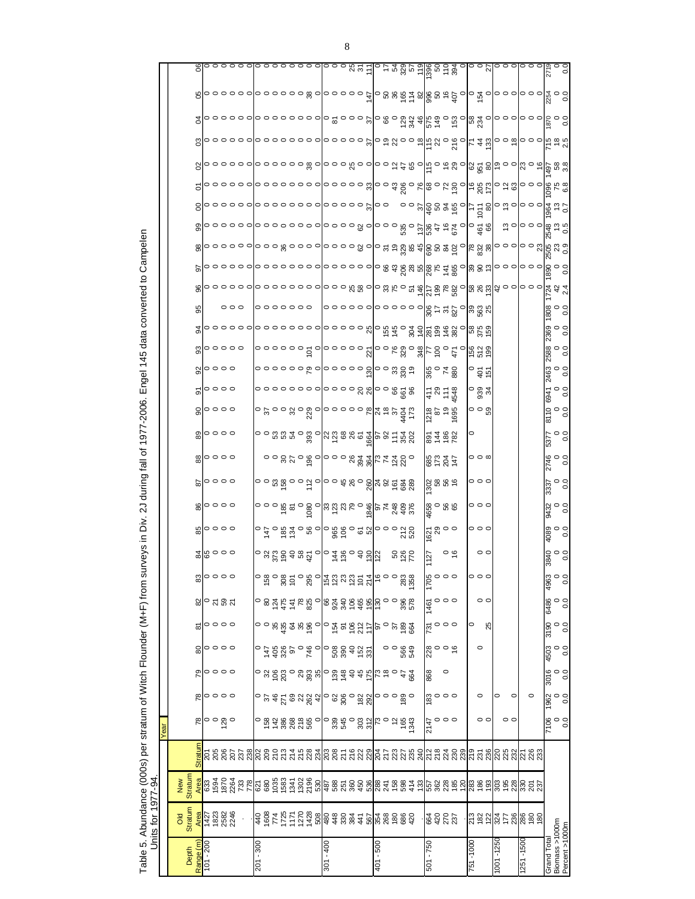| $\frac{6}{8}$ oooo<br><u>o o o g e o go du cruso de la 4 d d a c</u><br>4650<br>460<br>4<br>ត្ត្រូ<br>ខ្លួន<br>$\frac{10}{10}$ 000<br>28000<br><u>៰៷៓ឨ៓៓ឨ៓៓៵៓៓៰៲៰៹៓ឨ៓៓៓៓៓៓៓៓៓៓៓៓</u><br>$\circ$ $\frac{6}{5}$<br>58<br>28<br>59<br>127<br>$rac{6}{1700}$<br>$\frac{1}{20}$   0 0 0 0 0 0 1<br>$\circ \circ \circ$<br>ុ<br>ភូនភ<br>82<br>1461<br>0000<br>$\circ \circ \circ$<br>ౚ<br>731<br>$\circ$ $\circ$ $\circ$ $\circ$ $\circ$<br>$\circ$ $\circ$ $\circ$<br>80<br>。。。。<br>$\sigma$ $\sharp$ $\frac{4}{3}$ $\frac{8}{9}$ $\circ$ $\frac{5}{3}$ $\frac{6}{3}$ $\frac{8}{3}$ $\frac{8}{3}$ $\frac{4}{3}$ $\frac{5}{3}$<br>$\frac{8}{28}$ $\circ$ $\circ$ $\circ$<br>$\circ \circ \circ \circ$<br>$\circ$<br>79<br>868<br>$\frac{30}{5}$ 0 0 0<br>78<br>0000<br>៰ ឆ្លង ខ្លួន និង ១ <mark>០</mark> ខ្លួង ០ និង នៃ ១ និង និង<br>$\circ$ $\frac{8}{5}$<br>000<br>2147<br>Stratur<br>ន្ត<br>និន្តិភី ភី ភី និន្តី និន្តិ<br><b>ភូ</b> ឌី និងនាំង ដូន ដូន ដូ<br>ភ្នំ នី នី នី នី នី<br>Stratur | $\circ$<br>$\circ$<br>$\circ$<br><b>Stratum</b> | 000<br>$\circ \circ \circ$<br>$\circ$<br>$\circ \circ \circ$<br>25<br>0<br>$\circ$<br>25<br>23<br>23 | 0<br>00 | $\circ$<br>ន្ត្រីន្ត្រីន្ត្រីន្ត |
|--------------------------------------------------------------------------------------------------------------------------------------------------------------------------------------------------------------------------------------------------------------------------------------------------------------------------------------------------------------------------------------------------------------------------------------------------------------------------------------------------------------------------------------------------------------------------------------------------------------------------------------------------------------------------------------------------------------------------------------------------------------------------------------------------------------------------------------------------------------------------------------------------------------------------------------------------------------------------------------------|-------------------------------------------------|------------------------------------------------------------------------------------------------------|---------|----------------------------------|
|                                                                                                                                                                                                                                                                                                                                                                                                                                                                                                                                                                                                                                                                                                                                                                                                                                                                                                                                                                                            |                                                 |                                                                                                      |         |                                  |
| $\frac{1}{8}$  0000<br>$\frac{8}{3}$ $\frac{8}{3}$ $\frac{6}{3}$ $\frac{6}{3}$                                                                                                                                                                                                                                                                                                                                                                                                                                                                                                                                                                                                                                                                                                                                                                                                                                                                                                             |                                                 | 000                                                                                                  |         |                                  |
|                                                                                                                                                                                                                                                                                                                                                                                                                                                                                                                                                                                                                                                                                                                                                                                                                                                                                                                                                                                            |                                                 |                                                                                                      |         |                                  |
|                                                                                                                                                                                                                                                                                                                                                                                                                                                                                                                                                                                                                                                                                                                                                                                                                                                                                                                                                                                            |                                                 |                                                                                                      |         |                                  |
|                                                                                                                                                                                                                                                                                                                                                                                                                                                                                                                                                                                                                                                                                                                                                                                                                                                                                                                                                                                            |                                                 |                                                                                                      |         |                                  |
|                                                                                                                                                                                                                                                                                                                                                                                                                                                                                                                                                                                                                                                                                                                                                                                                                                                                                                                                                                                            |                                                 |                                                                                                      |         |                                  |
|                                                                                                                                                                                                                                                                                                                                                                                                                                                                                                                                                                                                                                                                                                                                                                                                                                                                                                                                                                                            |                                                 |                                                                                                      |         |                                  |
|                                                                                                                                                                                                                                                                                                                                                                                                                                                                                                                                                                                                                                                                                                                                                                                                                                                                                                                                                                                            |                                                 |                                                                                                      |         |                                  |
|                                                                                                                                                                                                                                                                                                                                                                                                                                                                                                                                                                                                                                                                                                                                                                                                                                                                                                                                                                                            |                                                 |                                                                                                      |         |                                  |
| <u>oognogoloooggglerdd</u> o                                                                                                                                                                                                                                                                                                                                                                                                                                                                                                                                                                                                                                                                                                                                                                                                                                                                                                                                                               |                                                 |                                                                                                      |         |                                  |
|                                                                                                                                                                                                                                                                                                                                                                                                                                                                                                                                                                                                                                                                                                                                                                                                                                                                                                                                                                                            |                                                 |                                                                                                      |         |                                  |
|                                                                                                                                                                                                                                                                                                                                                                                                                                                                                                                                                                                                                                                                                                                                                                                                                                                                                                                                                                                            |                                                 |                                                                                                      |         |                                  |
|                                                                                                                                                                                                                                                                                                                                                                                                                                                                                                                                                                                                                                                                                                                                                                                                                                                                                                                                                                                            |                                                 |                                                                                                      |         |                                  |
|                                                                                                                                                                                                                                                                                                                                                                                                                                                                                                                                                                                                                                                                                                                                                                                                                                                                                                                                                                                            |                                                 |                                                                                                      |         |                                  |
|                                                                                                                                                                                                                                                                                                                                                                                                                                                                                                                                                                                                                                                                                                                                                                                                                                                                                                                                                                                            |                                                 |                                                                                                      |         |                                  |
|                                                                                                                                                                                                                                                                                                                                                                                                                                                                                                                                                                                                                                                                                                                                                                                                                                                                                                                                                                                            |                                                 |                                                                                                      |         |                                  |
|                                                                                                                                                                                                                                                                                                                                                                                                                                                                                                                                                                                                                                                                                                                                                                                                                                                                                                                                                                                            |                                                 |                                                                                                      |         |                                  |
|                                                                                                                                                                                                                                                                                                                                                                                                                                                                                                                                                                                                                                                                                                                                                                                                                                                                                                                                                                                            |                                                 |                                                                                                      |         |                                  |
|                                                                                                                                                                                                                                                                                                                                                                                                                                                                                                                                                                                                                                                                                                                                                                                                                                                                                                                                                                                            |                                                 |                                                                                                      |         |                                  |
|                                                                                                                                                                                                                                                                                                                                                                                                                                                                                                                                                                                                                                                                                                                                                                                                                                                                                                                                                                                            |                                                 |                                                                                                      |         |                                  |
|                                                                                                                                                                                                                                                                                                                                                                                                                                                                                                                                                                                                                                                                                                                                                                                                                                                                                                                                                                                            |                                                 |                                                                                                      |         |                                  |
|                                                                                                                                                                                                                                                                                                                                                                                                                                                                                                                                                                                                                                                                                                                                                                                                                                                                                                                                                                                            |                                                 |                                                                                                      |         |                                  |
|                                                                                                                                                                                                                                                                                                                                                                                                                                                                                                                                                                                                                                                                                                                                                                                                                                                                                                                                                                                            |                                                 |                                                                                                      |         |                                  |
|                                                                                                                                                                                                                                                                                                                                                                                                                                                                                                                                                                                                                                                                                                                                                                                                                                                                                                                                                                                            |                                                 |                                                                                                      |         |                                  |
|                                                                                                                                                                                                                                                                                                                                                                                                                                                                                                                                                                                                                                                                                                                                                                                                                                                                                                                                                                                            |                                                 |                                                                                                      |         |                                  |
|                                                                                                                                                                                                                                                                                                                                                                                                                                                                                                                                                                                                                                                                                                                                                                                                                                                                                                                                                                                            |                                                 |                                                                                                      |         |                                  |

Table 5. Abundance (000s) per stratum of Witch Flounder (M+F) from surveys in Div. 2J during fall of 1977-2006. Engel 145 data converted to Campelen Table 5. Abundance (000s) per stratum of Witch Flounder (M+F) from surveys in Div. 2J during fall of 1977-2006. Engel 145 data converted to Campelen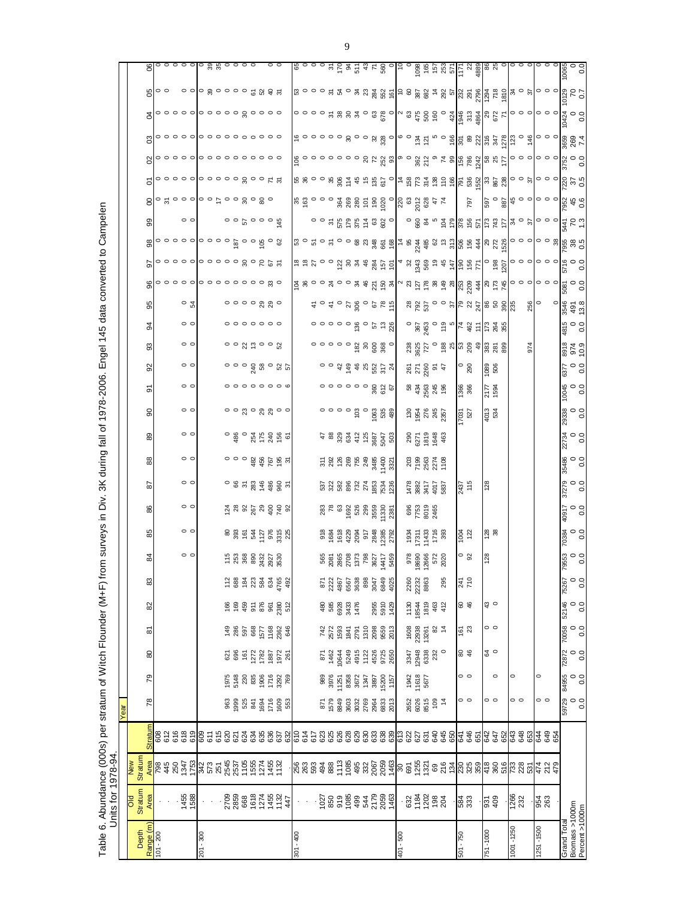|                                  | Units for 1978-94                                  |                                                                                                                    |                    | Year                                     |                             |                                         |                                                             |                       |                                                                                                                               |                                                                 |                                                                                             |                                                                    |                           |                                                                                                                                                                                                                                                                                              |                                                         |                                                                                                    |                                                                                         |                                                                                                                                               |                                                                                                                                                                                                                                                                                                                     |                                                                                                                                                                                                                                                                                                                                                                                |                                                                                                                                                                                                                                                                                                                     |                                                                                                                                                                                                                                                                                                                     |                                                                                        |                                                                                                                  |               |                         |                                                  |
|----------------------------------|----------------------------------------------------|--------------------------------------------------------------------------------------------------------------------|--------------------|------------------------------------------|-----------------------------|-----------------------------------------|-------------------------------------------------------------|-----------------------|-------------------------------------------------------------------------------------------------------------------------------|-----------------------------------------------------------------|---------------------------------------------------------------------------------------------|--------------------------------------------------------------------|---------------------------|----------------------------------------------------------------------------------------------------------------------------------------------------------------------------------------------------------------------------------------------------------------------------------------------|---------------------------------------------------------|----------------------------------------------------------------------------------------------------|-----------------------------------------------------------------------------------------|-----------------------------------------------------------------------------------------------------------------------------------------------|---------------------------------------------------------------------------------------------------------------------------------------------------------------------------------------------------------------------------------------------------------------------------------------------------------------------|--------------------------------------------------------------------------------------------------------------------------------------------------------------------------------------------------------------------------------------------------------------------------------------------------------------------------------------------------------------------------------|---------------------------------------------------------------------------------------------------------------------------------------------------------------------------------------------------------------------------------------------------------------------------------------------------------------------|---------------------------------------------------------------------------------------------------------------------------------------------------------------------------------------------------------------------------------------------------------------------------------------------------------------------|----------------------------------------------------------------------------------------|------------------------------------------------------------------------------------------------------------------|---------------|-------------------------|--------------------------------------------------|
| Depth                            | <b>Stratum</b><br>ទ<br>5                           | Stratum<br>New                                                                                                     |                    |                                          |                             |                                         |                                                             |                       |                                                                                                                               |                                                                 |                                                                                             |                                                                    |                           |                                                                                                                                                                                                                                                                                              |                                                         |                                                                                                    |                                                                                         |                                                                                                                                               |                                                                                                                                                                                                                                                                                                                     |                                                                                                                                                                                                                                                                                                                                                                                |                                                                                                                                                                                                                                                                                                                     |                                                                                                                                                                                                                                                                                                                     |                                                                                        |                                                                                                                  |               |                         |                                                  |
| Range (m)<br>101 - 200           | Area                                               |                                                                                                                    | <b>Stratum</b>     | 78                                       | 79                          | 80                                      | 5                                                           | 82                    | 83                                                                                                                            | \$                                                              | 85                                                                                          | 2<br>86                                                            | $_{88}$                   | 89                                                                                                                                                                                                                                                                                           | 8                                                       | ଚ                                                                                                  | $\overline{9}$                                                                          | 93                                                                                                                                            | 3                                                                                                                                                                                                                                                                                                                   | 95                                                                                                                                                                                                                                                                                                                                                                             |                                                                                                                                                                                                                                                                                                                     |                                                                                                                                                                                                                                                                                                                     |                                                                                        |                                                                                                                  |               |                         |                                                  |
|                                  |                                                    |                                                                                                                    | 808<br>612<br>616  |                                          |                             |                                         |                                                             |                       |                                                                                                                               |                                                                 |                                                                                             |                                                                    |                           |                                                                                                                                                                                                                                                                                              |                                                         |                                                                                                    |                                                                                         |                                                                                                                                               |                                                                                                                                                                                                                                                                                                                     |                                                                                                                                                                                                                                                                                                                                                                                |                                                                                                                                                                                                                                                                                                                     |                                                                                                                                                                                                                                                                                                                     |                                                                                        |                                                                                                                  |               |                         |                                                  |
|                                  | 1455<br>1588                                       | <mark>វ</mark> ី២ ៖ ១ ភូមិ ដូង ប្លូង ប្លូង ប្លូង ប្លូង ប្លូង ប្លូង ប្លូង ប្លូង ប្លូង ប្លូង ប្លូង ប្អូង ប្អូង ប្អូង | 619<br>618         |                                          |                             |                                         |                                                             |                       |                                                                                                                               | $\circ$ $\circ$                                                 | $\circ$ $\circ$                                                                             | $\circ$                                                            | $\circ$                   | $\circ$ $\circ$                                                                                                                                                                                                                                                                              | $\circ$ $\circ$<br>$\circ$ $\circ$                      | $\circ$ $\circ$                                                                                    | $\circ$ $\circ$                                                                         | $\circ$ $\circ$                                                                                                                               | $\circ$ $\circ$                                                                                                                                                                                                                                                                                                     | ం ౫                                                                                                                                                                                                                                                                                                                                                                            | ००००० ००००० २०१ ५ ५                                                                                                                                                                                                                                                                                                 | $\circ$ $\circ$                                                                                                                                                                                                                                                                                                     | $8 \degree$ $\degree$ $\degree$ $\degree$ $\degree$ $\degree$ $\degree$ $\degree$      | $\frac{1}{2}$                                                                                                    | $\frac{1}{2}$ | Roo ဝဝဝမီဝဝဝဝ 2 0 3 4 2 | ဖွေးခြဝေဝဝဝ မွေးမှာ မွေးမှာ မွေးမှာ မွေးမှာ မွေး |
|                                  |                                                    |                                                                                                                    |                    |                                          |                             |                                         |                                                             |                       |                                                                                                                               |                                                                 |                                                                                             |                                                                    |                           |                                                                                                                                                                                                                                                                                              |                                                         |                                                                                                    |                                                                                         |                                                                                                                                               |                                                                                                                                                                                                                                                                                                                     |                                                                                                                                                                                                                                                                                                                                                                                |                                                                                                                                                                                                                                                                                                                     |                                                                                                                                                                                                                                                                                                                     |                                                                                        |                                                                                                                  |               |                         |                                                  |
| 201 - 300                        |                                                    |                                                                                                                    | 85<br>85<br>80     |                                          |                             |                                         |                                                             |                       |                                                                                                                               |                                                                 |                                                                                             |                                                                    |                           |                                                                                                                                                                                                                                                                                              |                                                         |                                                                                                    |                                                                                         |                                                                                                                                               |                                                                                                                                                                                                                                                                                                                     |                                                                                                                                                                                                                                                                                                                                                                                |                                                                                                                                                                                                                                                                                                                     |                                                                                                                                                                                                                                                                                                                     |                                                                                        |                                                                                                                  |               |                         |                                                  |
|                                  |                                                    |                                                                                                                    |                    |                                          |                             |                                         |                                                             |                       |                                                                                                                               |                                                                 |                                                                                             |                                                                    |                           |                                                                                                                                                                                                                                                                                              |                                                         |                                                                                                    |                                                                                         |                                                                                                                                               |                                                                                                                                                                                                                                                                                                                     |                                                                                                                                                                                                                                                                                                                                                                                |                                                                                                                                                                                                                                                                                                                     |                                                                                                                                                                                                                                                                                                                     |                                                                                        |                                                                                                                  |               |                         |                                                  |
|                                  |                                                    |                                                                                                                    | 62 J               |                                          |                             |                                         |                                                             |                       |                                                                                                                               |                                                                 |                                                                                             |                                                                    |                           |                                                                                                                                                                                                                                                                                              |                                                         |                                                                                                    |                                                                                         |                                                                                                                                               |                                                                                                                                                                                                                                                                                                                     |                                                                                                                                                                                                                                                                                                                                                                                |                                                                                                                                                                                                                                                                                                                     |                                                                                                                                                                                                                                                                                                                     |                                                                                        |                                                                                                                  |               |                         |                                                  |
|                                  |                                                    |                                                                                                                    |                    |                                          |                             | 621<br>696                              |                                                             | $\frac{166}{169}$     | $112$ 688                                                                                                                     |                                                                 |                                                                                             |                                                                    |                           |                                                                                                                                                                                                                                                                                              |                                                         |                                                                                                    |                                                                                         |                                                                                                                                               |                                                                                                                                                                                                                                                                                                                     |                                                                                                                                                                                                                                                                                                                                                                                |                                                                                                                                                                                                                                                                                                                     |                                                                                                                                                                                                                                                                                                                     |                                                                                        |                                                                                                                  |               |                         |                                                  |
|                                  |                                                    |                                                                                                                    | 624                |                                          |                             | 161                                     |                                                             |                       |                                                                                                                               |                                                                 |                                                                                             |                                                                    |                           |                                                                                                                                                                                                                                                                                              |                                                         |                                                                                                    |                                                                                         |                                                                                                                                               |                                                                                                                                                                                                                                                                                                                     |                                                                                                                                                                                                                                                                                                                                                                                |                                                                                                                                                                                                                                                                                                                     |                                                                                                                                                                                                                                                                                                                     |                                                                                        |                                                                                                                  |               |                         |                                                  |
|                                  |                                                    |                                                                                                                    | <b>2222</b><br>222 |                                          |                             |                                         |                                                             |                       |                                                                                                                               | 1.588883788                                                     |                                                                                             |                                                                    |                           |                                                                                                                                                                                                                                                                                              |                                                         |                                                                                                    |                                                                                         |                                                                                                                                               | $\circ \circ \circ \circ \circ \circ \circ$                                                                                                                                                                                                                                                                         | ०००० २ २०                                                                                                                                                                                                                                                                                                                                                                      |                                                                                                                                                                                                                                                                                                                     | $\frac{a}{r}$ $\circ$ $\circ$ $\circ$ $\frac{a}{a}$ $\circ$                                                                                                                                                                                                                                                         |                                                                                        |                                                                                                                  |               |                         |                                                  |
|                                  |                                                    |                                                                                                                    |                    |                                          |                             |                                         |                                                             |                       |                                                                                                                               |                                                                 |                                                                                             |                                                                    |                           |                                                                                                                                                                                                                                                                                              |                                                         |                                                                                                    |                                                                                         |                                                                                                                                               |                                                                                                                                                                                                                                                                                                                     |                                                                                                                                                                                                                                                                                                                                                                                |                                                                                                                                                                                                                                                                                                                     |                                                                                                                                                                                                                                                                                                                     |                                                                                        |                                                                                                                  |               |                         |                                                  |
|                                  | 2709<br>2859<br>668<br>167<br>17<br>17<br>17<br>17 |                                                                                                                    | 632                | $8888750$<br>$88750$<br>$58750$<br>$583$ |                             | $\frac{272}{1782}$<br>$\frac{887}{952}$ |                                                             | 45.868825             | $\frac{3}{2}$ $\frac{3}{2}$ $\frac{3}{2}$ $\frac{3}{2}$ $\frac{3}{2}$ $\frac{3}{2}$ $\frac{3}{2}$ $\frac{3}{2}$ $\frac{3}{2}$ |                                                                 | $88851778888$                                                                               | $8.588885$<br><u>ង</u> ឌ ន ន្ថ ឌ ន្ទ ខ ន                           | <b>000 ងួ ង៉ូ</b> ងួ ងួ ង | <b>ូ</b> ឌូ ុ ដូ ក្នុ អូ ទូ ទ                                                                                                                                                                                                                                                                |                                                         | $^{\circ}$ $^{\circ}$ $^{\circ}$ $^{\circ}$ $^{\circ}$ $^{\circ}$ $^{\circ}$ $^{\circ}$ $^{\circ}$ | $\circ$ $\circ$ $\circ$ $\frac{6}{3}$ $\frac{8}{3}$ $\circ$ $\frac{6}{3}$ $\frac{5}{3}$ |                                                                                                                                               |                                                                                                                                                                                                                                                                                                                     |                                                                                                                                                                                                                                                                                                                                                                                |                                                                                                                                                                                                                                                                                                                     |                                                                                                                                                                                                                                                                                                                     |                                                                                        |                                                                                                                  |               |                         |                                                  |
| $301 - 400$                      |                                                    |                                                                                                                    |                    |                                          |                             |                                         |                                                             |                       |                                                                                                                               |                                                                 |                                                                                             |                                                                    |                           |                                                                                                                                                                                                                                                                                              |                                                         |                                                                                                    |                                                                                         |                                                                                                                                               |                                                                                                                                                                                                                                                                                                                     |                                                                                                                                                                                                                                                                                                                                                                                |                                                                                                                                                                                                                                                                                                                     |                                                                                                                                                                                                                                                                                                                     |                                                                                        |                                                                                                                  |               |                         |                                                  |
|                                  |                                                    |                                                                                                                    |                    |                                          |                             |                                         |                                                             |                       |                                                                                                                               |                                                                 |                                                                                             |                                                                    |                           |                                                                                                                                                                                                                                                                                              |                                                         |                                                                                                    |                                                                                         |                                                                                                                                               |                                                                                                                                                                                                                                                                                                                     |                                                                                                                                                                                                                                                                                                                                                                                |                                                                                                                                                                                                                                                                                                                     |                                                                                                                                                                                                                                                                                                                     |                                                                                        |                                                                                                                  |               |                         |                                                  |
|                                  |                                                    |                                                                                                                    |                    |                                          |                             |                                         |                                                             |                       |                                                                                                                               |                                                                 |                                                                                             |                                                                    |                           |                                                                                                                                                                                                                                                                                              |                                                         |                                                                                                    |                                                                                         |                                                                                                                                               |                                                                                                                                                                                                                                                                                                                     |                                                                                                                                                                                                                                                                                                                                                                                |                                                                                                                                                                                                                                                                                                                     |                                                                                                                                                                                                                                                                                                                     |                                                                                        |                                                                                                                  |               |                         |                                                  |
|                                  |                                                    |                                                                                                                    |                    |                                          |                             |                                         |                                                             | 480<br>585            |                                                                                                                               |                                                                 |                                                                                             |                                                                    |                           |                                                                                                                                                                                                                                                                                              |                                                         |                                                                                                    |                                                                                         |                                                                                                                                               |                                                                                                                                                                                                                                                                                                                     |                                                                                                                                                                                                                                                                                                                                                                                |                                                                                                                                                                                                                                                                                                                     |                                                                                                                                                                                                                                                                                                                     |                                                                                        |                                                                                                                  |               |                         |                                                  |
|                                  |                                                    |                                                                                                                    |                    |                                          | 989<br>3976<br>11251        | 871<br>1464<br>1484<br>1485             | 742<br>2572<br>1934<br>2791                                 |                       | $\frac{25}{22}$<br>$\frac{22}{4}$<br>$\frac{25}{4}$<br>$\frac{25}{4}$<br>$\frac{25}{4}$<br>$\frac{25}{4}$                     |                                                                 |                                                                                             |                                                                    |                           |                                                                                                                                                                                                                                                                                              |                                                         |                                                                                                    |                                                                                         |                                                                                                                                               |                                                                                                                                                                                                                                                                                                                     |                                                                                                                                                                                                                                                                                                                                                                                |                                                                                                                                                                                                                                                                                                                     |                                                                                                                                                                                                                                                                                                                     |                                                                                        |                                                                                                                  |               |                         |                                                  |
|                                  |                                                    |                                                                                                                    |                    |                                          |                             |                                         |                                                             | 6928<br>3433<br>1476  |                                                                                                                               |                                                                 |                                                                                             |                                                                    |                           |                                                                                                                                                                                                                                                                                              |                                                         |                                                                                                    |                                                                                         |                                                                                                                                               |                                                                                                                                                                                                                                                                                                                     |                                                                                                                                                                                                                                                                                                                                                                                |                                                                                                                                                                                                                                                                                                                     |                                                                                                                                                                                                                                                                                                                     |                                                                                        |                                                                                                                  |               |                         |                                                  |
|                                  |                                                    |                                                                                                                    |                    |                                          | 8358<br>3672                |                                         |                                                             |                       |                                                                                                                               |                                                                 |                                                                                             |                                                                    |                           |                                                                                                                                                                                                                                                                                              |                                                         |                                                                                                    |                                                                                         |                                                                                                                                               |                                                                                                                                                                                                                                                                                                                     |                                                                                                                                                                                                                                                                                                                                                                                |                                                                                                                                                                                                                                                                                                                     |                                                                                                                                                                                                                                                                                                                     |                                                                                        |                                                                                                                  |               |                         |                                                  |
|                                  |                                                    |                                                                                                                    |                    |                                          |                             |                                         |                                                             |                       |                                                                                                                               |                                                                 |                                                                                             |                                                                    |                           |                                                                                                                                                                                                                                                                                              |                                                         |                                                                                                    |                                                                                         |                                                                                                                                               |                                                                                                                                                                                                                                                                                                                     |                                                                                                                                                                                                                                                                                                                                                                                |                                                                                                                                                                                                                                                                                                                     |                                                                                                                                                                                                                                                                                                                     |                                                                                        |                                                                                                                  |               |                         |                                                  |
|                                  |                                                    |                                                                                                                    |                    |                                          | 1347                        | 1122<br>4526                            |                                                             |                       |                                                                                                                               |                                                                 |                                                                                             |                                                                    |                           |                                                                                                                                                                                                                                                                                              |                                                         |                                                                                                    |                                                                                         |                                                                                                                                               |                                                                                                                                                                                                                                                                                                                     |                                                                                                                                                                                                                                                                                                                                                                                |                                                                                                                                                                                                                                                                                                                     |                                                                                                                                                                                                                                                                                                                     |                                                                                        |                                                                                                                  |               |                         |                                                  |
|                                  |                                                    |                                                                                                                    |                    |                                          |                             |                                         |                                                             | 2955<br>5910          | 89<br>74<br>76<br>88<br>9                                                                                                     |                                                                 |                                                                                             |                                                                    |                           |                                                                                                                                                                                                                                                                                              |                                                         |                                                                                                    |                                                                                         |                                                                                                                                               |                                                                                                                                                                                                                                                                                                                     |                                                                                                                                                                                                                                                                                                                                                                                |                                                                                                                                                                                                                                                                                                                     |                                                                                                                                                                                                                                                                                                                     |                                                                                        |                                                                                                                  |               |                         |                                                  |
|                                  |                                                    |                                                                                                                    |                    |                                          | 15200<br>15200<br>1157      | 9725<br>2650                            | $\begin{array}{l} 1310 \\ 2098 \\ 9559 \\ 2013 \end{array}$ | 1429                  | 4025                                                                                                                          | 565<br>2008 2008 2017<br>2008 2017<br>2018 2017<br>3017<br>3017 | 35<br>1982<br>1983<br>1988<br>1982<br>1982<br>1982                                          | 5388825688<br>5388255688                                           |                           | $\begin{array}{l} 4\  \  \, 8\  \  \, 8\  \  \, 8\  \  \, 8\  \  \, 8\  \  \, 8\  \  \, 8\  \  \, 8\  \  \, 8\  \  \, 8\  \  \, 8\  \  \, 8\  \  \, 8\  \  \, 8\  \  \, 8\  \  \, 8\  \  \, 8\  \  \, 8\  \  \, 8\  \  \, 8\  \  \, 8\  \  \, 8\  \  \, 8\  \  \, 8\  \  \, 8\  \  \, 8\  \$ |                                                         |                                                                                                    | 0 9 4 9 6 8 1 1 1                                                                       | $\begin{array}{r}\n\circ\circ\circ\circ\circ\circ\circ\circ\\ \n\circ\circ\circ\circ\circ\\ \n\circ\circ\circ\circ\circ\circ\circ\end{array}$ | 0 0 0 0 0 0 0 0 0 0 0 0 0 0                                                                                                                                                                                                                                                                                         | $t_{0}$ $t_{0}$ $t_{0}$ $t_{0}$ $t_{0}$ $t_{0}$ $t_{0}$ $t_{0}$                                                                                                                                                                                                                                                                                                                |                                                                                                                                                                                                                                                                                                                     |                                                                                                                                                                                                                                                                                                                     | <u>ង ឆ្នួ ០ ០ ១ ឌុ ឌុ ឌុ ឌុ ទី ១ ខ</u> ី <mark>១ ខ្ញុំ</mark> នូ នី ឌី ភូ <sub>ឌ</sub> |                                                                                                                  |               |                         |                                                  |
| 009 - 10                         |                                                    |                                                                                                                    |                    |                                          |                             |                                         |                                                             |                       |                                                                                                                               |                                                                 |                                                                                             |                                                                    |                           |                                                                                                                                                                                                                                                                                              |                                                         |                                                                                                    |                                                                                         |                                                                                                                                               |                                                                                                                                                                                                                                                                                                                     |                                                                                                                                                                                                                                                                                                                                                                                |                                                                                                                                                                                                                                                                                                                     |                                                                                                                                                                                                                                                                                                                     |                                                                                        |                                                                                                                  |               |                         |                                                  |
|                                  | $-3340288$                                         |                                                                                                                    |                    |                                          |                             |                                         |                                                             |                       | 2260                                                                                                                          |                                                                 |                                                                                             |                                                                    |                           |                                                                                                                                                                                                                                                                                              |                                                         |                                                                                                    |                                                                                         |                                                                                                                                               |                                                                                                                                                                                                                                                                                                                     |                                                                                                                                                                                                                                                                                                                                                                                |                                                                                                                                                                                                                                                                                                                     |                                                                                                                                                                                                                                                                                                                     |                                                                                        |                                                                                                                  |               |                         |                                                  |
|                                  |                                                    |                                                                                                                    |                    | 2652<br>6026<br>8515                     | $1942$<br>$11618$<br>$5677$ | 3347<br>12948<br>6338                   | 1608<br>22938<br>13261                                      | 1130<br>18544         | 22232                                                                                                                         |                                                                 |                                                                                             |                                                                    |                           |                                                                                                                                                                                                                                                                                              |                                                         |                                                                                                    |                                                                                         |                                                                                                                                               |                                                                                                                                                                                                                                                                                                                     |                                                                                                                                                                                                                                                                                                                                                                                |                                                                                                                                                                                                                                                                                                                     |                                                                                                                                                                                                                                                                                                                     |                                                                                        |                                                                                                                  |               |                         |                                                  |
|                                  |                                                    |                                                                                                                    |                    |                                          |                             |                                         |                                                             | 1819                  | 8863                                                                                                                          | 978<br>1869<br>1266<br>172<br>2020                              | 696<br>7753<br>2465<br>$\begin{array}{r} 1934 \\ 1911 \\ 1912 \\ 193 \\ 196 \\ \end{array}$ | $\begin{array}{r} 1478 \\ 382 \\ 417 \\ 491 \\ 583 \\ \end{array}$ | 88<br>888<br>788<br>78    | $\frac{8}{6}$ $\frac{5}{6}$ $\frac{1}{6}$ $\frac{3}{6}$ $\frac{4}{6}$ $\frac{3}{6}$                                                                                                                                                                                                          | <u>ទន្ធ័ ដូ ដូ ដូ</u>                                   | 848888                                                                                             |                                                                                         |                                                                                                                                               |                                                                                                                                                                                                                                                                                                                     |                                                                                                                                                                                                                                                                                                                                                                                |                                                                                                                                                                                                                                                                                                                     |                                                                                                                                                                                                                                                                                                                     |                                                                                        |                                                                                                                  |               |                         |                                                  |
|                                  |                                                    |                                                                                                                    |                    | $rac{10}{2}$                             |                             | 232                                     | $\frac{82}{4}$                                              | $463$<br>$412$        |                                                                                                                               |                                                                 |                                                                                             |                                                                    |                           |                                                                                                                                                                                                                                                                                              |                                                         |                                                                                                    |                                                                                         |                                                                                                                                               |                                                                                                                                                                                                                                                                                                                     |                                                                                                                                                                                                                                                                                                                                                                                |                                                                                                                                                                                                                                                                                                                     |                                                                                                                                                                                                                                                                                                                     |                                                                                        |                                                                                                                  |               |                         |                                                  |
|                                  |                                                    |                                                                                                                    |                    |                                          |                             |                                         |                                                             |                       | 295                                                                                                                           |                                                                 |                                                                                             |                                                                    |                           |                                                                                                                                                                                                                                                                                              |                                                         |                                                                                                    |                                                                                         | ន្លន្លន្ត ១ ឌុន្ទ ឌុ <mark>ន្ទ ឌុន្ទ</mark> ឌុន្ទ ឌុន្ទ                                                                                       | $\frac{1}{2}$ $\frac{1}{2}$ $\frac{1}{2}$ $\frac{1}{2}$ $\frac{1}{2}$ $\frac{1}{2}$ $\frac{1}{2}$ $\frac{1}{2}$ $\frac{1}{2}$ $\frac{1}{2}$ $\frac{1}{2}$ $\frac{1}{2}$ $\frac{1}{2}$ $\frac{1}{2}$ $\frac{1}{2}$ $\frac{1}{2}$ $\frac{1}{2}$ $\frac{1}{2}$ $\frac{1}{2}$ $\frac{1}{2}$ $\frac{1}{2}$ $\frac{1}{2}$ | $\left  \begin{array}{ccc} \frac{1}{2} & \frac{1}{2} & \frac{1}{2} & \frac{1}{2} \\ \frac{1}{2} & \frac{1}{2} & \frac{1}{2} & \frac{1}{2} & \frac{1}{2} \\ \frac{1}{2} & \frac{1}{2} & \frac{1}{2} & \frac{1}{2} & \frac{1}{2} \\ \frac{1}{2} & \frac{1}{2} & \frac{1}{2} & \frac{1}{2} & \frac{1}{2} \end{array} \right $<br>ឌ ខ្លួ ខ្លួ ១ ១ <mark>២ ឌ ឌ ឌ ឌ ឌ ឌ ឌ ឌ ឌ</mark> | $\frac{1}{6}$ $\frac{1}{6}$ $\frac{1}{6}$ $\frac{1}{6}$ $\frac{1}{6}$ $\frac{1}{6}$ $\frac{1}{6}$ $\frac{1}{6}$ $\frac{1}{6}$ $\frac{1}{6}$ $\frac{1}{6}$ $\frac{1}{6}$ $\frac{1}{6}$ $\frac{1}{6}$ $\frac{1}{6}$ $\frac{1}{6}$ $\frac{1}{6}$ $\frac{1}{6}$ $\frac{1}{6}$ $\frac{1}{6}$ $\frac{1}{6}$ $\frac{1}{6}$ | $\frac{1}{2}$ $\frac{1}{2}$ $\frac{1}{2}$ $\frac{1}{2}$ $\frac{1}{2}$ $\frac{1}{2}$ $\frac{1}{2}$ $\frac{1}{2}$ $\frac{1}{2}$ $\frac{1}{2}$ $\frac{1}{2}$ $\frac{1}{2}$ $\frac{1}{2}$ $\frac{1}{2}$ $\frac{1}{2}$ $\frac{1}{2}$ $\frac{1}{2}$ $\frac{1}{2}$ $\frac{1}{2}$ $\frac{1}{2}$ $\frac{1}{2}$ $\frac{1}{2}$ |                                                                                        | စ္ပြဲ ေစာေပးပါ အဆိုင္ရာ ေန႔ ေဆးေက်ာ္ေတြ ေတြ ေတြ ေတြ ေတြ ေတြ<br>ေတြ ေစာေပးပါ အဆိုင္ရာ ေန႔ ေဆးေက်ာ္ေတြ ေတြ ေတြ ေတြ |               |                         |                                                  |
| 501 - 750                        | 584<br>333                                         |                                                                                                                    |                    | ၁ ဝ                                      | $\circ$ $\circ$             | <b>8 \$</b>                             | គ្រូ<br>23                                                  | 8 \$                  | 241<br>710                                                                                                                    | ം ജ                                                             | $\frac{64}{122}$                                                                            | 2437<br>115                                                        |                           |                                                                                                                                                                                                                                                                                              | $\frac{1}{2}$                                           | 1366<br>366                                                                                        | $\degree$ 0 $\degree$                                                                   |                                                                                                                                               |                                                                                                                                                                                                                                                                                                                     |                                                                                                                                                                                                                                                                                                                                                                                |                                                                                                                                                                                                                                                                                                                     |                                                                                                                                                                                                                                                                                                                     |                                                                                        |                                                                                                                  |               |                         |                                                  |
|                                  |                                                    |                                                                                                                    |                    |                                          |                             |                                         |                                                             |                       |                                                                                                                               |                                                                 |                                                                                             |                                                                    |                           |                                                                                                                                                                                                                                                                                              |                                                         |                                                                                                    |                                                                                         |                                                                                                                                               |                                                                                                                                                                                                                                                                                                                     |                                                                                                                                                                                                                                                                                                                                                                                |                                                                                                                                                                                                                                                                                                                     |                                                                                                                                                                                                                                                                                                                     | <u>162</u>                                                                             |                                                                                                                  |               |                         |                                                  |
| 751-1000                         |                                                    |                                                                                                                    |                    |                                          |                             |                                         |                                                             |                       |                                                                                                                               | 128                                                             |                                                                                             | 128                                                                |                           |                                                                                                                                                                                                                                                                                              |                                                         |                                                                                                    |                                                                                         |                                                                                                                                               |                                                                                                                                                                                                                                                                                                                     |                                                                                                                                                                                                                                                                                                                                                                                |                                                                                                                                                                                                                                                                                                                     |                                                                                                                                                                                                                                                                                                                     |                                                                                        |                                                                                                                  |               |                         |                                                  |
|                                  | 80<br>186                                          |                                                                                                                    |                    | 。。                                       | $\circ$                     | $\frac{6}{4}$                           | $\circ$ $\circ$                                             | ಳಿ ∘                  |                                                                                                                               |                                                                 | $\frac{8}{28}$                                                                              |                                                                    |                           |                                                                                                                                                                                                                                                                                              | 4013<br>534                                             | 2177<br>1594                                                                                       | 1089<br>506                                                                             |                                                                                                                                               |                                                                                                                                                                                                                                                                                                                     |                                                                                                                                                                                                                                                                                                                                                                                |                                                                                                                                                                                                                                                                                                                     |                                                                                                                                                                                                                                                                                                                     |                                                                                        |                                                                                                                  |               |                         |                                                  |
|                                  |                                                    |                                                                                                                    |                    |                                          |                             |                                         |                                                             |                       |                                                                                                                               |                                                                 |                                                                                             |                                                                    |                           |                                                                                                                                                                                                                                                                                              |                                                         |                                                                                                    |                                                                                         |                                                                                                                                               |                                                                                                                                                                                                                                                                                                                     |                                                                                                                                                                                                                                                                                                                                                                                |                                                                                                                                                                                                                                                                                                                     |                                                                                                                                                                                                                                                                                                                     |                                                                                        |                                                                                                                  |               |                         |                                                  |
| 1001 - 1250                      | 1266<br>232                                        |                                                                                                                    |                    | 。。                                       | $\circ$                     |                                         |                                                             |                       |                                                                                                                               |                                                                 |                                                                                             |                                                                    |                           |                                                                                                                                                                                                                                                                                              |                                                         |                                                                                                    |                                                                                         |                                                                                                                                               |                                                                                                                                                                                                                                                                                                                     |                                                                                                                                                                                                                                                                                                                                                                                |                                                                                                                                                                                                                                                                                                                     |                                                                                                                                                                                                                                                                                                                     |                                                                                        |                                                                                                                  |               |                         |                                                  |
|                                  |                                                    |                                                                                                                    |                    |                                          |                             |                                         |                                                             |                       |                                                                                                                               |                                                                 |                                                                                             |                                                                    |                           |                                                                                                                                                                                                                                                                                              |                                                         |                                                                                                    |                                                                                         |                                                                                                                                               |                                                                                                                                                                                                                                                                                                                     |                                                                                                                                                                                                                                                                                                                                                                                |                                                                                                                                                                                                                                                                                                                     |                                                                                                                                                                                                                                                                                                                     |                                                                                        |                                                                                                                  |               |                         |                                                  |
| 1251-1500                        |                                                    |                                                                                                                    |                    |                                          | $\circ$                     |                                         |                                                             |                       |                                                                                                                               |                                                                 |                                                                                             |                                                                    |                           |                                                                                                                                                                                                                                                                                              |                                                         |                                                                                                    |                                                                                         | 974                                                                                                                                           |                                                                                                                                                                                                                                                                                                                     | 256                                                                                                                                                                                                                                                                                                                                                                            |                                                                                                                                                                                                                                                                                                                     |                                                                                                                                                                                                                                                                                                                     |                                                                                        |                                                                                                                  |               |                         |                                                  |
|                                  | 954<br>263                                         |                                                                                                                    |                    | 。。                                       |                             |                                         |                                                             |                       |                                                                                                                               |                                                                 |                                                                                             |                                                                    |                           |                                                                                                                                                                                                                                                                                              |                                                         |                                                                                                    |                                                                                         |                                                                                                                                               |                                                                                                                                                                                                                                                                                                                     |                                                                                                                                                                                                                                                                                                                                                                                |                                                                                                                                                                                                                                                                                                                     |                                                                                                                                                                                                                                                                                                                     |                                                                                        |                                                                                                                  |               |                         |                                                  |
|                                  |                                                    |                                                                                                                    |                    |                                          |                             |                                         |                                                             |                       |                                                                                                                               |                                                                 |                                                                                             |                                                                    |                           |                                                                                                                                                                                                                                                                                              |                                                         |                                                                                                    |                                                                                         |                                                                                                                                               |                                                                                                                                                                                                                                                                                                                     |                                                                                                                                                                                                                                                                                                                                                                                |                                                                                                                                                                                                                                                                                                                     |                                                                                                                                                                                                                                                                                                                     | <b>5</b> 0 2 4 0 0 0 0 0 3 4 0 0                                                       |                                                                                                                  |               |                         |                                                  |
| Grand Total                      |                                                    |                                                                                                                    |                    | 59729                                    | 84955                       | 72872                                   | 70058                                                       | 52146                 | 75267                                                                                                                         | 79553<br>0<br>0.0                                               | 40917<br>$\frac{0}{1000}$                                                                   | $\begin{array}{c} 0.0 \\ 0.0 \end{array}$                          | 35486                     | 27734<br>0.0                                                                                                                                                                                                                                                                                 | $\begin{bmatrix} 0 & 0 \\ 0 & 0 \\ 0 & 0 \end{bmatrix}$ | 10045                                                                                              |                                                                                         | 8918                                                                                                                                          | $4815$<br>0.0                                                                                                                                                                                                                                                                                                       | 500<br>0.0<br>3546<br>491<br>13.8                                                                                                                                                                                                                                                                                                                                              |                                                                                                                                                                                                                                                                                                                     |                                                                                                                                                                                                                                                                                                                     |                                                                                        |                                                                                                                  |               |                         |                                                  |
| Biomass >1000m<br>Percent >1000m |                                                    |                                                                                                                    |                    | $\circ$ $\circ$                          | $\circ$ $\circ$             | $\circ$ $\circ$                         | $\circ$ <sub>o</sub>                                        | $\circ$ $\frac{0}{0}$ | $\circ$ <sub>o</sub>                                                                                                          |                                                                 |                                                                                             | $\circ$ $\circ$                                                    | $\frac{0}{0}$             |                                                                                                                                                                                                                                                                                              |                                                         | $\degree$                                                                                          | $\circ$ <sub>0</sub> .0                                                                 | 974<br>10.9                                                                                                                                   |                                                                                                                                                                                                                                                                                                                     |                                                                                                                                                                                                                                                                                                                                                                                |                                                                                                                                                                                                                                                                                                                     |                                                                                                                                                                                                                                                                                                                     |                                                                                        |                                                                                                                  |               |                         |                                                  |
|                                  |                                                    |                                                                                                                    |                    |                                          |                             |                                         |                                                             |                       |                                                                                                                               |                                                                 |                                                                                             |                                                                    |                           |                                                                                                                                                                                                                                                                                              |                                                         |                                                                                                    |                                                                                         |                                                                                                                                               |                                                                                                                                                                                                                                                                                                                     |                                                                                                                                                                                                                                                                                                                                                                                |                                                                                                                                                                                                                                                                                                                     |                                                                                                                                                                                                                                                                                                                     |                                                                                        |                                                                                                                  |               |                         |                                                  |

Table 6. Abundance (000s) per stratum of Witch Flounder (M+F) from surveys in Div. 3K during fall of 1978-2006. Engel 145 data converted to Campelen Table 6. Abundance (000s) per stratum of Witch Flounder (M+F) from surveys in Div. 3K during fall of 1978-2006. Engel 145 data converted to Campelen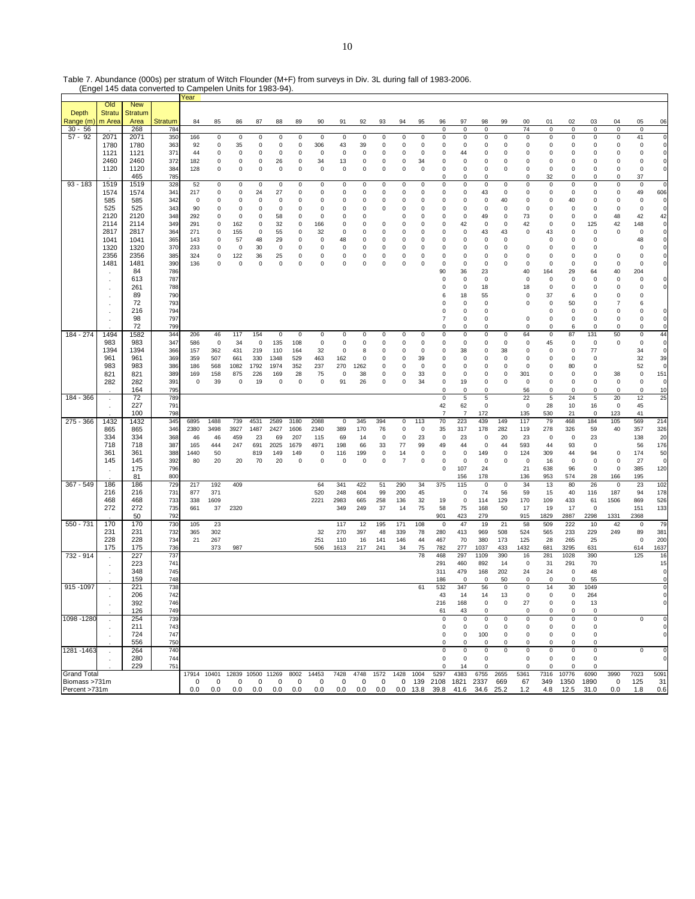Table 7. Abundance (000s) per stratum of Witch Flounder (M+F) from surveys in Div. 3L during fall of 1983-2006.

|                       |               |                | (Engel 145 data converted to Campelen Units for 1983-94). |            |             |                   |             |             |                  |             |            |             |                            |                  |                 |                            |                          |                   |                   |                   |                  |             |                   |                           |                          |                  |
|-----------------------|---------------|----------------|-----------------------------------------------------------|------------|-------------|-------------------|-------------|-------------|------------------|-------------|------------|-------------|----------------------------|------------------|-----------------|----------------------------|--------------------------|-------------------|-------------------|-------------------|------------------|-------------|-------------------|---------------------------|--------------------------|------------------|
|                       |               |                |                                                           | Year       |             |                   |             |             |                  |             |            |             |                            |                  |                 |                            |                          |                   |                   |                   |                  |             |                   |                           |                          |                  |
|                       | Old           | <b>New</b>     |                                                           |            |             |                   |             |             |                  |             |            |             |                            |                  |                 |                            |                          |                   |                   |                   |                  |             |                   |                           |                          |                  |
| Depth                 | <b>Stratu</b> | <b>Stratum</b> |                                                           |            |             |                   |             |             |                  |             |            |             |                            |                  |                 |                            |                          |                   |                   | 00                | 01               |             |                   | 04                        |                          |                  |
| Range (m<br>$30 - 56$ | m Area        | Area<br>268    | Stratum<br>784                                            | 84         | 85          | 86                | 87          | 88          | 89               | 90          | 91         | 92          | 93                         | 94               | 95              | 96<br>$\mathbf 0$          | 97<br>$\mathsf 0$        | 98<br>0           | 99                | 74                | $\mathsf 0$      | 02<br>0     | 03<br>0           | $\mathbf 0$               | 05<br>$\mathsf 0$        | 06               |
| $57 - 92$             | 2071          | 2071           | 350                                                       | 166        | 0           | $\mathbf 0$       | $\pmb{0}$   | $\pmb{0}$   | $\pmb{0}$        | $\pmb{0}$   | 0          | $\mathsf 0$ | $\pmb{0}$                  | $\pmb{0}$        | $\,0\,$         | 0                          | $\mathsf 0$              | 0                 | $\mathsf 0$       | $\,0\,$           | $\pmb{0}$        | 0           | 0                 | $\pmb{0}$                 | 41                       | O                |
|                       | 1780          | 1780           | 363                                                       | 92         | 0           | 35                | $\pmb{0}$   | $\pmb{0}$   | $\pmb{0}$        | 306         | 43         | 39          | $\pmb{0}$                  | $\pmb{0}$        | $\pmb{0}$       | $\mathbf 0$                | $\pmb{0}$                | 0                 | $\pmb{0}$         | $\pmb{0}$         | $\pmb{0}$        | 0           | 0                 | $\pmb{0}$                 | $\mathbf 0$              | O                |
|                       | 1121          | 1121           | 371                                                       | 44         | 0           | 0                 | 0           | 0           | 0                | 0           | 0          | 0           | 0                          | 0                | 0               | $\mathbf 0$                | 44                       | 0                 | 0                 | $\overline{0}$    | 0                | 0           | 0                 | 0                         | 0                        | O                |
|                       | 2460          | 2460           | 372                                                       | 182        | 0           | $\pmb{0}$         | $\pmb{0}$   | 26          | $\pmb{0}$        | 34          | 13         | 0           | $\pmb{0}$                  | 0                | 34              | $\mathbf 0$                | $\pmb{0}$                | 0                 | 0                 | $\pmb{0}$         | $\pmb{0}$        | 0           | 0                 | 0                         | $\mathsf 0$              | O                |
|                       | 1120          | 1120           | 384                                                       | 128        | 0           | $\mathbf 0$       | $\pmb{0}$   | $\pmb{0}$   | $\mathbf 0$      | $\mathsf 0$ | 0          | 0           | $\pmb{0}$                  | $\mathbf 0$      | $\overline{0}$  | $\mathbf 0$                | $\pmb{0}$                | 0                 | 0                 | 0                 | $\mathsf 0$      | 0           | 0                 | $\pmb{0}$                 | $\mathsf 0$              | O                |
|                       |               | 465            | 785                                                       |            |             |                   |             |             |                  |             |            |             |                            |                  |                 | $\mathbf 0$                | $\mathbf 0$              | 0                 |                   | 0                 | 32               | 0           | 0                 | 0                         | 37                       |                  |
| $93 - 183$            | 1519          | 1519           | 328                                                       | 52         | 0           | $\mathbf 0$       | 0           | 0           | $\pmb{0}$        | 0           | 0          | 0           | 0                          | 0                | 0               | 0                          | 0                        | 0                 | $\mathsf 0$       | 0                 | 0                | 0           | 0                 | $\mathsf 0$               | $\mathbf 0$              | O                |
|                       | 1574          | 1574           | 341                                                       | 217        | 0           | 0                 | 24          | 27          | $\mathbf 0$      | 0           | 0          | 0           | 0                          | 0                | 0               | 0                          | 0                        | 43                | $\mathsf 0$       | 0                 | 0                | 0           | 0                 | 0                         | 49                       | 606              |
|                       | 585           | 585            | 342                                                       | 0          | 0           | 0                 | 0           | $\pmb{0}$   | $\pmb{0}$        | 0           | 0          | 0           | $\pmb{0}$                  | 0                | 0               | $\mathbf 0$                | 0                        | 0                 | 40                | $\mathsf 0$       | 0                | 40          | 0                 | 0                         | $\mathbf 0$              | O                |
|                       | 525           | 525            | 343                                                       | 90         | 0           | $\mathbf 0$       | $\pmb{0}$   | $\mathbf 0$ | $\mathbf 0$      | 0           | 0          | 0           | $\mathbf 0$                | 0                | $\mathbf 0$     | $\mathbf 0$                | $\mathbf 0$              | 0                 | $\mathbf 0$       | $\pmb{0}$         | $\pmb{0}$        | $\Omega$    | 0                 | $\mathbf 0$               | $\mathsf 0$              | O                |
|                       | 2120<br>2114  | 2120           | 348                                                       | 292        | 0           | $\mathbf 0$       | 0           | 58          | $\mathbf 0$      | 0           | 0          | 0           |                            | $\mathbf 0$      | 0               | $\mathbf 0$                | $\mathbf 0$              | 49                | $\mathbf 0$       | 73                | $\mathsf 0$      | 0           | 0                 | 48                        | 42                       | 42               |
|                       | 2817          | 2114<br>2817   | 349<br>364                                                | 291<br>271 | 0<br>0      | 162<br>155        | 0<br>0      | 32<br>55    | 0<br>$\mathbf 0$ | 166<br>32   | 0<br>0     | 0<br>0      | $\mathbf 0$<br>$\mathbf 0$ | $\mathbf 0$<br>0 | $^{\circ}$<br>0 | $\mathbf 0$<br>$\mathbf 0$ | 42<br>$\mathbf 0$        | 0<br>43           | 0<br>43           | 42<br>$\pmb{0}$   | 0<br>43          | 0<br>0      | 125<br>0          | 42<br>$\mathbf 0$         | 148<br>$\mathbf 0$       | O<br>O           |
|                       | 1041          | 1041           | 365                                                       | 143        | 0           | 57                | 48          | 29          | 0                | 0           | 48         | 0           | $\mathbf 0$                | $\mathbf 0$      | 0               | $\mathbf 0$                | 0                        | 0                 | $\mathbf 0$       |                   | 0                | 0           | 0                 |                           | 48                       | O                |
|                       | 1320          | 1320           | 37C                                                       | 233        | 0           | 0                 | 30          | 0           | 0                | 0           | 0          | 0           | 0                          | 0                | 0               | 0                          | 0                        | 0                 | 0                 | $\overline{0}$    | 0                | 0           | 0                 |                           | 0                        | $\mathbf 0$      |
|                       | 2356          | 2356           | 385                                                       | 324        | 0           | 122               | 36          | 25          | $\pmb{0}$        | 0           | 0          | 0           | $\pmb{0}$                  | $\pmb{0}$        | $\pmb{0}$       | $\Omega$                   | $\mathbf 0$              | 0                 | $\mathbf 0$       | $\mathbf 0$       | $\mathsf 0$      | $\Omega$    | 0                 | $\mathbf 0$               | 0                        | O                |
|                       | 1481          | 1481           | 390                                                       | 136        | 0           | $\pmb{0}$         | 0           | $\mathbf 0$ | $\pmb{0}$        | 0           | 0          | 0           | $\mathbf 0$                | $\mathbf 0$      | $\mathbf 0$     | $\mathbf 0$                | 0                        | 0                 | 0                 | $\mathbf 0$       | $\mathsf 0$      | 0           | 0                 | 0                         | $\mathbf 0$              |                  |
|                       |               | 84             | 786                                                       |            |             |                   |             |             |                  |             |            |             |                            |                  |                 | 90                         | 36                       | 23                |                   | 40                | 164              | 29          | 64                | 40                        | 204                      |                  |
|                       |               | 613            | 787                                                       |            |             |                   |             |             |                  |             |            |             |                            |                  |                 | $\mathbf 0$                | $^{\circ}$               | $\mathsf 0$       |                   | $\mathbf 0$       | 0                | 0           | 0                 | 0                         | $\mathbf 0$              | 0                |
|                       | $\cdot$       | 261            | 788                                                       |            |             |                   |             |             |                  |             |            |             |                            |                  |                 | 0                          | 0                        | 18                |                   | 18                | 0                | 0           | 0                 | $^{\circ}$                | 0                        | O                |
|                       |               | 89             | 790                                                       |            |             |                   |             |             |                  |             |            |             |                            |                  |                 | 6                          | 18                       | 55                |                   | $\pmb{0}$         | 37               | 6           | 0                 | 0                         | $\mathbf 0$              |                  |
|                       |               | 72             | 793                                                       |            |             |                   |             |             |                  |             |            |             |                            |                  |                 | 0                          | $^{\circ}$               | 0                 |                   | $\mathbf 0$       | 0                | 50          | 0                 | $\overline{7}$            | 6                        |                  |
|                       | $\cdot$       | 216<br>98      | 794<br>797                                                |            |             |                   |             |             |                  |             |            |             |                            |                  |                 | 0<br>$\overline{7}$        | $\mathbf 0$<br>$\pmb{0}$ | 0<br>0            |                   | $\mathbf 0$       | 0<br>$\pmb{0}$   | 0<br>0      | 0<br>0            | $^{\circ}$<br>$\mathsf 0$ | $\mathbf 0$<br>$\pmb{0}$ | O<br>$\mathbf 0$ |
|                       |               | 72             | 799                                                       |            |             |                   |             |             |                  |             |            |             |                            |                  |                 | $\Omega$                   | 0                        | 0                 |                   | $\mathbf 0$       | $\mathbf 0$      | 6           | $\mathbf 0$       | 0                         | $\mathbf 0$              | O                |
| $184 - 274$           | 1494          | 1582           | 344                                                       | 206        | 46          | 117               | 154         | $\pmb{0}$   | $\pmb{0}$        | $\pmb{0}$   | 0          | 0           | 0                          | $\pmb{0}$        | $\,0\,$         | $\mathbf 0$                | 0                        | 0                 | $\mathsf 0$       | 64                | $\pmb{0}$        | 87          | 131               | 50                        | $\mathbf 0$              | 44               |
|                       | 983           | 983            | 347                                                       | 586        | $\mathbf 0$ | 34                | $\mathbf 0$ | 135         | 108              | $\mathsf 0$ | 0          | 0           | $\pmb{0}$                  | $\pmb{0}$        | $\,0\,$         | 0                          | $\pmb{0}$                | 0                 | $\pmb{0}$         | $\pmb{0}$         | 45               | 0           | $\mathsf 0$       | $\pmb{0}$                 | $\mathsf 0$              | $\mathbf 0$      |
|                       | 1394          | 1394           | 366                                                       | 157        | 362         | 431               | 219         | 110         | 164              | 32          | 0          | 8           | 0                          | 0                | $\mathbf 0$     | $\mathbf 0$                | 38                       | 0                 | 38                | $\overline{0}$    | 0                | 0           | 77                |                           | 34                       | $\mathbf 0$      |
|                       | 961           | 961            | 369                                                       | 359        | 507         | 661               | 330         | 1348        | 529              | 463         | 162        | 0           | $\mathbf 0$                | 0                | 39              | $\Omega$                   | $\mathbf 0$              | 0                 | $\mathbf 0$       | $\mathbf 0$       | 0                | 0           | 0                 |                           | 32                       | 39               |
|                       | 983           | 983            | 386                                                       | 186        | 568         | 1082              | 1792        | 1974        | 352              | 237         | 270        | 1262        | $\mathbf 0$                | 0                | $^{\circ}$      | $\mathbf 0$                | $\mathbf 0$              | 0                 | $\mathbf 0$       | $\mathbf 0$       | 0                | 80          | 0                 |                           | 52                       | $\mathbf 0$      |
|                       | 821           | 821            | 389                                                       | 169        | 158         | 875               | 226         | 169         | 28               | 75          | 0          | 38          | 0                          | $\mathbf 0$      | 33              | $\mathbf 0$                | 0                        | 0                 | 0                 | 301               | 0                | 0           | 0                 | 38                        | $\pmb{0}$                | 151              |
|                       | 282           | 282            | 391                                                       | 0          | 39          | $\mathbf 0$       | 19          | $\mathbf 0$ | $\mathbf 0$      | $\pmb{0}$   | 91         | 26          | 0                          | $\pmb{0}$        | 34              | $\mathbf 0$                | 19                       | 0                 | $\mathbf 0$       | $\mathbf 0$       | 0                | 0           | 0                 | $\mathbf 0$               | $\mathbf 0$              | $\circ$          |
|                       |               | 164            | 795                                                       |            |             |                   |             |             |                  |             |            |             |                            |                  |                 | $\mathbf 0$                | 0                        | 0                 |                   | 56                | $\mathsf 0$      | 0           | 0                 | 0                         | $\mathbf 0$              | 10               |
| 184 - 366             | $\sim$        | 72<br>227      | 789<br>791                                                |            |             |                   |             |             |                  |             |            |             |                            |                  |                 | $\mathsf 0$<br>42          | $\,$ 5 $\,$<br>62        | 5<br>0            |                   | 22<br>$\mathbf 0$ | $\sqrt{5}$<br>28 | 24<br>10    | $\mathbf 5$<br>16 | 20<br>$\mathbf 0$         | 12<br>45                 | 25               |
|                       | $\cdot$       | 100            | 798                                                       |            |             |                   |             |             |                  |             |            |             |                            |                  |                 | 7                          | $\overline{7}$           | 172               |                   | 135               | 530              | 21          | 0                 | 123                       | 41                       |                  |
| $275 - 366$           | 1432          | 1432           | 345                                                       | 6895       | 1488        | 739               | 4531        | 2589        | 3180             | 2088        | $\pmb{0}$  | 345         | 394                        | 0                | 113             | 70                         | 223                      | 439               | 149               | 117               | 79               | 468         | 184               | 105                       | 569                      | 214              |
|                       | 865           | 865            | 346                                                       | 2380       | 3498        | 3927              | 1487        | 2427        | 1606             | 2340        | 389        | 170         | 76                         | $\mathbf 0$      | $\overline{0}$  | 35                         | 317                      | 178               | 282               | 119               | 278              | 326         | 59                | 40                        | 357                      | 326              |
|                       | 334           | 334            | 368                                                       | 46         | 46          | 459               | 23          | 69          | 207              | 115         | 69         | 14          | 0                          | 0                | 23              | 0                          | 23                       | 0                 | 20                | 23                | 0                | 0           | 23                |                           | 138                      | 20               |
|                       | 718           | 718            | 387                                                       | 165        | 444         | 247               | 691         | 2025        | 1679             | 4971        | 198        | 66          | 33                         | 77               | 99              | 49                         | 44                       | 0                 | 44                | 593               | 44               | 93          | 0                 |                           | 56                       | 176              |
|                       | 361           | 361            | 388                                                       | 1440       | 50          |                   | 819         | 149         | 149              | 0           | 116        | 199         | $\mathbf 0$                | 14               | $\mathbf 0$     | 0                          | $\mathbf 0$              | 149               | $\mathbf 0$       | 124               | 309              | 44          | 94                | 0                         | 174                      | 50               |
|                       | 145           | 145            | 392                                                       | 80         | 20          | 20                | 70          | 20          | 0                | 0           | 0          | 0           | $\pmb{0}$                  | $\overline{7}$   | 0               | $\mathbf 0$                | $\mathbf 0$              | 0                 | 0                 | $\mathbf 0$       | 16               | $\mathbf 0$ | 0                 | 0                         | 27                       | $\mathbf 0$      |
|                       |               | 175            | 796                                                       |            |             |                   |             |             |                  |             |            |             |                            |                  |                 | $\mathbf 0$                | 107                      | 24                |                   | 21                | 638              | 96          | 0                 | $\pmb{0}$                 | 385                      | 120              |
| $367 - 549$           | 186           | 81             | 800                                                       |            |             |                   |             |             |                  | 64          |            |             |                            |                  |                 |                            | 156                      | 178               |                   | 136<br>34         | 953              | 574         | 28                | 166                       | 195                      |                  |
|                       | 216           | 186<br>216     | 729<br>731                                                | 217<br>877 | 192<br>371  | 409               |             |             |                  | 520         | 341<br>248 | 422<br>604  | 51<br>99                   | 290<br>200       | 34<br>45        | 375                        | 115<br>$\pmb{0}$         | $\mathbf 0$<br>74 | $\mathbf 0$<br>56 | 59                | 13<br>15         | 80<br>40    | 26<br>116         | $\mathbf 0$<br>187        | 23<br>94                 | 102<br>178       |
|                       | 468           | 468            | 733                                                       | 338        | 1609        |                   |             |             |                  | 2221        | 2983       | 665         | 258                        | 136              | 32              | 19                         | $\mathsf 0$              | 114               | 129               | 170               | 109              | 433         | 61                | 1506                      | 869                      | 526              |
|                       | 272           | 272            | 735                                                       | 661        | 37          | 2320              |             |             |                  |             | 349        | 249         | 37                         | 14               | 75              | 58                         | 75                       | 168               | 50                | 17                | 19               | 17          | $\mathsf 0$       |                           | 151                      | 133              |
|                       |               | 50             | 792                                                       |            |             |                   |             |             |                  |             |            |             |                            |                  |                 | 901                        | 423                      | 279               |                   | 915               | 1829             | 2887        | 2298              | 1331                      | 2368                     |                  |
| 550 - 731             | 170           | 170            | 730                                                       | 105        | 23          |                   |             |             |                  |             | 117        | 12          | 195                        | 171              | 108             | 0                          | 47                       | 19                | 21                | 58                | 509              | 222         | 10                | 42                        | 0                        | 79               |
|                       | 231           | 231            | 732                                                       | 365        | 302         |                   |             |             |                  | 32          | 270        | 397         | 48                         | 339              | 78              | 280                        | 413                      | 969               | 508               | 524               | 565              | 233         | 229               | 249                       | 89                       | 381              |
|                       | 228           | 228            | 734                                                       | 21         | 267         |                   |             |             |                  | 251         | 110        | 16          | 141                        | 146              | 44              | 467                        | 70                       | 380               | 173               | 125               | 28               | 265         | 25                |                           | $\mathbf 0$              | 200              |
|                       | 175           | 175            | 736                                                       |            | 373         | 987               |             |             |                  | 506         | 1613       | 217         | 241                        | 34               | 75              | 782                        | 277                      | 1037              | 433               | 1432              | 681              | 3295        | 631               |                           | 614                      | 1637             |
| 732 - 914             | $\cdot$       | 227            | 737                                                       |            |             |                   |             |             |                  |             |            |             |                            |                  | 78              | 468                        | 297                      | 1109              | 390               | 16                | 281              | 1028        | 390               |                           | 125                      | 16               |
|                       | $\cdot$       | 223<br>348     | 741<br>745                                                |            |             |                   |             |             |                  |             |            |             |                            |                  |                 | 291<br>311                 | 460<br>479               | 892<br>168        | 14<br>202         | $\mathbf 0$<br>24 | 31<br>24         | 291<br>0    | 70<br>48          |                           |                          | 15               |
|                       |               | 159            | 748                                                       |            |             |                   |             |             |                  |             |            |             |                            |                  |                 | 186                        | $\mathbf 0$              | $\mathbf 0$       | 50                | $\mathbf 0$       | $\mathbf 0$      | $\mathbf 0$ | 55                |                           |                          | O                |
| 915 - 1097            |               | 221            | 738                                                       |            |             |                   |             |             |                  |             |            |             |                            |                  | 61              | 532                        | 347                      | 56                | $\mathbf 0$       | $\mathbf 0$       | 14               | 30          | 1049              |                           |                          | O                |
|                       |               | 206            | 742                                                       |            |             |                   |             |             |                  |             |            |             |                            |                  |                 | 43                         | 14                       | 14                | 13                | 0                 | 0                | 0           | 264               |                           |                          |                  |
|                       |               | 392            | 746                                                       |            |             |                   |             |             |                  |             |            |             |                            |                  |                 | 216                        | 168                      | 0                 | $\mathsf 0$       | 27                | 0                | $\mathsf 0$ | 13                |                           |                          | O                |
|                       |               | 126            | 749                                                       |            |             |                   |             |             |                  |             |            |             |                            |                  |                 | 61                         | 43                       | 0                 |                   | $\mathbf 0$       | 0                | 0           | 0                 |                           |                          |                  |
| 1098 - 1280           |               | 254            | 739                                                       |            |             |                   |             |             |                  |             |            |             |                            |                  |                 | $\mathbf 0$                | $\pmb{0}$                | 0                 | 0                 | 0                 | $\pmb{0}$        | 0           | 0                 |                           | $\Omega$                 | O                |
|                       |               | 211            | 743                                                       |            |             |                   |             |             |                  |             |            |             |                            |                  |                 | 0                          | 0                        | 0                 | 0                 | $\mathbf 0$       | 0                | 0           | 0                 |                           |                          | $\mathbf 0$      |
|                       |               | 724            | 747                                                       |            |             |                   |             |             |                  |             |            |             |                            |                  |                 | 0                          | 0                        | 100               | 0                 | 0                 | 0                | 0           | 0                 |                           |                          | $\mathbf 0$      |
| 1281 - 1463           |               | 556<br>264     | 750<br>740                                                |            |             |                   |             |             |                  |             |            |             |                            |                  |                 | 0<br>0                     | 0<br>0                   | 0<br>0            | 0<br>0            | 0<br>$\mathbf 0$  | 0<br>$\pmb{0}$   | 0<br>0      | 0<br>0            |                           | 0                        | O                |
|                       |               | 280            | 744                                                       |            |             |                   |             |             |                  |             |            |             |                            |                  |                 | 0                          | 0                        | 0                 |                   | $\mathbf 0$       | 0                | 0           | 0                 |                           |                          | $\mathbf 0$      |
|                       |               | 229            | 751                                                       |            |             |                   |             |             |                  |             |            |             |                            |                  |                 | $\Omega$                   | 14                       | $\Omega$          |                   | $\Omega$          | $\Omega$         | $\Omega$    | $\Omega$          |                           |                          |                  |
| <b>Grand Total</b>    |               |                |                                                           | 17914      | 10401       | 12839 10500 11269 |             |             | 8002             | 14453       | 7428       | 4748        | 1572                       | 1428             | 1004            | 5297                       | 4383                     | 6755              | 2655              | 5361              | 7316             | 10776       | 6090              | 3990                      | 7023                     | 5091             |
| Biomass >731m         |               |                |                                                           | 0          | 0           | 0                 | 0           | 0           | 0                | 0           | 0          | 0           | 0                          | 0                | 139             | 2108                       | 1821                     | 2337              | 669               | 67                | 349              | 1350        | 1890              | 0                         | 125                      | 31               |
| Percent >731m         |               |                |                                                           | $0.0\,$    | 0.0         | 0.0               | 0.0         | 0.0         | 0.0              | 0.0         | 0.0        | 0.0         | 0.0                        | $0.0$ 13.8       |                 | 39.8                       | 41.6                     | 34.6 25.2         |                   | $1.2$             | 4.8              | 12.5        | 31.0              | 0.0                       | 1.8                      | 0.6              |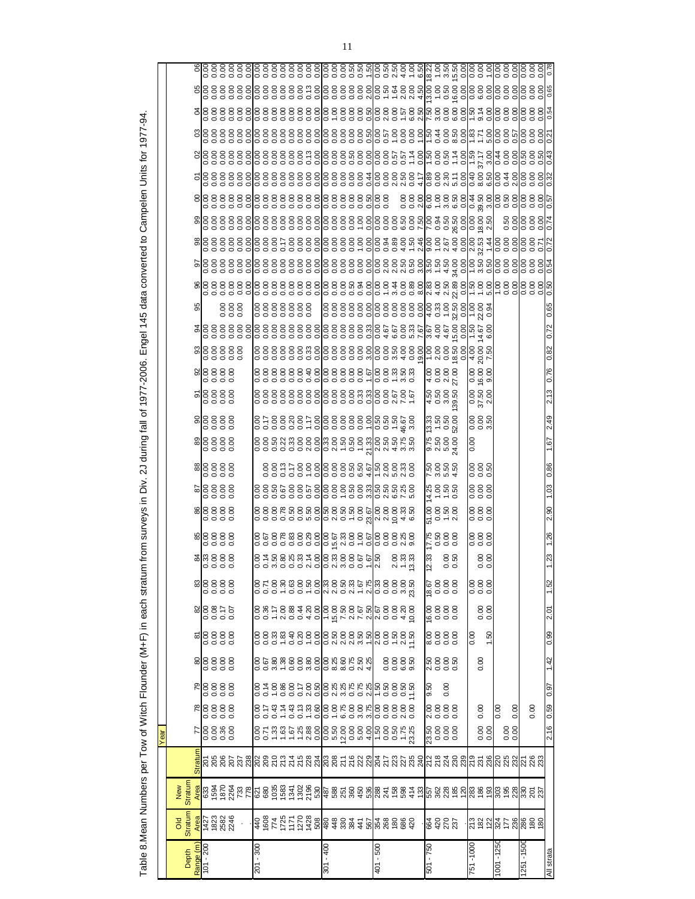|    |                |           |                        |  |  |               |  |  |  |               |  |  | ०००    ०००००००    ०००००० ०००००० ४०-५ १० -४० <br>८८८    ८८८८८८८    ८८८८८४ ८८४८४८ ८ १५८४ १८८                                                                                                                                      |  |              |  |                             |      |  |                   |                               |           |        |           |                                                                                                                                                                                  |            |  |
|----|----------------|-----------|------------------------|--|--|---------------|--|--|--|---------------|--|--|---------------------------------------------------------------------------------------------------------------------------------------------------------------------------------------------------------------------------------|--|--------------|--|-----------------------------|------|--|-------------------|-------------------------------|-----------|--------|-----------|----------------------------------------------------------------------------------------------------------------------------------------------------------------------------------|------------|--|
|    |                |           |                        |  |  |               |  |  |  |               |  |  |                                                                                                                                                                                                                                 |  |              |  |                             |      |  |                   |                               |           |        |           |                                                                                                                                                                                  | 0.72       |  |
|    |                |           | စ္ပိုင္တင္လင္လင္လ      |  |  |               |  |  |  |               |  |  |                                                                                                                                                                                                                                 |  |              |  |                             |      |  |                   |                               |           |        |           |                                                                                                                                                                                  | 0.82       |  |
|    |                |           | algege<br>algege       |  |  |               |  |  |  |               |  |  |                                                                                                                                                                                                                                 |  |              |  |                             |      |  |                   | 0.00<br>16.00                 |           |        |           |                                                                                                                                                                                  |            |  |
|    |                |           | elecce                 |  |  |               |  |  |  |               |  |  |                                                                                                                                                                                                                                 |  |              |  | ដូ ដូ ដូ ដូ<br>4 0 0 0 0    |      |  |                   | $\frac{0.00}{37.50}$          |           |        |           |                                                                                                                                                                                  | 2.13       |  |
|    |                |           | als s s s<br>als s s s |  |  |               |  |  |  |               |  |  |                                                                                                                                                                                                                                 |  |              |  | 13.33<br>1.50<br>22.00      |      |  |                   | $0.000$<br>$0.000$            |           |        |           |                                                                                                                                                                                  | 2.49       |  |
|    |                |           |                        |  |  |               |  |  |  |               |  |  |                                                                                                                                                                                                                                 |  |              |  | 0<br>0 0 0 0 0<br>0 0 0 0 0 |      |  | $\overline{0.00}$ |                               |           |        |           |                                                                                                                                                                                  | 1.67       |  |
|    |                |           |                        |  |  |               |  |  |  |               |  |  | 8885688888886888888<br>888568888888868888                                                                                                                                                                                       |  |              |  | ន្ត្រី និង<br>និង និង       |      |  |                   | 0.00<br>0.00<br>0.0           |           |        |           |                                                                                                                                                                                  | 0.86       |  |
|    |                |           |                        |  |  |               |  |  |  |               |  |  | ខខិន្និនិទ្ធិ ខ្ញុំ ខ្ញុំ ខ្ញុំ ខ្ញុំ ខ្ញុំ ខ្ញុំ ខ្ញុំ ខ្ញុំ ខ្ញុំ ខ្ញុំ ខ្ញុំ ខ្ញុំ ខ្ញុំ ខ្ញុំ ខ្ញុំ ខ្ញុំ<br>ខ្ញុំ ខ្ញុំ ខ្ញុំ ខ្ញុំ ខ្ញុំ ខ្ញុំ ខ្ញុំ ខ្ញុំ ខ្ញុំ ខ្ញុំ ខ្ញុំ ខ្ញុំ ខ្ញុំ ខ្ញុំ ខ្ញុំ ខ្ញុំ ខ្ញុំ ខ្ញុំ ខ្ |  |              |  | $4.888$<br>$4.588$          |      |  |                   | 0.00<br>0.00<br>0.0           |           |        |           |                                                                                                                                                                                  | 1.03       |  |
|    |                |           |                        |  |  |               |  |  |  |               |  |  |                                                                                                                                                                                                                                 |  |              |  | ដូមដូម<br>ដូច។ «            |      |  |                   | 00000                         |           |        |           |                                                                                                                                                                                  | 2.90       |  |
|    |                |           |                        |  |  |               |  |  |  |               |  |  |                                                                                                                                                                                                                                 |  |              |  |                             |      |  |                   |                               |           |        |           |                                                                                                                                                                                  |            |  |
|    |                |           |                        |  |  |               |  |  |  |               |  |  |                                                                                                                                                                                                                                 |  |              |  | 0000<br>0000<br>27.75       |      |  |                   | 000<br>000<br>000<br>0.000000 |           |        |           |                                                                                                                                                                                  |            |  |
|    |                |           |                        |  |  |               |  |  |  |               |  |  | o o w o o o y o o y w o o o -  v<br>O o w o o o y o o y w o o o -  v<br>O s r r g g y w s o o c o v w o o c i ly                                                                                                                |  |              |  | $\frac{33}{200}$            |      |  |                   |                               |           |        |           |                                                                                                                                                                                  |            |  |
|    |                |           | 88888                  |  |  |               |  |  |  |               |  |  |                                                                                                                                                                                                                                 |  |              |  | 8888<br>1888<br>188         |      |  |                   | 0.00<br>0.00<br>0.0           |           |        |           |                                                                                                                                                                                  | 1.52       |  |
|    |                |           |                        |  |  |               |  |  |  |               |  |  |                                                                                                                                                                                                                                 |  |              |  | 8888<br>gooo                |      |  |                   | 0.00                          |           |        |           |                                                                                                                                                                                  | 2.01       |  |
|    |                |           |                        |  |  |               |  |  |  |               |  |  |                                                                                                                                                                                                                                 |  |              |  | 00<br>00<br>00<br>00<br>00  |      |  | 0.00              | 1.50                          |           |        |           |                                                                                                                                                                                  | 0.99       |  |
|    |                |           | $\frac{8}{6}$          |  |  |               |  |  |  |               |  |  |                                                                                                                                                                                                                                 |  | 8888<br>8888 |  | 0300<br>0000<br>0.50        |      |  |                   | 0.00                          |           |        |           |                                                                                                                                                                                  | 1.42       |  |
|    |                |           | <b>R</b><br>88888      |  |  |               |  |  |  |               |  |  | ៰៰៹៹៰៰៰៸៰ <mark>៰៸៷៰៰៸៷៰៰៸៲</mark> ៹៰៰៰៹៹៓៰៰៹៹                                                                                                                                                                                  |  |              |  | 9.50                        | 0.00 |  |                   |                               |           |        |           |                                                                                                                                                                                  | 76.0       |  |
|    |                |           | $\frac{8888}{80000}$   |  |  |               |  |  |  |               |  |  |                                                                                                                                                                                                                                 |  |              |  | 8888<br>No.00               |      |  |                   | 0.00                          | 0.00      | 0.00   |           | 0.00                                                                                                                                                                             | 0.59       |  |
| ēā |                |           | $8888$<br>$687$        |  |  |               |  |  |  |               |  |  |                                                                                                                                                                                                                                 |  |              |  |                             |      |  |                   | 0.00                          |           | 0.0000 |           |                                                                                                                                                                                  | 2.16       |  |
|    |                |           |                        |  |  |               |  |  |  |               |  |  |                                                                                                                                                                                                                                 |  |              |  |                             |      |  |                   |                               |           |        |           |                                                                                                                                                                                  |            |  |
|    |                |           |                        |  |  |               |  |  |  |               |  |  |                                                                                                                                                                                                                                 |  |              |  |                             |      |  |                   |                               |           |        |           | <mark>៖</mark> 588558888885555588888555888 <mark>355888</mark> 555888 <mark>65588</mark>                                                                                         |            |  |
|    | Stratum<br>New |           |                        |  |  |               |  |  |  |               |  |  |                                                                                                                                                                                                                                 |  |              |  |                             |      |  |                   |                               |           |        |           |                                                                                                                                                                                  |            |  |
|    | $\frac{8}{3}$  |           |                        |  |  |               |  |  |  |               |  |  |                                                                                                                                                                                                                                 |  |              |  | $\frac{1}{6}$ 8222          |      |  |                   |                               |           |        |           | $ \frac{10}{10}$ $\frac{10}{10}$ $\frac{10}{10}$ $\frac{10}{10}$ $\frac{10}{10}$ $\frac{10}{10}$ $\frac{10}{10}$ $\frac{10}{10}$ $\frac{10}{10}$ $\frac{10}{10}$ $\frac{10}{10}$ |            |  |
|    |                |           |                        |  |  |               |  |  |  |               |  |  |                                                                                                                                                                                                                                 |  |              |  |                             |      |  |                   |                               |           |        |           |                                                                                                                                                                                  |            |  |
|    | Depth          | Range (m) | $101 - 200$            |  |  | $-300$<br>201 |  |  |  | $-400$<br>301 |  |  | $-500$<br>401                                                                                                                                                                                                                   |  |              |  | 501 - 750                   |      |  | 751-1000          |                               | 1001-1250 |        | 1251-1500 |                                                                                                                                                                                  | All strata |  |
|    |                |           |                        |  |  |               |  |  |  |               |  |  |                                                                                                                                                                                                                                 |  |              |  |                             |      |  |                   |                               |           |        |           |                                                                                                                                                                                  |            |  |

Table 8. Mean Numbers per Tow of Witch Flounder (M+F) in each stratum from surveys in Div. 2J during fall of 1977-2006. Engel 145 data converted to Campelen Units for 1977-94. Table 8.Mean Numbers per Tow of Witch Flounder (M+F) in each stratum from surveys in Div. 2J during fall of 1977-2006. Engel 145 data converted to Campelen Units for 1977-94.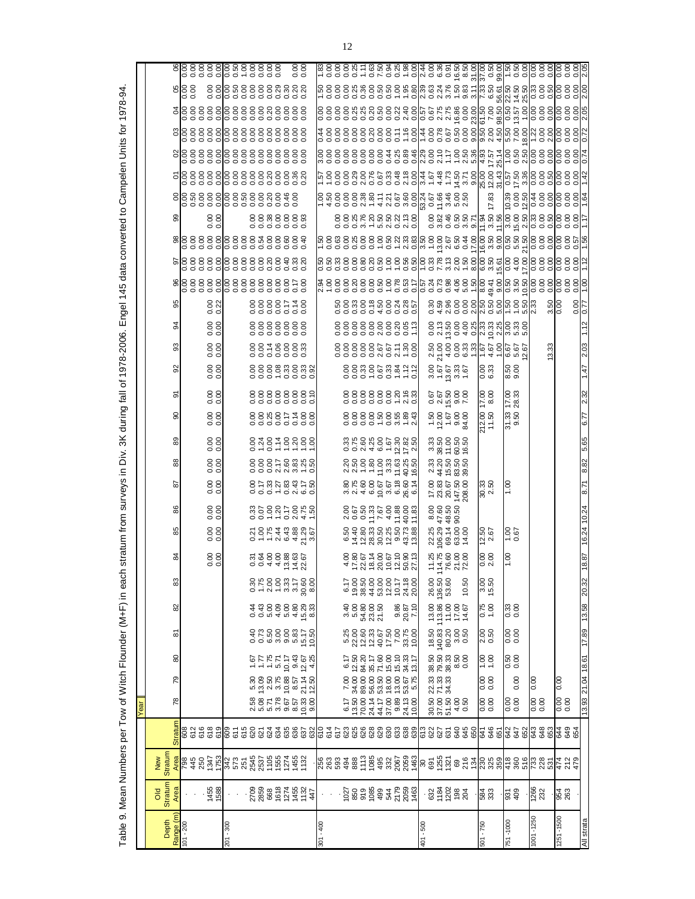| ۱                                                |
|--------------------------------------------------|
|                                                  |
|                                                  |
|                                                  |
| ֚֚֚֬                                             |
|                                                  |
|                                                  |
| $\vdots$                                         |
|                                                  |
|                                                  |
|                                                  |
|                                                  |
|                                                  |
| ļ                                                |
|                                                  |
|                                                  |
| í                                                |
|                                                  |
| $\vdots$                                         |
| י<br>י                                           |
|                                                  |
|                                                  |
|                                                  |
| $\overline{\phantom{a}}$                         |
|                                                  |
|                                                  |
|                                                  |
|                                                  |
| i                                                |
| $\vdots$                                         |
|                                                  |
|                                                  |
|                                                  |
|                                                  |
| $\vdots$                                         |
|                                                  |
|                                                  |
| さこ                                               |
|                                                  |
|                                                  |
| l<br>ı                                           |
|                                                  |
|                                                  |
|                                                  |
| $\frac{1}{2}$                                    |
|                                                  |
|                                                  |
|                                                  |
|                                                  |
|                                                  |
|                                                  |
|                                                  |
|                                                  |
|                                                  |
|                                                  |
|                                                  |
|                                                  |
| .<br>גונה :<br>גונה :                            |
|                                                  |
|                                                  |
| autens stratum<br>;<br>)<br>;<br>ׇ֖֖֖֖֚֚֚֚֚֚֚֚֚֡ |
|                                                  |
| ı<br>ĺ                                           |
|                                                  |
|                                                  |
|                                                  |
|                                                  |
| l                                                |
|                                                  |
|                                                  |
| l                                                |
|                                                  |
| j                                                |
|                                                  |
|                                                  |
|                                                  |
|                                                  |
|                                                  |
|                                                  |
|                                                  |
|                                                  |
|                                                  |
|                                                  |
|                                                  |
|                                                  |
| ļ                                                |
| ׇ֬֡                                              |
|                                                  |
|                                                  |
|                                                  |
|                                                  |
|                                                  |
|                                                  |
|                                                  |
|                                                  |
| l                                                |
| $\overline{1}$<br>I                              |

|      |                                      |                        | 888888888888<br>  888888888888<br>$rac{8}{9}$                                                                                                                                                                                                                                                                 |                                                                                                                                                                                                                               |                                   |                         |       |                                                                                                                                                                                                                                            |           |                                                                                                                                                                                                                                                                                                             |       |                      |                                                                    |             |                 |                                |                   |
|------|--------------------------------------|------------------------|---------------------------------------------------------------------------------------------------------------------------------------------------------------------------------------------------------------------------------------------------------------------------------------------------------------|-------------------------------------------------------------------------------------------------------------------------------------------------------------------------------------------------------------------------------|-----------------------------------|-------------------------|-------|--------------------------------------------------------------------------------------------------------------------------------------------------------------------------------------------------------------------------------------------|-----------|-------------------------------------------------------------------------------------------------------------------------------------------------------------------------------------------------------------------------------------------------------------------------------------------------------------|-------|----------------------|--------------------------------------------------------------------|-------------|-----------------|--------------------------------|-------------------|
|      |                                      |                        |                                                                                                                                                                                                                                                                                                               | k o o o o o o o o - - o v o v v - e v lk @ @k 4 říje o olo o olv<br> - o o o o o o o o - - o v o v v - e w k @ @k 4 říje o olo o olv                                                                                          |                                   |                         |       |                                                                                                                                                                                                                                            |           |                                                                                                                                                                                                                                                                                                             |       |                      |                                                                    |             |                 |                                |                   |
|      |                                      |                        |                                                                                                                                                                                                                                                                                                               |                                                                                                                                                                                                                               |                                   |                         |       |                                                                                                                                                                                                                                            |           |                                                                                                                                                                                                                                                                                                             |       |                      |                                                                    |             |                 |                                |                   |
|      |                                      |                        |                                                                                                                                                                                                                                                                                                               | ०००००००००००-० -००००००  ० ५ 4  ० ८ ७  - ० ५  ०<br>३८८८८८४८८२-८८  ३८८७८८८  ७८ ७  ७८८  ४८८                                                                                                                                       |                                   |                         |       |                                                                                                                                                                                                                                            |           |                                                                                                                                                                                                                                                                                                             |       |                      |                                                                    |             |                 |                                |                   |
|      |                                      |                        |                                                                                                                                                                                                                                                                                                               | u o o o o o o o o o o o o d o o e e e e u na e e e e e e e e e o o o o<br>8 8 8 8 8 8 8 8 4 11 18 4 18 8 5 1- 8 12 18 19 19 19 19 19 19 19 19 19 19 19 19 1                                                                   |                                   |                         |       |                                                                                                                                                                                                                                            |           |                                                                                                                                                                                                                                                                                                             |       |                      |                                                                    |             |                 |                                |                   |
|      |                                      |                        |                                                                                                                                                                                                                                                                                                               | L – 0 0 0 1 0 0 0 0 1 0 0 1 + 4 - 4 0 0 1 0 1 0 1 0 1 0 0 0 0 0 0 0<br>L – 0 0 0 1 0 0 0 0 1 0 0 1 + 4 - 4 0 0 1 0 1 0 1 0 1 0 0 0 0 0 0 0<br>L – 0 0 0 1 0 2 0 2 0 0 1 0 4 1 0 4 1 0 2 2 0 0 0 3 4 1 0 1 0 1 0 2 0 0 0 0 0 0 |                                   |                         |       |                                                                                                                                                                                                                                            |           |                                                                                                                                                                                                                                                                                                             |       |                      |                                                                    |             |                 |                                |                   |
|      |                                      |                        |                                                                                                                                                                                                                                                                                                               | ត្តិ ខេត្តិការ មិន ខេត្តិការ មិន មិន និង<br>ខេត្តិការ មិន មិន មិន មិន មិន មិន មិន និង                                                                                                                                         |                                   |                         |       |                                                                                                                                                                                                                                            |           |                                                                                                                                                                                                                                                                                                             |       |                      | 5 6 0 5 6 6 9 9 9 9 9 4<br>5 9 9 9 9 4 9 9 9 9 9 9 9 9 9 9 4       |             |                 |                                |                   |
|      |                                      | $\frac{0.00}{0.00}$    | 8888888<br>9998888                                                                                                                                                                                                                                                                                            |                                                                                                                                                                                                                               |                                   |                         |       |                                                                                                                                                                                                                                            |           |                                                                                                                                                                                                                                                                                                             |       |                      |                                                                    |             |                 |                                |                   |
|      |                                      |                        |                                                                                                                                                                                                                                                                                                               | မှ ၁၉၀၁၁၁၁၁ မှ ၁၉၀၁၁ ခု ၁၉၀၁ ခု ၁၉၀၁၁ ခု ၁၉၀၁<br>မြစ် ၁၉၀၁၁ ခု ၁၉၀၁ ခု ၁၉၀၁ ခု ၁၉၀၁ ခု ၁၉၀၁ ခု ၁၉၀၁                                                                                                                           |                                   |                         |       |                                                                                                                                                                                                                                            |           |                                                                                                                                                                                                                                                                                                             |       |                      |                                                                    |             |                 |                                |                   |
|      |                                      |                        | ិន្ត្រី ខ្លួន ខ្លួន ខ្លួន ខ្លួន ខ្លួន ខ្លួន<br>តាំន្ត្រី ខ្លួន ខ្លួន ខ្លួន ខ្លួន ខ្លួន ខ្លួន                                                                                                                                                                                                                  |                                                                                                                                                                                                                               |                                   |                         |       |                                                                                                                                                                                                                                            |           |                                                                                                                                                                                                                                                                                                             |       |                      |                                                                    |             |                 |                                |                   |
|      |                                      |                        |                                                                                                                                                                                                                                                                                                               |                                                                                                                                                                                                                               |                                   |                         |       |                                                                                                                                                                                                                                            |           |                                                                                                                                                                                                                                                                                                             |       |                      |                                                                    |             |                 |                                |                   |
|      | န္တ                                  | 8.22                   | 8888578<br>8888578                                                                                                                                                                                                                                                                                            |                                                                                                                                                                                                                               |                                   |                         |       | 8888888886<br>888888888                                                                                                                                                                                                                    |           |                                                                                                                                                                                                                                                                                                             |       |                      |                                                                    |             | $rac{50}{0.00}$ |                                |                   |
|      | 92                                   | $\frac{80}{0.00}$      | 8888888<br>9888888                                                                                                                                                                                                                                                                                            |                                                                                                                                                                                                                               |                                   |                         |       | 888888888.7<br>888888888                                                                                                                                                                                                                   |           |                                                                                                                                                                                                                                                                                                             |       |                      | ខ្លះ ក្លូខ ខ្លះ មួយ ដូច មួយ មួយ<br>ខ្លះ ក្លូខ ខ្លះ មួយ មួយ មួយ ខ្ល |             |                 |                                |                   |
|      | ္တ                                   | 0.0000                 |                                                                                                                                                                                                                                                                                                               |                                                                                                                                                                                                                               |                                   |                         |       |                                                                                                                                                                                                                                            |           |                                                                                                                                                                                                                                                                                                             |       |                      |                                                                    |             |                 |                                |                   |
|      | ္တ                                   | $\frac{0.00}{0.00}$    |                                                                                                                                                                                                                                                                                                               |                                                                                                                                                                                                                               |                                   |                         |       |                                                                                                                                                                                                                                            |           |                                                                                                                                                                                                                                                                                                             |       | $\frac{88}{6}$       | 8.50<br>9.00                                                       |             |                 |                                |                   |
|      | ò                                    | 0.00                   | 88888889<br>88888889                                                                                                                                                                                                                                                                                          |                                                                                                                                                                                                                               |                                   |                         |       | 88888882.83                                                                                                                                                                                                                                |           | <b>ទី</b><br>កូនី<br>កូនី មី មី                                                                                                                                                                                                                                                                             |       | $\frac{17.00}{8.00}$ | 17.00<br>28.33                                                     |             |                 |                                |                   |
|      | ခ္တ                                  | 0.00                   |                                                                                                                                                                                                                                                                                                               |                                                                                                                                                                                                                               |                                   |                         |       |                                                                                                                                                                                                                                            |           |                                                                                                                                                                                                                                                                                                             |       | 212.00<br>11.50      | 31.33<br>9.50                                                      |             |                 |                                |                   |
|      | 8                                    | $\frac{80}{0.00}$      | 0.78788888                                                                                                                                                                                                                                                                                                    |                                                                                                                                                                                                                               |                                   |                         |       | 8 5 6 7 8 7 9 7 9 8 9<br>8 7 8 7 9 9 9 9 9 9 9                                                                                                                                                                                             |           | និង<br>មាន ខេត្ត<br>ដូច គ្ន                                                                                                                                                                                                                                                                                 |       |                      |                                                                    |             |                 |                                |                   |
|      |                                      | 0.0000                 |                                                                                                                                                                                                                                                                                                               |                                                                                                                                                                                                                               |                                   |                         |       | 2<br>2020 2020 2020<br>2020 2020 2020                                                                                                                                                                                                      |           | ង វី កុំ នួង<br>ប្លូវ<br>ប្រភព្តុន្ទ                                                                                                                                                                                                                                                                        |       |                      |                                                                    |             |                 |                                |                   |
|      | ౚ                                    | 0.00                   |                                                                                                                                                                                                                                                                                                               |                                                                                                                                                                                                                               |                                   |                         |       |                                                                                                                                                                                                                                            |           | $\begin{array}{l} 12.00 \\ 14.00 \\ 14.00 \\ 14.00 \\ 14.00 \\ 14.00 \\ 14.00 \\ 14.00 \\ 15.0 \\ 16.0 \\ 17.0 \\ 18.0 \\ 19.0 \\ 19.0 \\ 19.0 \\ 19.0 \\ 19.0 \\ 19.0 \\ 19.0 \\ 19.0 \\ 19.0 \\ 19.0 \\ 19.0 \\ 19.0 \\ 19.0 \\ 19.0 \\ 19.0 \\ 19.0 \\ 19.0 \\ 19.0 \\ 19.0 \\ 19.0 \\ 19.0 \\ 19.0 \\ $ |       | 30.33<br>2.50        | 00.1                                                               |             |                 |                                |                   |
|      | 8                                    | 0.0000                 |                                                                                                                                                                                                                                                                                                               |                                                                                                                                                                                                                               |                                   |                         |       |                                                                                                                                                                                                                                            |           |                                                                                                                                                                                                                                                                                                             |       |                      |                                                                    |             |                 |                                |                   |
|      |                                      | 0.0000                 | 0 – – v ® 4 <sup>21</sup> %<br>2 6 6 4 <del>4</del> 6 % % %                                                                                                                                                                                                                                                   |                                                                                                                                                                                                                               |                                   |                         |       | ទី មិន ដូច ដូច ដូច ដូច<br>កូដ ដូន មិន ដូច ដូច ដូច                                                                                                                                                                                          |           | 201208<br>201208<br>201208                                                                                                                                                                                                                                                                                  |       | $12.50$<br>$2.67$    | $rac{0.67}{0.67}$                                                  |             |                 |                                |                   |
|      |                                      |                        |                                                                                                                                                                                                                                                                                                               |                                                                                                                                                                                                                               |                                   |                         |       |                                                                                                                                                                                                                                            |           |                                                                                                                                                                                                                                                                                                             |       |                      |                                                                    |             |                 |                                |                   |
|      | 83                                   | 0.00                   | 00440520                                                                                                                                                                                                                                                                                                      |                                                                                                                                                                                                                               |                                   |                         |       |                                                                                                                                                                                                                                            |           | 14.760<br>14.760<br>14.7600                                                                                                                                                                                                                                                                                 |       | $\frac{50}{200}$     | 1.00                                                               |             |                 |                                |                   |
|      |                                      |                        | $0.7800$<br>$-2.7800$<br>$-2.7800$<br>$-2.7800$<br>$-2.7800$                                                                                                                                                                                                                                                  |                                                                                                                                                                                                                               |                                   |                         |       | $6984822482$<br>$698482243$                                                                                                                                                                                                                |           | 26.00<br>136.50<br>53.60                                                                                                                                                                                                                                                                                    | 10.50 | 3.00<br>15.50        |                                                                    |             |                 |                                | 20.32             |
|      | 82                                   |                        | 00040469<br>44896883                                                                                                                                                                                                                                                                                          |                                                                                                                                                                                                                               | 9 მ<br>თა                         | 54.80<br>23.50<br>21.50 |       | 9.86<br>70.02<br>7.10                                                                                                                                                                                                                      |           | $\begin{array}{c} 13.00 \\ 13.86 \\ 14.00 \\ 17.00 \\ 14.67 \end{array}$                                                                                                                                                                                                                                    |       | 0.75<br>87.0         | 0.33                                                               |             |                 |                                | 13.58             |
|      | စ်                                   |                        |                                                                                                                                                                                                                                                                                                               |                                                                                                                                                                                                                               |                                   |                         |       |                                                                                                                                                                                                                                            |           | $\begin{array}{c} 18.50 \\ 18.33 \\ 140.30 \\ 80.30 \\ 0.50 \\ \end{array}$                                                                                                                                                                                                                                 |       | 2.50<br>0.50         | 88<br>0.0                                                          |             |                 |                                | 17.89             |
|      | 80                                   |                        | $\begin{array}{c} 1.67 \\ 1.78 \\ 1.79 \\ 1.79 \\ 1.79 \\ 1.79 \\ 1.79 \\ 1.79 \\ 1.79 \\ 1.79 \\ 1.79 \\ 1.79 \\ 1.79 \\ 1.79 \\ 1.79 \\ 1.79 \\ 1.79 \\ 1.79 \\ 1.79 \\ 1.79 \\ 1.79 \\ 1.79 \\ 1.79 \\ 1.79 \\ 1.79 \\ 1.79 \\ 1.79 \\ 1.79 \\ 1.79 \\ 1.79 \\ 1.79 \\ 1.79 \\ 1.79 \\ 1.79 \\ 1.79 \\ 1.$ |                                                                                                                                                                                                                               |                                   |                         |       |                                                                                                                                                                                                                                            |           |                                                                                                                                                                                                                                                                                                             |       | 00<br>00<br>1        | $0.50$<br>0.00                                                     |             |                 |                                |                   |
|      | 79                                   |                        | $\begin{array}{c} 13.09 \\ 2.50 \\ 3.78 \\ 9.68 \\ 1.4 \\ 2.50 \\ 2.50 \\ 12.50 \\ \end{array}$<br>5.30                                                                                                                                                                                                       |                                                                                                                                                                                                                               |                                   |                         |       | $\begin{array}{l} 7.00\  \  \, 6.17 \\ 7.00\  \  \, 6.17 \\ 34.00\  \  \, 04.20 \\ 88.00\  \  35.17 \\ 85.00\  \  35.17 \\ 85.00\  \  35.17 \\ 93.00\  \  15.00 \\ 93.00\  \  15.00 \\ 15.00\  \  15.13 \\ 5.01\  \  13.17 \\ \end{array}$ |           | $[71.33 \t38.50\t71.33 \t79.50\t9.33 \t38.33\t8.50\t0.00$                                                                                                                                                                                                                                                   |       | 8.00<br>0.00         | 0.00                                                               | 0.00        |                 | 0.00                           |                   |
| Year | 78                                   |                        | 88<br>887865638<br>28786588                                                                                                                                                                                                                                                                                   |                                                                                                                                                                                                                               | $6.70041$<br>$6.50041$<br>$6.441$ |                         | 37.00 | $9.89$<br>$24.13$<br>10.00                                                                                                                                                                                                                 |           | 8888888888888                                                                                                                                                                                                                                                                                               |       | 0.00                 | 0.00                                                               | 0.00        |                 | 0.00                           | 13.93 21.04 18.61 |
|      | <b>Stratum</b>                       |                        |                                                                                                                                                                                                                                                                                                               |                                                                                                                                                                                                                               |                                   |                         |       |                                                                                                                                                                                                                                            |           |                                                                                                                                                                                                                                                                                                             |       |                      |                                                                    |             |                 |                                |                   |
|      |                                      |                        |                                                                                                                                                                                                                                                                                                               |                                                                                                                                                                                                                               |                                   |                         |       |                                                                                                                                                                                                                                            |           |                                                                                                                                                                                                                                                                                                             |       |                      |                                                                    |             |                 |                                |                   |
|      | Stratum<br>New<br>Area               |                        | ន្ត្រី<br>និងខ្លួន ដូង ជូន ដូង ខ្លួន ដូង និង<br>និង ប្លង់ ដូង ដូង មិន ដូង និង                                                                                                                                                                                                                                 |                                                                                                                                                                                                                               |                                   |                         |       |                                                                                                                                                                                                                                            |           |                                                                                                                                                                                                                                                                                                             |       |                      |                                                                    |             |                 | n 2014<br>2015<br>2014<br>2015 |                   |
|      | <b>Stratum</b><br><b>DIO</b><br>Area | 1455<br>1588           |                                                                                                                                                                                                                                                                                                               |                                                                                                                                                                                                                               |                                   |                         |       | $-5.8588847888$                                                                                                                                                                                                                            |           | $-8.8888$                                                                                                                                                                                                                                                                                                   |       | 584<br>333           | 931<br>409                                                         | 1266<br>232 |                 | 954<br>263                     |                   |
|      |                                      |                        |                                                                                                                                                                                                                                                                                                               |                                                                                                                                                                                                                               |                                   |                         |       |                                                                                                                                                                                                                                            |           |                                                                                                                                                                                                                                                                                                             |       |                      |                                                                    |             |                 |                                |                   |
|      | Depth                                | Range (m)<br>101 - 200 | 008 - 102                                                                                                                                                                                                                                                                                                     | $301 - 400$                                                                                                                                                                                                                   |                                   |                         |       |                                                                                                                                                                                                                                            | 101 - 500 |                                                                                                                                                                                                                                                                                                             |       | 501 - 750            | 751-1000                                                           | 001-1250    |                 | 1251 - 1500                    | All strata        |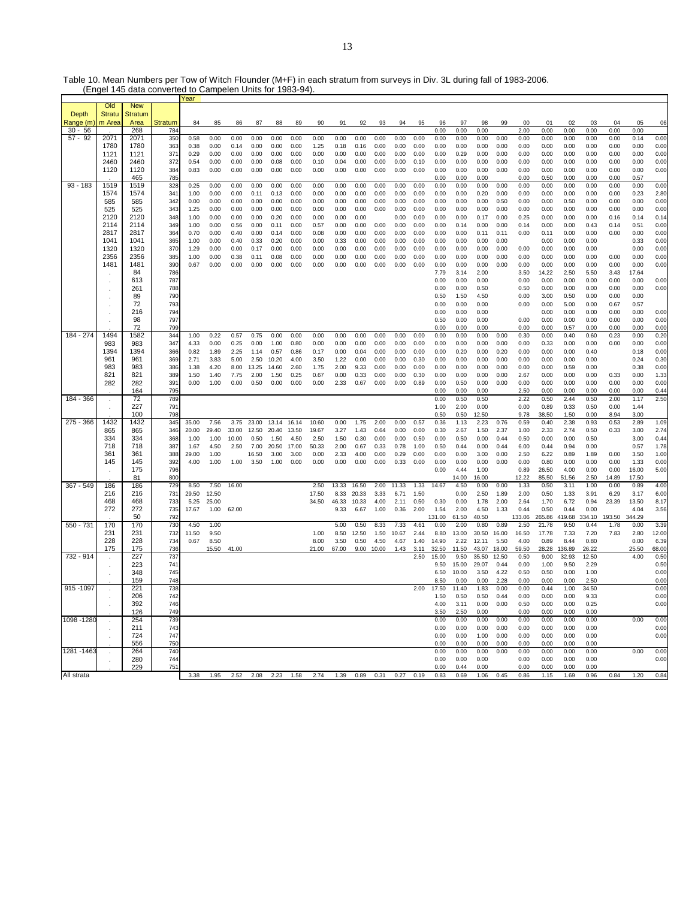Table 10. Mean Numbers per Tow of Witch Flounder (M+F) in each stratum from surveys in Div. 3L during fall of 1983-2006.

|             |                      | (Engel 145 data converted to Campelen Units for 1983-94) |            |               |              |              |               |              |              |               |              |              |              |              |              |                |               |               |              |                |                  |                |                |              |                |              |
|-------------|----------------------|----------------------------------------------------------|------------|---------------|--------------|--------------|---------------|--------------|--------------|---------------|--------------|--------------|--------------|--------------|--------------|----------------|---------------|---------------|--------------|----------------|------------------|----------------|----------------|--------------|----------------|--------------|
|             |                      |                                                          |            | Year          |              |              |               |              |              |               |              |              |              |              |              |                |               |               |              |                |                  |                |                |              |                |              |
| Depth       | Old<br><b>Stratu</b> | <b>New</b><br><b>Stratum</b>                             |            |               |              |              |               |              |              |               |              |              |              |              |              |                |               |               |              |                |                  |                |                |              |                |              |
| Range (m)   | m Area               | Area                                                     | Stratum    | 84            | 85           | 86           | 87            | 88           | 89           | 90            | 91           | 92           | 93           | 94           | 95           | 96             | 97            | 98            | 99           | 00             | 01               | 02             | 03             | 04           | 05             | 06           |
| $30 - 56$   |                      | 268                                                      | 784        |               |              |              |               |              |              |               |              |              |              |              |              | 0.00           | 0.00          | 0.00          |              | 2.00           | 0.00             | 0.00           | 0.00           | 0.00         | 0.00           |              |
| $57 - 92$   | 2071                 | 2071                                                     | 350        | 0.58          | 0.00         | 0.00         | 0.00          | 0.00         | 0.00         | 0.00          | 0.00         | 0.00         | 0.00         | 0.00         | 0.00         | 0.00           | 0.00          | 0.00          | 0.00         | 0.00           | 0.00             | 0.00           | 0.00           | 0.00         | 0.14           | 0.00         |
|             | 1780                 | 1780                                                     | 363        | 0.38          | 0.00         | 0.14         | 0.00          | 0.00         | 0.00         | 1.25          | 0.18         | 0.16         | 0.00         | 0.00         | 0.00         | 0.00           | 0.00          | 0.00          | 0.00         | 0.00           | 0.00             | 0.00           | 0.00           | 0.00         | 0.00           | 0.00         |
|             | 1121                 | 1121                                                     | 371        | 0.29          | 0.00         | 0.00         | 0.00          | 0.00         | 0.00         | 0.00          | 0.00         | 0.00         | 0.00         | 0.00         | 0.00         | 0.00           | 0.29          | 0.00          | 0.00         | 0.00           | 0.00             | 0.00           | 0.00           | 0.00         | 0.00           | 0.00         |
|             | 2460                 | 2460                                                     | 372        | 0.54          | 0.00         | 0.00         | 0.00          | 0.08         | 0.00         | 0.10          | 0.04         | 0.00         | 0.00         | 0.00         | 0.10         | 0.00           | 0.00          | 0.00          | 0.00         | 0.00           | 0.00             | 0.00           | 0.00           | 0.00         | 0.00           | 0.00         |
|             | 1120                 | 1120                                                     | 384        | 0.83          | 0.00         | 0.00         | 0.00          | 0.00         | 0.00         | 0.00          | 0.00         | 0.00         | 0.00         | 0.00         | 0.00         | 0.00           | 0.00          | 0.00          | 0.00         | 0.00           | 0.00             | 0.00           | 0.00           | 0.00         | 0.00           | 0.00         |
| $93 - 183$  | 1519                 | 465<br>1519                                              | 785<br>328 | 0.25          | 0.00         | 0.00         | 0.00          | 0.00         | 0.00         | 0.00          | 0.00         | 0.00         | 0.00         | 0.00         | 0.00         | 0.00<br>0.00   | 0.00<br>0.00  | 0.00<br>0.00  | 0.00         | 0.00<br>0.00   | 0.50<br>0.00     | 0.00<br>0.00   | 0.00<br>0.00   | 0.00<br>0.00 | 0.57<br>0.00   | 0.00         |
|             | 1574                 | 1574                                                     | 341        | 1.00          | 0.00         | 0.00         | 0.11          | 0.13         | 0.00         | 0.00          | 0.00         | 0.00         | 0.00         | 0.00         | 0.00         | 0.00           | 0.00          | 0.20          | 0.00         | 0.00           | 0.00             | 0.00           | 0.00           | 0.00         | 0.23           | 2.80         |
|             | 585                  | 585                                                      | 342        | 0.00          | 0.00         | 0.00         | 0.00          | 0.00         | 0.00         | 0.00          | 0.00         | 0.00         | 0.00         | 0.00         | 0.00         | 0.00           | 0.00          | 0.00          | 0.50         | 0.00           | 0.00             | 0.50           | 0.00           | 0.00         | 0.00           | 0.00         |
|             | 525                  | 525                                                      | 343        | 1.25          | 0.00         | 0.00         | 0.00          | 0.00         | 0.00         | 0.00          | 0.00         | 0.00         | 0.00         | 0.00         | 0.00         | 0.00           | 0.00          | 0.00          | 0.00         | 0.00           | 0.00             | 0.00           | 0.00           | 0.00         | 0.00           | 0.00         |
|             | 2120                 | 2120                                                     | 348        | 1.00          | 0.00         | 0.00         | 0.00          | 0.20         | 0.00         | 0.00          | 0.00         | 0.00         |              | 0.00         | 0.00         | 0.00           | 0.00          | 0.17          | 0.00         | 0.25           | 0.00             | 0.00           | 0.00           | 0.16         | 0.14           | 0.14         |
|             | 2114                 | 2114                                                     | 349        | 1.00          | 0.00         | 0.56         | 0.00          | 0.11         | 0.00         | 0.57          | 0.00         | 0.00         | 0.00         | 0.00         | 0.00         | 0.00           | 0.14          | 0.00          | 0.00         | 0.14           | 0.00             | 0.00           | 0.43           | 0.14         | 0.51           | 0.00         |
|             | 2817                 | 2817                                                     | 364        | 0.70          | 0.00         | 0.40         | 0.00          | 0.14         | 0.00         | 0.08          | 0.00         | 0.00         | 0.00         | 0.00         | 0.00         | 0.00           | 0.00          | 0.11          | 0.11         | 0.00           | 0.11             | 0.00           | 0.00           | 0.00         | 0.00           | 0.00         |
|             | 1041                 | 1041                                                     | 365        | 1.00          | 0.00         | 0.40         | 0.33          | 0.20         | 0.00         | 0.00          | 0.33         | 0.00         | 0.00         | 0.00         | 0.00         | 0.00           | 0.00          | 0.00          | 0.00         |                | 0.00             | 0.00           | 0.00           |              | 0.33           | 0.00         |
|             | 1320<br>2356         | 1320<br>2356                                             | 37C<br>385 | 1.29<br>1.00  | 0.00<br>0.00 | 0.00<br>0.38 | 0.17<br>0.11  | 0.00<br>0.08 | 0.00<br>0.00 | 0.00<br>0.00  | 0.00<br>0.00 | 0.00<br>0.00 | 0.00<br>0.00 | 0.00<br>0.00 | 0.00<br>0.00 | 0.00<br>0.00   | 0.00<br>0.00  | 0.00<br>0.00  | 0.00<br>0.00 | 0.00<br>0.00   | 0.00<br>$0.00\,$ | 0.00<br>0.00   | 0.00<br>0.00   | 0.00         | 0.00<br>0.00   | 0.00<br>0.00 |
|             | 1481                 | 1481                                                     | 390        | 0.67          | 0.00         | 0.00         | 0.00          | 0.00         | 0.00         | 0.00          | 0.00         | 0.00         | 0.00         | 0.00         | 0.00         | 0.00           | 0.00          | 0.00          | 0.00         | 0.00           | 0.00             | 0.00           | 0.00           | 0.00         | 0.00           | 0.00         |
|             |                      | 84                                                       | 786        |               |              |              |               |              |              |               |              |              |              |              |              | 7.79           | 3.14          | 2.00          |              | 3.50           | 14.22            | 2.50           | 5.50           | 3.43         | 17.64          |              |
|             |                      | 613                                                      | 787        |               |              |              |               |              |              |               |              |              |              |              |              | 0.00           | 0.00          | 0.00          |              | 0.00           | 0.00             | 0.00           | 0.00           | 0.00         | 0.00           | 0.00         |
|             |                      | 261                                                      | 788        |               |              |              |               |              |              |               |              |              |              |              |              | 0.00           | 0.00          | 0.50          |              | 0.50           | 0.00             | 0.00           | 0.00           | 0.00         | 0.00           | 0.00         |
|             |                      | 89                                                       | 790        |               |              |              |               |              |              |               |              |              |              |              |              | 0.50           | 1.50          | 4.50          |              | 0.00           | 3.00             | 0.50           | 0.00           | 0.00         | 0.00           |              |
|             |                      | 72                                                       | 793        |               |              |              |               |              |              |               |              |              |              |              |              | 0.00           | 0.00          | 0.00          |              | 0.00           | 0.00             | 5.00           | 0.00           | 0.67         | 0.57           |              |
|             |                      | 216<br>98                                                | 794<br>797 |               |              |              |               |              |              |               |              |              |              |              |              | 0.00           | 0.00          | 0.00          |              |                | 0.00             | 0.00           | 0.00           | 0.00         | 0.00           | 0.00         |
|             |                      | 72                                                       | <b>799</b> |               |              |              |               |              |              |               |              |              |              |              |              | 0.50<br>0.00   | 0.00<br>0.00  | 0.00<br>0.00  |              | 0.00<br>0.00   | 0.00<br>0.00     | 0.00<br>0.57   | 0.00<br>0.00   | 0.00<br>0.00 | 0.00<br>0.00   | 0.00<br>0.00 |
| 184 - 274   | 1494                 | 1582                                                     | 344        | 1.00          | 0.22         | 0.57         | 0.75          | 0.00         | 0.00         | 0.00          | 0.00         | 0.00         | 0.00         | 0.00         | 0.00         | 0.00           | 0.00          | 0.00          | 0.00         | 0.30           | 0.00             | 0.40           | 0.60           | 0.23         | 0.00           | 0.20         |
|             | 983                  | 983                                                      | 347        | 4.33          | 0.00         | 0.25         | 0.00          | 1.00         | 0.80         | 0.00          | 0.00         | 0.00         | 0.00         | 0.00         | 0.00         | 0.00           | 0.00          | 0.00          | 0.00         | 0.00           | 0.33             | 0.00           | 0.00           | 0.00         | 0.00           | 0.00         |
|             | 1394                 | 1394                                                     | 366        | 0.82          | 1.89         | 2.25         | 1.14          | 0.57         | 0.86         | 0.17          | 0.00         | 0.04         | 0.00         | 0.00         | 0.00         | 0.00           | 0.20          | 0.00          | 0.20         | 0.00           | 0.00             | 0.00           | 0.40           |              | 0.18           | 0.00         |
|             | 961                  | 961                                                      | 369        | 2.71          | 3.83         | 5.00         | 2.50          | 10.20        | 4.00         | 3.50          | 1.22         | 0.00         | 0.00         | 0.00         | 0.30         | 0.00           | 0.00          | 0.00          | 0.00         | 0.00           | 0.00             | 0.00           | 0.00           |              | 0.24           | 0.30         |
|             | 983                  | 983                                                      | 386        | 1.38          | 4.20         | 8.00         | 13.25         | 14.60        | 2.60         | 1.75          | 2.00         | 9.33         | 0.00         | 0.00         | 0.00         | 0.00           | 0.00          | 0.00          | 0.00         | 0.00           | 0.00             | 0.59           | 0.00           |              | 0.38           | 0.00         |
|             | 821<br>282           | 821                                                      | 389        | 1.50          | 1.40         | 7.75         | 2.00          | 1.50         | 0.25         | 0.67          | 0.00         | 0.33         | 0.00         | 0.00         | 0.30         | 0.00           | 0.00          | 0.00          | 0.00         | 2.67           | 0.00             | 0.00           | 0.00           | 0.33         | 0.00           | 1.33         |
|             |                      | 282<br>164                                               | 391<br>795 | 0.00          | 1.00         | 0.00         | 0.50          | 0.00         | 0.00         | 0.00          | 2.33         | 0.67         | 0.00         | 0.00         | 0.89         | 0.00           | 0.50          | 0.00          | 0.00         | 0.00           | 0.00             | 0.00           | 0.00<br>0.00   | 0.00         | 0.00           | 0.00         |
| 184 - 366   | $\cdot$              | 72                                                       | 789        |               |              |              |               |              |              |               |              |              |              |              |              | 0.00<br>0.00   | 0.00<br>0.50  | 0.00<br>0.50  |              | 2.50<br>2.22   | 0.00<br>0.50     | 0.00<br>2.44   | 0.50           | 0.00<br>2.00 | 0.00<br>1.17   | 0.44<br>2.50 |
|             |                      | 227                                                      | 791        |               |              |              |               |              |              |               |              |              |              |              |              | 1.00           | 2.00          | 0.00          |              | 0.00           | 0.89             | 0.33           | 0.50           | 0.00         | 1.44           |              |
|             |                      | 100                                                      | 798        |               |              |              |               |              |              |               |              |              |              |              |              | 0.50           | 0.50          | 12.50         |              | 9.78           | 38.50            | 1.50           | 0.00           | 8.94         | 3.00           |              |
| $275 - 366$ | 1432                 | 1432                                                     | 345        | 35.00         | 7.56         | 3.75         | 23.00         | 13.14        | 16.14        | 10.60         | 0.00         | 1.75         | 2.00         | 0.00         | 0.57         | 0.36           | 1.13          | 2.23          | 0.76         | 0.59           | 0.40             | 2.38           | 0.93           | 0.53         | 2.89           | 1.09         |
|             | 865                  | 865                                                      | 346        | 20.00         | 29.40        | 33.00        | 12.50         | 20.40        | 13.50        | 19.67         | 3.27         | 1.43         | 0.64         | 0.00         | 0.00         | 0.30           | 2.67          | 1.50          | 2.37         | 1.00           | 2.33             | 2.74           | 0.50           | 0.33         | 3.00           | 2.74         |
|             | 334                  | 334                                                      | 368        | 1.00          | 1.00         | 10.00        | 0.50          | 1.50         | 4.50         | 2.50          | 1.50         | 0.30         | 0.00         | 0.00         | 0.50         | 0.00           | 0.50          | 0.00          | 0.44         | 0.50           | 0.00             | 0.00           | 0.50           |              | 3.00           | 0.44         |
|             | 718<br>361           | 718<br>361                                               | 387<br>388 | 1.67<br>29.00 | 4.50<br>1.00 | 2.50         | 7.00<br>16.50 | 20.50        | 17.00        | 50.33<br>0.00 | 2.00<br>2.33 | 0.67<br>4.00 | 0.33<br>0.00 | 0.78<br>0.29 | 1.00         | 0.50<br>0.00   | 0.44<br>0.00  | 0.00<br>3.00  | 0.44<br>0.00 | 6.00<br>2.50   | 0.44<br>6.22     | 0.94<br>0.89   | 0.00<br>1.89   | 0.00         | 0.57<br>3.50   | 1.78         |
|             | 145                  | 145                                                      | 392        | 4.00          | 1.00         | 1.00         | 3.50          | 3.00<br>1.00 | 3.00<br>0.00 | 0.00          | 0.00         | 0.00         | 0.00         | 0.33         | 0.00<br>0.00 | 0.00           | 0.00          | 0.00          | 0.00         | 0.00           | 0.80             | 0.00           | 0.00           | 0.00         | 1.33           | 1.00<br>0.00 |
|             |                      | 175                                                      | 796        |               |              |              |               |              |              |               |              |              |              |              |              | 0.00           | 4.44          | 1.00          |              | 0.89           | 26.50            | 4.00           | 0.00           | 0.00         | 16.00          | 5.00         |
|             |                      | 81                                                       | <b>800</b> |               |              |              |               |              |              |               |              |              |              |              |              |                | 14.00         | 16.00         |              | 12.22          | 85.50            | 51.56          | 2.50           | 14.89        | 17.50          |              |
| $367 - 549$ | 186                  | 186                                                      | 729        | 8.50          | 7.50         | 16.00        |               |              |              | 2.50          | 13.33        | 16.50        | 2.00         | 11.33        | 1.33         | 14.67          | 4.50          | 0.00          | 0.00         | 1.33           | 0.50             | 3.11           | 1.00           | 0.00         | 0.89           | 4.00         |
|             | 216                  | 216                                                      | 731        | 29.50         | 12.50        |              |               |              |              | 17.50         | 8.33         | 20.33        | 3.33         | 6.71         | 1.50         |                | 0.00          | 2.50          | 1.89         | 2.00           | 0.50             | 1.33           | 3.91           | 6.29         | 3.17           | 6.00         |
|             | 468                  | 468                                                      | 733        | 5.25          | 25.00        |              |               |              |              | 34.50         | 46.33        | 10.33        | 4.00         | 2.11         | 0.50         | 0.30           | 0.00          | 1.78          | 2.00         | 2.64           | 1.70             | 6.72           | 0.94           | 23.39        | 13.50          | 8.17         |
|             | 272                  | 272                                                      | 735<br>792 | 17.67         | 1.00         | 62.00        |               |              |              |               | 9.33         | 6.67         | 1.00         | 0.36         | 2.00         | 1.54<br>131.00 | 2.00<br>61.50 | 4.50<br>40.50 | 1.33         | 0.44           | 0.50<br>265.86   | 0.44<br>419.68 | 0.00<br>334.10 | 193.50       | 4.04<br>344.29 | 3.56         |
| $550 - 731$ | 170                  | 50<br>170                                                | 730        | 4.50          | 1.00         |              |               |              |              |               | 5.00         | 0.50         | 8.33         | 7.33         | 4.61         | 0.00           | 2.00          | 0.80          | 0.89         | 133.06<br>2.50 | 21.78            | 9.50           | 0.44           | 1.78         | 0.00           | 3.39         |
|             | 231                  | 231                                                      | 732        | 11.50         | 9.50         |              |               |              |              | 1.00          | 8.50         | 12.50        | 1.50         | 10.67        | 2.44         | 8.80           | 13.00         | 30.50         | 16.00        | 16.50          | 17.78            | 7.33           | 7.20           | 7.83         | 2.80           | 12.00        |
|             | 228                  | 228                                                      | 734        | 0.67          | 8.50         |              |               |              |              | 8.00          | 3.50         | 0.50         | 4.50         | 4.67         | 1.40         | 14.90          | 2.22          | 12.11         | 5.50         | 4.00           | 0.89             | 8.44           | 0.80           |              | 0.00           | 6.39         |
|             | 175                  | 175                                                      | 736        |               | 15.50        | 41.00        |               |              |              | 21.00         | 67.00        | 9.00         | 10.00        | 1.43         | 3.11         | 32.50          | 11.50         | 43.07         | 18.00        | 59.50          | 28.28            | 136.89         | 26.22          |              | 25.50          | 68.00        |
| 732 - 914   |                      | 227                                                      | 737        |               |              |              |               |              |              |               |              |              |              |              | 2.50         | 15.00          | 9.50          | 35.50         | 12.50        | 0.50           | 9.00             | 32.93          | 12.50          |              | 4.00           | 0.50         |
|             |                      | 223                                                      | 741        |               |              |              |               |              |              |               |              |              |              |              |              | 9.50           | 15.00         | 29.07         | 0.44         | 0.00           | 1.00             | 9.50           | 2.29           |              |                | 0.50         |
|             |                      | 348<br>159                                               | 745<br>748 |               |              |              |               |              |              |               |              |              |              |              |              | 6.50           | 10.00<br>0.00 | 3.50          | 4.22         | 0.50<br>0.00   | 0.50             | 0.00           | 1.00<br>2.50   |              |                | 0.00         |
| 915 - 1097  |                      | 221                                                      | 738        |               |              |              |               |              |              |               |              |              |              |              | 2.00         | 8.50<br>17.50  | 11.40         | 0.00<br>1.83  | 2.28<br>0.00 | 0.00           | 0.00<br>0.44     | 0.00<br>1.00   | 34.50          |              |                | 0.00<br>0.00 |
|             |                      | 206                                                      | 742        |               |              |              |               |              |              |               |              |              |              |              |              | 1.50           | 0.50          | 0.50          | 0.44         | 0.00           | 0.00             | 0.00           | 9.33           |              |                | 0.00         |
|             |                      | 392                                                      | 746        |               |              |              |               |              |              |               |              |              |              |              |              | 4.00           | 3.11          | 0.00          | 0.00         | 0.50           | 0.00             | 0.00           | 0.25           |              |                | 0.00         |
|             |                      | 126                                                      | 749        |               |              |              |               |              |              |               |              |              |              |              |              | 3.50           | 2.50          | 0.00          |              | 0.00           | 0.00             | 0.00           | 0.00           |              |                |              |
| 1098 - 1280 |                      | 254                                                      | 739        |               |              |              |               |              |              |               |              |              |              |              |              | 0.00           | 0.00          | 0.00          | 0.00         | 0.00           | 0.00             | 0.00           | 0.00           |              | 0.00           | 0.00         |
|             |                      | 211                                                      | 743        |               |              |              |               |              |              |               |              |              |              |              |              | 0.00           | 0.00          | 0.00          | 0.00         | 0.00           | 0.00             | 0.00           | 0.00           |              |                | 0.00         |
|             |                      | 724                                                      | 747        |               |              |              |               |              |              |               |              |              |              |              |              | 0.00           | 0.00          | 1.00          | 0.00         | 0.00           | 0.00             | 0.00           | 0.00           |              |                | 0.00         |
|             |                      | 556                                                      | 750        |               |              |              |               |              |              |               |              |              |              |              |              | 0.00           | 0.00          | 0.00          | 0.00         | 0.00           | 0.00             | 0.00           | 0.00           |              |                |              |
| 1281 - 1463 |                      | 264<br>280                                               | 740<br>744 |               |              |              |               |              |              |               |              |              |              |              |              | 0.00<br>0.00   | 0.00<br>0.00  | 0.00<br>0.00  | 0.00         | 0.00<br>0.00   | 0.00<br>0.00     | 0.00<br>0.00   | 0.00<br>0.00   |              | 0.00           | 0.00<br>0.00 |
|             |                      | 229                                                      | 751        |               |              |              |               |              |              |               |              |              |              |              |              | 0.00           | 0.44          | 0.00          |              | 0.00           | 0.00             | 0.00           | 0.00           |              |                |              |
| All strata  |                      |                                                          |            | 3.38          | 1.95         | 2.52         | 2.08          | 2.23         | 1.58         | 2.74          | 1.39         | 0.89         | 0.31         | 0.27         | 0.19         | 0.83           | 0.69          | 1.06          | 0.45         | 0.86           | 1.15             | 1.69           | 0.96           | 0.84         | 1.20           | 0.84         |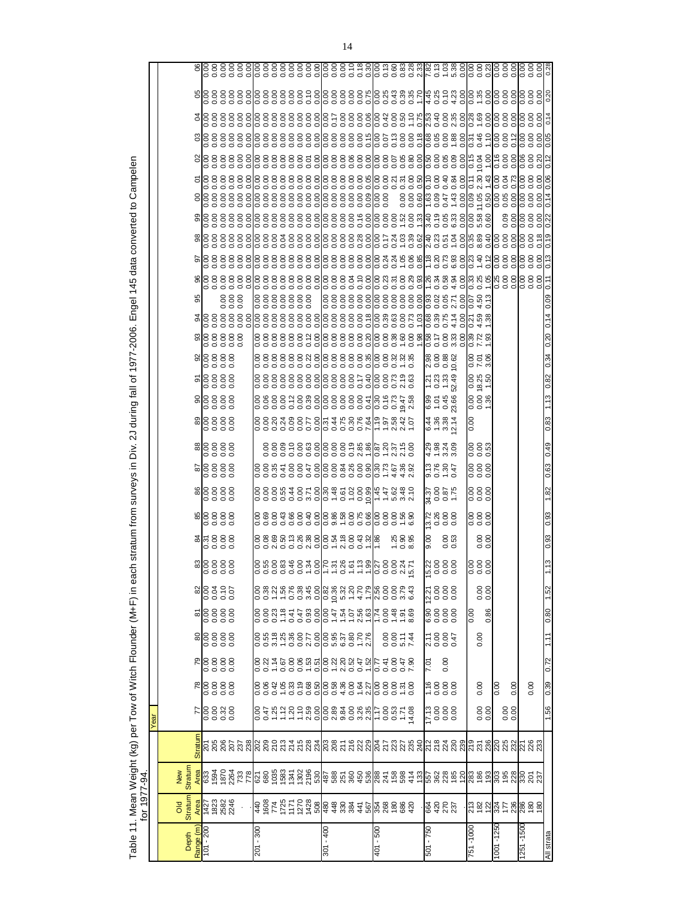|                       | for 1977-94                                                                                                                                                                                                                                                                                                                                                                                                                          |                                                                                                                                            |                     |                               |              |                      |                   |                                            |                     |                     |              |                          |                    |                                                     |                                       |                                                                                                     |                     |                                           |     |                                                                                                                               |                      |        |                                        |                       |      |                                                                                                                                                                                                                                 |  |
|-----------------------|--------------------------------------------------------------------------------------------------------------------------------------------------------------------------------------------------------------------------------------------------------------------------------------------------------------------------------------------------------------------------------------------------------------------------------------|--------------------------------------------------------------------------------------------------------------------------------------------|---------------------|-------------------------------|--------------|----------------------|-------------------|--------------------------------------------|---------------------|---------------------|--------------|--------------------------|--------------------|-----------------------------------------------------|---------------------------------------|-----------------------------------------------------------------------------------------------------|---------------------|-------------------------------------------|-----|-------------------------------------------------------------------------------------------------------------------------------|----------------------|--------|----------------------------------------|-----------------------|------|---------------------------------------------------------------------------------------------------------------------------------------------------------------------------------------------------------------------------------|--|
|                       |                                                                                                                                                                                                                                                                                                                                                                                                                                      |                                                                                                                                            | Year                |                               |              |                      |                   |                                            |                     |                     |              |                          |                    |                                                     |                                       |                                                                                                     |                     |                                           |     |                                                                                                                               |                      |        |                                        |                       |      |                                                                                                                                                                                                                                 |  |
| Range (m<br>Depth     | <b>Stratur</b><br><b>DIO</b>                                                                                                                                                                                                                                                                                                                                                                                                         | <b>Stratum</b><br>New                                                                                                                      |                     |                               |              |                      |                   |                                            |                     |                     |              |                          |                    |                                                     |                                       |                                                                                                     |                     |                                           | 95  |                                                                                                                               |                      |        |                                        |                       |      |                                                                                                                                                                                                                                 |  |
| $101 - 200$           | 123<br>1823<br>1823                                                                                                                                                                                                                                                                                                                                                                                                                  |                                                                                                                                            |                     | 88888                         | $R_{00000}$  | 88888                | <b>z</b><br>28888 |                                            |                     | $rac{26}{3}$        |              | 88888                    |                    | 888888                                              |                                       | 88888                                                                                               | <u>តន្ត្រីខ្លួន</u> | alg 8 8 8 8 8 9<br><b>alg 8 8 8 8 8 9</b> | 888 | $\frac{8}{8}$ $\frac{8}{8}$ $\frac{8}{8}$ $\frac{8}{8}$ $\frac{8}{8}$ $\frac{8}{8}$ $\frac{8}{8}$ $\frac{8}{8}$ $\frac{8}{8}$ |                      |        |                                        |                       |      |                                                                                                                                                                                                                                 |  |
| $201 - 300$           | $\frac{1}{3}$ $\frac{1}{3}$ $\frac{1}{6}$ $\frac{1}{6}$ $\frac{1}{6}$ $\frac{1}{6}$ $\frac{1}{6}$ $\frac{1}{6}$ $\frac{1}{6}$ $\frac{1}{6}$ $\frac{1}{6}$ $\frac{1}{6}$ $\frac{1}{6}$ $\frac{1}{6}$ $\frac{1}{6}$ $\frac{1}{6}$ $\frac{1}{6}$ $\frac{1}{6}$ $\frac{1}{6}$ $\frac{1}{6}$ $\frac{1}{6}$ $\frac{1}{6}$                                                                                                                  | <mark>ද</mark> ී සි මි මි මී හි සු <mark>ය</mark> සි මි මි මි මි මි මී මී මී ජි මී මී මේ මේ වී සි මි මී පි හි මී මී මේ මේ මේ මී මී මී මේ ම |                     | $388458728585885872725352535$ |              |                      |                   |                                            |                     |                     |              | ००००००००००० २०२००० २ २   |                    |                                                     |                                       | ่<br>8 ซี 8 8 ชี 8 ติ 8 8 8 8 8 8 5 4 1 ต 2 ชี 5 ชี<br>8 ซี 8 8 ชี 8 ติ 8 8 8 8 8 5 4 1 ต 2 ชี 4 ซี |                     |                                           |     |                                                                                                                               |                      |        |                                        |                       |      | alo 8 8 8 8 8 8 8 8 8 8 8 9 8 9 8 8 8 8 9 8 9 8 9 8 9 8 9 8 9 8 9 8 9 8 9 8 9 8 9 8 9 8 9 9 9 9 9 9 9 9 9 9 9<br>Protected a contract of the contract of the contract of the contract of the contract of the contract of the co |  |
| 007 - 108             |                                                                                                                                                                                                                                                                                                                                                                                                                                      |                                                                                                                                            |                     |                               |              |                      |                   |                                            |                     |                     |              |                          |                    |                                                     |                                       |                                                                                                     |                     |                                           |     |                                                                                                                               |                      |        |                                        |                       |      |                                                                                                                                                                                                                                 |  |
| $401 - 500$           |                                                                                                                                                                                                                                                                                                                                                                                                                                      |                                                                                                                                            |                     |                               |              | 0.0014               |                   |                                            |                     | 7.888               |              |                          |                    |                                                     |                                       |                                                                                                     |                     |                                           |     |                                                                                                                               |                      |        |                                        |                       |      |                                                                                                                                                                                                                                 |  |
| $501 - 750$           | <b>RESES</b>                                                                                                                                                                                                                                                                                                                                                                                                                         |                                                                                                                                            | 0000<br>0000<br>217 | 0000<br>0000<br>1.1 <b>6</b>  | 0.00<br>7.01 | 2.10<br>0.00<br>2.17 |                   | 1<br>10000<br>1000                         | 22<br>00000<br>0000 | 00.6<br>0.53<br>០.5 | 2888<br>2888 | ತ್ತ ರ<br> <br> ಸ್ವಂ ಲಕ್ಷ | តូន មុន<br>ដូច មុន | 8<br>8<br>8<br>8<br>8<br>8<br>8<br>8<br>8<br>8<br>8 | $6 + 384$<br>$4884$<br>$4884$<br>$44$ | 8<br>6 5 4 8<br>6 - 0 8                                                                             | 23<br>2333<br>2333  |                                           |     |                                                                                                                               |                      |        | 88888438888888888<br>88888438888888888 |                       |      |                                                                                                                                                                                                                                 |  |
| 1001-1250<br>751-1000 | $ \mathcal{Z} \nabla \mathcal{Z} \nabla \mathcal{Z} \nabla \mathcal{Z} \nabla \mathcal{Z} \nabla \mathcal{Z} \nabla \mathcal{Z} \nabla \mathcal{Z} \nabla \mathcal{Z} \nabla \mathcal{Z} \nabla \mathcal{Z} \nabla \mathcal{Z} \nabla \mathcal{Z} \nabla \mathcal{Z} \nabla \mathcal{Z} \nabla \mathcal{Z} \nabla \mathcal{Z} \nabla \mathcal{Z} \nabla \mathcal{Z} \nabla \mathcal{Z} \nabla \mathcal{Z} \nabla \mathcal{Z} \nabla$ |                                                                                                                                            | $\frac{8}{30}$      | 0.00<br>0.00                  |              | 0.00                 | 0.86<br>0.00      | $\begin{matrix} 0.00 \\ 0.00 \end{matrix}$ | 888<br>000          | $\frac{8}{0}$       | 888<br>000   | 888<br>000               | 888<br>000         | 0.00<br>0.00<br>0.00                                | 0.00                                  | 0.00<br>0.00<br>1.36                                                                                | 18.25<br>0.00       |                                           |     |                                                                                                                               | 0.12                 |        |                                        |                       |      |                                                                                                                                                                                                                                 |  |
|                       |                                                                                                                                                                                                                                                                                                                                                                                                                                      |                                                                                                                                            | $\frac{80}{00}$     | 0.00                          |              |                      |                   |                                            |                     |                     |              |                          |                    |                                                     |                                       |                                                                                                     |                     |                                           |     |                                                                                                                               | 0.00<br>0.00<br>0.00 |        |                                        | 882  888<br> 892  898 |      |                                                                                                                                                                                                                                 |  |
| 1251 - 1500           |                                                                                                                                                                                                                                                                                                                                                                                                                                      |                                                                                                                                            |                     | 0.00                          |              |                      |                   |                                            |                     |                     |              |                          |                    |                                                     |                                       |                                                                                                     |                     |                                           |     |                                                                                                                               |                      | 888888 | 888<br> 888                            |                       |      |                                                                                                                                                                                                                                 |  |
| All strata            |                                                                                                                                                                                                                                                                                                                                                                                                                                      |                                                                                                                                            | 1.56                | 0.39                          | 0.72         | 1.11                 | 0.80              | 1.52                                       |                     | 0.93                | 0.93         | 1.82                     | 0.63 0.49          |                                                     | 0.83                                  |                                                                                                     |                     |                                           |     | $\frac{1}{2}$                                                                                                                 |                      |        |                                        |                       | 0.14 |                                                                                                                                                                                                                                 |  |

Table 11. Mean Weight (kg) per Tow of Witch Flounder (M+F) in each stratum from surveys in Div. 2J during fall of 1977-2006. Engel 145 data converted to Campelen Table 11. Mean Weight (kg) per Tow of Witch Flounder (M+F) in each stratum from surveys in Div. 2J during fall of 1977-2006. Engel 145 data converted to Campelen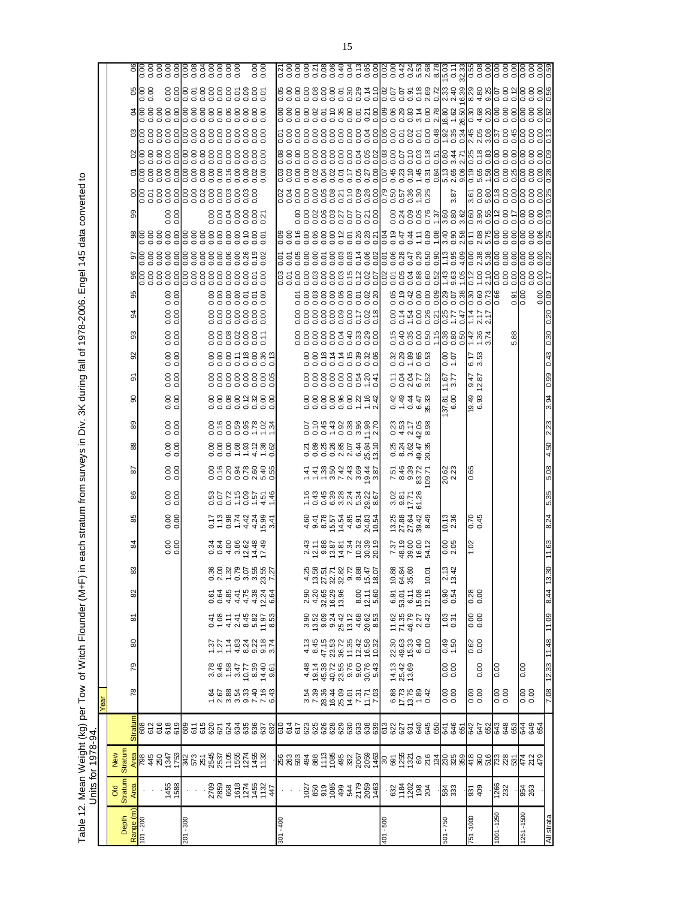Table 12. Mean Weight (kg) per Tow of Witch Flounder (M+F) in each stratum from surveys in Div. 3K during fall of 1978-2006. Engel 145 data converted to<br>Units for 1978-94. Table 12. Mean Weight (kg) per Tow of Witch Flounder (M+F) in each stratum from surveys in Div. 3K during fall of 1978-2006. Engel 145 data converted to Units for 1978-94.

|                          |                                                                                                                                                                                                                                                                                                                     |                |                | Year                                       |                                         |                                                                 |                                             |                                |                                                                    |                                                 |                                                                  |                   |                                                                                                                                                                                    |                                                |                                     |                                       |                                                   |                                                           |                           |                         |                                                                                                                                          |                   |      |                                      |  |                                  |                              |
|--------------------------|---------------------------------------------------------------------------------------------------------------------------------------------------------------------------------------------------------------------------------------------------------------------------------------------------------------------|----------------|----------------|--------------------------------------------|-----------------------------------------|-----------------------------------------------------------------|---------------------------------------------|--------------------------------|--------------------------------------------------------------------|-------------------------------------------------|------------------------------------------------------------------|-------------------|------------------------------------------------------------------------------------------------------------------------------------------------------------------------------------|------------------------------------------------|-------------------------------------|---------------------------------------|---------------------------------------------------|-----------------------------------------------------------|---------------------------|-------------------------|------------------------------------------------------------------------------------------------------------------------------------------|-------------------|------|--------------------------------------|--|----------------------------------|------------------------------|
|                          |                                                                                                                                                                                                                                                                                                                     |                |                |                                            |                                         |                                                                 |                                             |                                |                                                                    |                                                 |                                                                  |                   |                                                                                                                                                                                    |                                                |                                     |                                       |                                                   |                                                           |                           |                         |                                                                                                                                          |                   |      |                                      |  |                                  |                              |
| Depth                    | <b>Stratum</b><br><b>ao</b>                                                                                                                                                                                                                                                                                         | Stratum<br>New |                |                                            |                                         |                                                                 |                                             |                                |                                                                    |                                                 |                                                                  |                   |                                                                                                                                                                                    |                                                |                                     |                                       |                                                   |                                                           |                           |                         |                                                                                                                                          |                   |      |                                      |  |                                  |                              |
| Range (m)<br>  101 - 200 |                                                                                                                                                                                                                                                                                                                     |                | <b>Stratun</b> | 78                                         | 79                                      | 80                                                              | ౚ                                           | 82                             |                                                                    |                                                 |                                                                  |                   |                                                                                                                                                                                    |                                                |                                     |                                       | စ်                                                |                                                           |                           |                         |                                                                                                                                          |                   |      |                                      |  |                                  |                              |
|                          |                                                                                                                                                                                                                                                                                                                     |                |                |                                            |                                         |                                                                 |                                             |                                |                                                                    |                                                 |                                                                  |                   |                                                                                                                                                                                    |                                                |                                     |                                       |                                                   |                                                           |                           |                         |                                                                                                                                          |                   |      |                                      |  |                                  |                              |
|                          |                                                                                                                                                                                                                                                                                                                     |                |                |                                            |                                         |                                                                 |                                             |                                |                                                                    |                                                 |                                                                  |                   |                                                                                                                                                                                    |                                                |                                     |                                       |                                                   |                                                           |                           |                         |                                                                                                                                          |                   |      |                                      |  |                                  |                              |
|                          |                                                                                                                                                                                                                                                                                                                     |                |                |                                            |                                         |                                                                 |                                             |                                |                                                                    |                                                 |                                                                  |                   |                                                                                                                                                                                    |                                                |                                     |                                       |                                                   |                                                           |                           |                         |                                                                                                                                          |                   |      |                                      |  |                                  |                              |
|                          | 1455<br>1588                                                                                                                                                                                                                                                                                                        |                |                |                                            |                                         |                                                                 |                                             |                                |                                                                    | $\frac{000}{000}$                               | 0.00000                                                          | 0.00000           | 0.0000                                                                                                                                                                             | 0.00                                           | 0.00000                             | 0.0000                                | 0.00<br>0.00                                      | 0.0000                                                    |                           | $\frac{0.00}{0.00}$     |                                                                                                                                          | $\frac{000}{000}$ |      |                                      |  |                                  | 888888888888<br>888888888888 |
| $201 - 300$              |                                                                                                                                                                                                                                                                                                                     |                |                |                                            |                                         |                                                                 |                                             |                                |                                                                    |                                                 |                                                                  |                   |                                                                                                                                                                                    |                                                |                                     |                                       |                                                   |                                                           |                           |                         |                                                                                                                                          |                   |      |                                      |  |                                  |                              |
|                          |                                                                                                                                                                                                                                                                                                                     |                |                |                                            |                                         |                                                                 |                                             |                                |                                                                    |                                                 |                                                                  |                   |                                                                                                                                                                                    |                                                |                                     |                                       |                                                   |                                                           |                           |                         |                                                                                                                                          |                   |      |                                      |  |                                  |                              |
|                          |                                                                                                                                                                                                                                                                                                                     |                |                |                                            |                                         |                                                                 |                                             |                                |                                                                    |                                                 |                                                                  |                   |                                                                                                                                                                                    |                                                |                                     |                                       |                                                   |                                                           |                           |                         |                                                                                                                                          |                   |      |                                      |  |                                  |                              |
|                          |                                                                                                                                                                                                                                                                                                                     |                |                |                                            |                                         |                                                                 |                                             |                                |                                                                    |                                                 |                                                                  |                   |                                                                                                                                                                                    |                                                |                                     |                                       |                                                   |                                                           |                           |                         |                                                                                                                                          |                   |      |                                      |  |                                  |                              |
|                          |                                                                                                                                                                                                                                                                                                                     |                |                |                                            |                                         |                                                                 |                                             |                                |                                                                    |                                                 |                                                                  |                   |                                                                                                                                                                                    |                                                |                                     |                                       |                                                   |                                                           |                           |                         |                                                                                                                                          |                   |      |                                      |  |                                  |                              |
|                          |                                                                                                                                                                                                                                                                                                                     |                |                |                                            |                                         |                                                                 |                                             |                                |                                                                    |                                                 |                                                                  |                   |                                                                                                                                                                                    |                                                |                                     |                                       |                                                   |                                                           |                           |                         |                                                                                                                                          |                   |      |                                      |  |                                  |                              |
|                          |                                                                                                                                                                                                                                                                                                                     |                |                |                                            |                                         |                                                                 |                                             |                                |                                                                    |                                                 |                                                                  |                   |                                                                                                                                                                                    |                                                |                                     |                                       |                                                   |                                                           |                           |                         |                                                                                                                                          |                   |      |                                      |  |                                  |                              |
|                          |                                                                                                                                                                                                                                                                                                                     |                |                |                                            |                                         |                                                                 |                                             |                                |                                                                    |                                                 |                                                                  |                   |                                                                                                                                                                                    |                                                |                                     |                                       |                                                   |                                                           |                           |                         |                                                                                                                                          |                   |      |                                      |  |                                  |                              |
|                          | $\frac{2709}{2850}$<br>$\frac{868}{271}$<br>$\frac{868}{271}$<br>$\frac{867}{271}$                                                                                                                                                                                                                                  |                |                | ក្តួន ឆ្នួង មិន មិន<br>ក្តួន ឆ្នួង មិន មិន | 82482779951<br>8462779956<br>8462779956 | 5 7 7 8 9 9 9 9 9 9<br>5 7 7 8 9 9 9 9 9 9<br>6 7 7 9 9 9 9 9 9 |                                             | 00444406<br>00444406           | 80020705857<br>002070558577                                        | 004 w V 4 L<br>9 2 3 8 0 4 4<br>9 4 9 8 0 4 3 9 | 0 - 0 - 4 4 5 6 9<br>C - 0 - 4 4 6 9 4                           | 0001907441        | ខ្លួន មិន ខ្លួន មិន<br>ខ្លួន ខ្លួន ខ្លួន មិន                                                                                                                                       |                                                |                                     | 0000023000<br>0000000000              | 88888888<br>0000000000                            | 88888855                                                  | 8888888                   | 8888558<br>8888558      |                                                                                                                                          | 8838885<br>888888 |      | 5888888888848888<br>5888888888884888 |  | 88888888888888<br>88888888888888 | $\frac{000}{000}$            |
|                          |                                                                                                                                                                                                                                                                                                                     |                |                |                                            |                                         |                                                                 |                                             |                                |                                                                    |                                                 |                                                                  |                   |                                                                                                                                                                                    |                                                |                                     |                                       |                                                   |                                                           |                           |                         |                                                                                                                                          |                   |      |                                      |  |                                  |                              |
| $301 - 400$              | $\gamma$ )                                                                                                                                                                                                                                                                                                          |                |                |                                            |                                         |                                                                 |                                             |                                |                                                                    |                                                 |                                                                  |                   |                                                                                                                                                                                    |                                                |                                     |                                       |                                                   |                                                           |                           |                         |                                                                                                                                          |                   |      |                                      |  |                                  |                              |
|                          |                                                                                                                                                                                                                                                                                                                     |                |                |                                            |                                         |                                                                 |                                             |                                |                                                                    |                                                 |                                                                  |                   |                                                                                                                                                                                    |                                                |                                     |                                       |                                                   |                                                           |                           |                         |                                                                                                                                          |                   |      |                                      |  |                                  |                              |
|                          |                                                                                                                                                                                                                                                                                                                     |                |                |                                            |                                         |                                                                 |                                             |                                |                                                                    |                                                 |                                                                  |                   |                                                                                                                                                                                    |                                                |                                     |                                       |                                                   |                                                           |                           |                         |                                                                                                                                          |                   |      |                                      |  |                                  |                              |
|                          |                                                                                                                                                                                                                                                                                                                     |                |                |                                            |                                         |                                                                 |                                             |                                |                                                                    |                                                 |                                                                  |                   |                                                                                                                                                                                    |                                                |                                     |                                       |                                                   |                                                           |                           |                         |                                                                                                                                          |                   |      |                                      |  |                                  |                              |
|                          |                                                                                                                                                                                                                                                                                                                     |                |                |                                            |                                         |                                                                 |                                             |                                |                                                                    |                                                 |                                                                  |                   |                                                                                                                                                                                    |                                                |                                     |                                       |                                                   |                                                           |                           |                         |                                                                                                                                          |                   |      |                                      |  |                                  |                              |
|                          |                                                                                                                                                                                                                                                                                                                     |                |                |                                            |                                         |                                                                 |                                             |                                |                                                                    |                                                 |                                                                  |                   |                                                                                                                                                                                    |                                                |                                     |                                       |                                                   |                                                           |                           |                         |                                                                                                                                          |                   |      |                                      |  |                                  |                              |
|                          |                                                                                                                                                                                                                                                                                                                     |                |                |                                            |                                         |                                                                 |                                             |                                |                                                                    |                                                 |                                                                  |                   |                                                                                                                                                                                    |                                                |                                     |                                       |                                                   |                                                           |                           |                         |                                                                                                                                          |                   |      |                                      |  |                                  |                              |
|                          |                                                                                                                                                                                                                                                                                                                     |                |                |                                            |                                         |                                                                 |                                             |                                |                                                                    |                                                 |                                                                  |                   |                                                                                                                                                                                    |                                                |                                     |                                       |                                                   |                                                           |                           |                         |                                                                                                                                          |                   |      |                                      |  |                                  |                              |
|                          |                                                                                                                                                                                                                                                                                                                     |                |                | s<br>28.8485557587588489555                |                                         |                                                                 |                                             |                                | $488778788747$<br>$497787888747$<br>$49778888747$<br>$49778888747$ |                                                 | 4 ១ ១ ក៍ 4 តុ 6 4 5<br>កូម កូម កូម កូម កូម<br>កូម កូម កូន កូន កូ |                   | $    \sim$ $\vee$ $\vee$ $\cong$ $\frac{3}{2}$ $\cong$ $\frac{3}{2}$ $\cong$ $\frac{3}{2}$ $\cong$ $\frac{3}{2}$ $\cong$ $\frac{3}{2}$ $\cong$ $\frac{3}{2}$ $\cong$ $\frac{3}{2}$ |                                                |                                     |                                       |                                                   | 888883838<br>888883838                                    | 8888888128<br>00000000000 | 588888588<br>5888888588 |                                                                                                                                          |                   |      |                                      |  |                                  |                              |
|                          |                                                                                                                                                                                                                                                                                                                     |                |                |                                            |                                         |                                                                 |                                             | $8.00$<br>$12.10$<br>$5.60$    |                                                                    |                                                 |                                                                  |                   |                                                                                                                                                                                    |                                                |                                     |                                       |                                                   |                                                           |                           |                         |                                                                                                                                          |                   |      |                                      |  |                                  |                              |
|                          |                                                                                                                                                                                                                                                                                                                     |                |                |                                            |                                         |                                                                 |                                             |                                |                                                                    |                                                 |                                                                  |                   |                                                                                                                                                                                    |                                                |                                     |                                       |                                                   |                                                           |                           |                         |                                                                                                                                          |                   |      |                                      |  |                                  |                              |
| 101 - 500                |                                                                                                                                                                                                                                                                                                                     |                |                |                                            |                                         |                                                                 |                                             |                                |                                                                    |                                                 |                                                                  |                   |                                                                                                                                                                                    |                                                |                                     |                                       |                                                   |                                                           |                           |                         |                                                                                                                                          |                   |      |                                      |  |                                  |                              |
|                          |                                                                                                                                                                                                                                                                                                                     |                |                |                                            | 14.13<br>25.42<br>13.69                 |                                                                 |                                             |                                | 10.88<br>64.84<br>35.60                                            |                                                 |                                                                  |                   |                                                                                                                                                                                    |                                                |                                     |                                       |                                                   |                                                           |                           |                         |                                                                                                                                          |                   |      |                                      |  |                                  |                              |
|                          |                                                                                                                                                                                                                                                                                                                     |                |                |                                            |                                         |                                                                 |                                             |                                |                                                                    |                                                 |                                                                  |                   |                                                                                                                                                                                    |                                                |                                     |                                       |                                                   |                                                           |                           |                         |                                                                                                                                          |                   |      |                                      |  |                                  |                              |
|                          | $\frac{1}{2}$ $\frac{5}{2}$ $\frac{5}{2}$ $\frac{3}{2}$ $\frac{3}{2}$ $\frac{4}{2}$ $\frac{3}{2}$ $\frac{3}{2}$ $\frac{4}{2}$ $\frac{3}{2}$ $\frac{4}{2}$ $\frac{3}{2}$ $\frac{4}{2}$ $\frac{3}{2}$ $\frac{4}{2}$ $\frac{3}{2}$ $\frac{4}{2}$ $\frac{3}{2}$ $\frac{4}{2}$ $\frac{3}{2}$ $\frac{4}{2}$ $\frac{3}{2}$ |                |                | 8877834<br>877834<br>8778                  |                                         | 20<br>2003 30<br>2009 20                                        | 1168<br>1168<br>116811                      | ទី១៥<br>ខ្លួន មិន<br>ខ្លួន មិន |                                                                    | 7.37<br>48.00<br>48.00<br>54.12                 | 52<br>122<br>1223<br>123                                         | san<br>San<br>San | 7.88<br>8.88<br>7.89<br>7.89                                                                                                                                                       | 0<br>0 8 9 9 9 9 9<br>0 8 9 9 9 9<br>0 9 9 9 9 | 0 4 5 6 8<br>0 4 5 6 8<br>0 4 5 6 8 | 0 4 9 4 4 3<br>4 4 4 4 3<br>0 4 4 4 3 | 32<br>33<br>33<br>35<br>35<br>3<br>santa<br>Lagra |                                                           |                           |                         |                                                                                                                                          |                   |      |                                      |  |                                  |                              |
|                          |                                                                                                                                                                                                                                                                                                                     |                |                |                                            |                                         |                                                                 |                                             |                                | 10.0 <sup>2</sup>                                                  |                                                 |                                                                  |                   |                                                                                                                                                                                    |                                                |                                     |                                       |                                                   |                                                           |                           |                         |                                                                                                                                          |                   |      |                                      |  |                                  |                              |
|                          |                                                                                                                                                                                                                                                                                                                     |                |                |                                            |                                         |                                                                 |                                             |                                |                                                                    |                                                 |                                                                  |                   |                                                                                                                                                                                    |                                                |                                     |                                       |                                                   |                                                           |                           |                         |                                                                                                                                          |                   |      |                                      |  |                                  |                              |
| 501 - 750                | 584<br>333                                                                                                                                                                                                                                                                                                          |                |                | 0.00                                       | $\frac{00}{00}$                         | 0.50<br>6 <del>7</del> .0                                       | $\begin{array}{c} 1.33 \\ 0.31 \end{array}$ | 0.54                           | ო ო<br>$\frac{21}{13}$                                             | $0.05$<br>2.05                                  | 10.13<br>2.36                                                    |                   | 20.62<br>2.23                                                                                                                                                                      |                                                |                                     | $\frac{11.67}{3.77}$<br>37.81<br>6.00 | $rac{00}{1.07}$                                   |                                                           |                           |                         |                                                                                                                                          |                   | 3.87 |                                      |  |                                  |                              |
|                          |                                                                                                                                                                                                                                                                                                                     |                |                |                                            |                                         |                                                                 |                                             |                                |                                                                    |                                                 |                                                                  |                   |                                                                                                                                                                                    |                                                |                                     |                                       |                                                   |                                                           |                           |                         |                                                                                                                                          |                   |      |                                      |  |                                  |                              |
| 751 - 1000               |                                                                                                                                                                                                                                                                                                                     |                |                |                                            |                                         |                                                                 |                                             |                                |                                                                    | 1.02                                            |                                                                  |                   | 0.65                                                                                                                                                                               |                                                |                                     | 19.49<br>6.93                         |                                                   |                                                           |                           |                         |                                                                                                                                          |                   |      |                                      |  |                                  |                              |
|                          | 931<br>409                                                                                                                                                                                                                                                                                                          |                |                | 0.00                                       | 0.00                                    | 0.62                                                            | 88<br>0.0                                   | 0.28                           |                                                                    |                                                 | 0.45                                                             |                   |                                                                                                                                                                                    |                                                |                                     | 9.47<br>12.87                         | 6.17<br>3.53                                      | 6<br>6 8 8 9 8 6 6 8 9 8 7<br>6 9 8 9 8 6 9 8 9 8 9 8 9 7 |                           |                         | s s 8 8 8 2 8 8 8 7 8 8 9 5 8 8 7 8 8 9 9 9 8 9 8 9 8 9 8 9 8 9 9 9<br>S S 8 8 8 5 8 8 8 7 8 9 5 8 8 7 8 8 9 9 8 9 9 8 9 9 8 9 9 8 9 9 9 |                   |      |                                      |  |                                  |                              |
| $001 - 1250$             |                                                                                                                                                                                                                                                                                                                     |                |                |                                            | 0.00                                    |                                                                 |                                             |                                |                                                                    |                                                 |                                                                  |                   |                                                                                                                                                                                    |                                                |                                     |                                       |                                                   |                                                           |                           |                         |                                                                                                                                          |                   |      |                                      |  |                                  |                              |
|                          | 1266<br>232                                                                                                                                                                                                                                                                                                         |                |                | 0.00                                       |                                         |                                                                 |                                             |                                |                                                                    |                                                 |                                                                  |                   |                                                                                                                                                                                    |                                                |                                     |                                       |                                                   |                                                           |                           |                         |                                                                                                                                          |                   |      |                                      |  |                                  |                              |
|                          |                                                                                                                                                                                                                                                                                                                     |                |                |                                            |                                         |                                                                 |                                             |                                |                                                                    |                                                 |                                                                  |                   |                                                                                                                                                                                    |                                                |                                     |                                       |                                                   |                                                           |                           | $\frac{51}{0.00}$       |                                                                                                                                          |                   |      |                                      |  |                                  |                              |
| 1251-1500                | 954<br>263                                                                                                                                                                                                                                                                                                          |                |                | 0.0000                                     | 0.00                                    |                                                                 |                                             |                                |                                                                    |                                                 |                                                                  |                   |                                                                                                                                                                                    |                                                |                                     |                                       |                                                   |                                                           |                           |                         |                                                                                                                                          |                   |      |                                      |  |                                  |                              |
|                          |                                                                                                                                                                                                                                                                                                                     |                |                |                                            |                                         |                                                                 |                                             |                                |                                                                    |                                                 |                                                                  |                   |                                                                                                                                                                                    |                                                |                                     |                                       |                                                   |                                                           |                           | 8                       |                                                                                                                                          |                   |      |                                      |  |                                  |                              |
| All strata               |                                                                                                                                                                                                                                                                                                                     |                |                | 0.11 84.11 85.21 80.7                      |                                         |                                                                 |                                             | 8.44 13.                       |                                                                    | 11.63                                           | 8.24                                                             | 5.35              | 5.08                                                                                                                                                                               | 4.50                                           | 2.23                                | 3.94                                  | 0.99 0.43 0.30                                    |                                                           | 0.20                      | 0.09                    |                                                                                                                                          |                   |      |                                      |  |                                  |                              |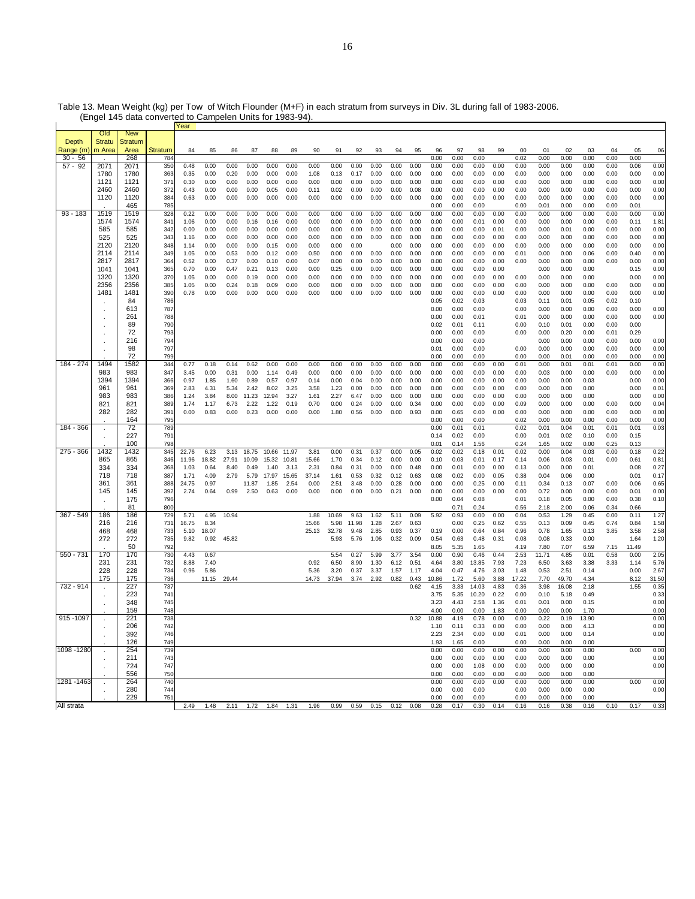|             |               |            |                | Year  |       |             |       |       |       |       |       |       |      |      |      |              |              |              |      |              |              |              |              |              |              |       |
|-------------|---------------|------------|----------------|-------|-------|-------------|-------|-------|-------|-------|-------|-------|------|------|------|--------------|--------------|--------------|------|--------------|--------------|--------------|--------------|--------------|--------------|-------|
|             | Old           | <b>New</b> |                |       |       |             |       |       |       |       |       |       |      |      |      |              |              |              |      |              |              |              |              |              |              |       |
| Depth       | <b>Stratu</b> | Stratum    |                |       |       |             |       |       |       |       |       |       |      |      |      |              |              |              |      |              |              |              |              |              |              |       |
| Range (m    | m Area        | Area       | <b>Stratum</b> | 84    | 85    | 86          | 87    | 88    | 89    | 90    | 91    | 92    | 93   | 94   | 95   | 96           | 97           | 98           | 99   | 00           | 01           | 02           | 03           | 04           | 05           | 06    |
| $30 - 56$   |               | 268        | 784            |       |       |             |       |       |       |       |       |       |      |      |      | 0.00         | 0.00         | 0.00         |      | 0.02         | 0.00         | 0.00         | 0.00         | 0.00         | 0.00         |       |
| $57 - 92$   | 2071          | 2071       | 350            | 0.48  | 0.00  | 0.00        | 0.00  | 0.00  | 0.00  | 0.00  | 0.00  | 0.00  | 0.00 | 0.00 | 0.00 | 0.00         | 0.00         | 0.00         | 0.00 | 0.00         | 0.00         | 0.00         | 0.00         | 0.00         | 0.06         | 0.00  |
|             | 1780          | 1780       | 363            | 0.35  | 0.00  | 0.20        | 0.00  | 0.00  | 0.00  | 1.08  | 0.13  | 0.17  | 0.00 | 0.00 | 0.00 | 0.00         | 0.00         | 0.00         | 0.00 | 0.00         | 0.00         | 0.00         | 0.00         | 0.00         | 0.00         | 0.00  |
|             | 1121          | 1121       | 371            | 0.30  | 0.00  | 0.00        | 0.00  | 0.00  | 0.00  | 0.00  | 0.00  | 0.00  | 0.00 | 0.00 | 0.00 | 0.00         | 0.00         | 0.00         | 0.00 | 0.00         | 0.00         | 0.00         | 0.00         | 0.00         | 0.00         | 0.00  |
|             | 2460          | 2460       | 372            | 0.43  | 0.00  | 0.00        | 0.00  | 0.05  | 0.00  | 0.11  | 0.02  | 0.00  | 0.00 | 0.00 | 0.08 | 0.00         | 0.00         | 0.00         | 0.00 | 0.00         | 0.00         | 0.00         | 0.00         | 0.00         | 0.00         | 0.00  |
|             | 1120          | 1120       | 384            | 0.63  | 0.00  | 0.00        | 0.00  | 0.00  | 0.00  | 0.00  | 0.00  | 0.00  | 0.00 | 0.00 | 0.00 | 0.00         | 0.00         | 0.00         | 0.00 | 0.00         | 0.00         | 0.00         | 0.00         | 0.00         | 0.00         | 0.00  |
|             |               | 465        | 785            |       |       |             |       |       |       |       |       |       |      |      |      | 0.00         | 0.00         | 0.00         |      | 0.00         | 0.01         | 0.00         | 0.00         | 0.00         | 0.01         |       |
| $93 - 183$  | 1519          | 1519       | 328            | 0.22  | 0.00  | 0.00        | 0.00  | 0.00  | 0.00  | 0.00  | 0.00  | 0.00  | 0.00 | 0.00 | 0.00 | 0.00         | 0.00         | 0.00         | 0.00 | 0.00         | 0.00         | 0.00         | 0.00         | 0.00         | 0.00         | 0.00  |
|             | 1574          | 1574       | 341            | 1.06  | 0.00  | 0.00        | 0.16  | 0.16  | 0.00  | 0.00  | 0.00  | 0.00  | 0.00 | 0.00 | 0.00 | 0.00         | 0.00         | 0.01         | 0.00 | 0.00         | 0.00         | 0.00         | 0.00         | 0.00         | 0.11         | 1.81  |
|             | 585           | 585        | 342            | 0.00  | 0.00  | 0.00        | 0.00  | 0.00  | 0.00  | 0.00  | 0.00  | 0.00  | 0.00 | 0.00 | 0.00 | 0.00         | 0.00         | 0.00         | 0.01 | 0.00         | 0.00         | 0.01         | 0.00         | 0.00         | 0.00         | 0.00  |
|             | 525           | 525        | 343            | 1.16  | 0.00  | 0.00        | 0.00  | 0.00  | 0.00  | 0.00  | 0.00  | 0.00  | 0.00 | 0.00 | 0.00 | 0.00         | 0.00         | 0.00         | 0.00 | 0.00         | 0.00         | 0.00         | 0.00         | 0.00         | 0.00         | 0.00  |
|             | 2120          | 2120       | 348            | 1.14  | 0.00  | 0.00        | 0.00  | 0.15  | 0.00  | 0.00  | 0.00  | 0.00  |      | 0.00 | 0.00 | 0.00         | 0.00         | 0.00         | 0.00 | 0.00         | 0.00         | 0.00         | 0.00         | 0.00         | 0.00         | 0.00  |
|             | 2114          | 2114       | 349            | 1.05  | 0.00  | 0.53        | 0.00  | 0.12  | 0.00  | 0.50  | 0.00  | 0.00  | 0.00 | 0.00 | 0.00 | 0.00         | 0.00         | 0.00         | 0.00 | 0.01         | 0.00         | 0.00         | 0.06         | 0.00         | 0.40         | 0.00  |
|             | 2817          | 2817       | 364            | 0.52  | 0.00  | 0.37        | 0.00  | 0.10  | 0.00  | 0.07  | 0.00  | 0.00  | 0.00 | 0.00 | 0.00 | 0.00         | 0.00         | 0.00         | 0.00 | 0.00         | 0.00         | 0.00         | 0.00         | 0.00         | 0.00         | 0.00  |
|             | 1041          | 1041       | 365            | 0.70  | 0.00  | 0.47        | 0.21  | 0.13  | 0.00  | 0.00  | 0.25  | 0.00  | 0.00 | 0.00 | 0.00 | 0.00         | 0.00         | 0.00         | 0.00 |              | 0.00         | 0.00         | 0.00         |              | 0.15         | 0.00  |
|             | 1320          | 1320       | 370            | 1.05  | 0.00  | 0.00        | 0.19  | 0.00  | 0.00  | 0.00  | 0.00  | 0.00  | 0.00 | 0.00 | 0.00 | 0.00         | 0.00         | 0.00         | 0.00 | 0.00         | 0.00         | 0.00         | 0.00         |              | 0.00         | 0.00  |
|             | 2356          | 2356       | 385            | 1.05  | 0.00  | 0.24        | 0.18  | 0.09  | 0.00  | 0.00  | 0.00  | 0.00  | 0.00 | 0.00 | 0.00 | 0.00         | 0.00         | 0.00         | 0.00 | 0.00         | 0.00         | 0.00         | 0.00         | 0.00         | 0.00         | 0.00  |
|             | 1481          | 1481       | 390            | 0.78  | 0.00  | 0.00        | 0.00  | 0.00  | 0.00  | 0.00  | 0.00  | 0.00  | 0.00 | 0.00 | 0.00 | 0.00         | 0.00         | 0.00         | 0.00 | 0.00         | 0.00         | 0.00         | 0.00         | 0.00         | 0.00         | 0.00  |
|             |               | 84         | 786            |       |       |             |       |       |       |       |       |       |      |      |      | 0.05         | 0.02         | 0.03         |      | 0.03         | 0.11         | 0.01         | 0.05         | 0.02         | 0.10         |       |
|             |               | 613        | 787            |       |       |             |       |       |       |       |       |       |      |      |      | 0.00         | 0.00         | 0.00         |      | 0.00         | 0.00         | 0.00         | 0.00         | 0.00         | 0.00         | 0.00  |
|             |               | 261        | 788            |       |       |             |       |       |       |       |       |       |      |      |      | 0.00         | 0.00         | 0.01         |      | 0.01         | 0.00         | 0.00         | 0.00         | 0.00         | 0.00         | 0.00  |
|             |               | 89         | 790            |       |       |             |       |       |       |       |       |       |      |      |      | 0.02         | 0.01         | 0.11         |      | 0.00         | 0.10         | 0.01         | 0.00         | 0.00         | 0.00         |       |
|             |               | 72         | 793            |       |       |             |       |       |       |       |       |       |      |      |      | 0.00         | 0.00         | 0.00         |      | 0.00         | 0.00         | 0.20         | 0.00         | 0.01         | 0.29         |       |
|             |               | 216        | 794            |       |       |             |       |       |       |       |       |       |      |      |      | 0.00         | 0.00         | 0.00         |      |              | 0.00         | 0.00         | 0.00         | 0.00         | 0.00         | 0.00  |
|             |               | 98         | 797            |       |       |             |       |       |       |       |       |       |      |      |      | 0.01         | 0.00         | 0.00         |      | 0.00         | 0.00         | 0.00         | 0.00         | 0.00         | 0.00         | 0.00  |
|             |               | 72         | 799            |       |       |             |       |       |       |       |       |       |      |      |      | 0.00         | 0.00         | 0.00         |      | 0.00         | 0.00         | 0.01         | 0.00         | 0.00         | 0.00         | 0.00  |
| 184 - 274   | 1494          | 1582       | 344            | 0.77  | 0.18  | 0.14        | 0.62  | 0.00  | 0.00  | 0.00  | 0.00  | 0.00  | 0.00 | 0.00 | 0.00 | 0.00         | 0.00         | 0.00         | 0.00 | 0.01         | 0.00         | 0.01         | 0.01         | 0.01         | 0.00         | 0.00  |
|             | 983           | 983        | 347            | 3.45  | 0.00  | 0.31        | 0.00  | 1.14  | 0.49  | 0.00  | 0.00  | 0.00  | 0.00 | 0.00 | 0.00 | 0.00         | 0.00         | 0.00         | 0.00 | 0.00         | 0.03         | 0.00         | 0.00         | 0.00         | 0.00         | 0.00  |
|             | 1394          | 1394       | 366            | 0.97  | 1.85  | 1.60        | 0.89  | 0.57  | 0.97  | 0.14  | 0.00  | 0.04  | 0.00 | 0.00 | 0.00 | 0.00         | 0.00         | 0.00         | 0.00 | 0.00         | 0.00         | 0.00         | 0.03         |              | 0.00         | 0.00  |
|             | 961           | 961        | 369            | 2.83  | 4.31  | 5.34        | 2.42  | 8.02  | 3.25  | 3.58  | 1.23  | 0.00  | 0.00 | 0.00 | 0.00 | 0.00         | 0.00         | 0.00         | 0.00 | 0.00         | 0.00         | 0.00         | 0.00         |              | 0.00         | 0.01  |
|             | 983           | 983        | 386            | 1.24  | 3.84  | 8.00        | 11.23 | 12.94 | 3.27  | 1.61  | 2.27  | 6.47  | 0.00 | 0.00 | 0.00 | 0.00         | 0.00         | 0.00         | 0.00 | 0.00         | 0.00         | 0.00         | 0.00         |              | 0.00         | 0.00  |
|             | 821           | 821        | 389            | 1.74  | 1.17  | 6.73        | 2.22  | 1.22  | 0.19  | 0.70  | 0.00  | 0.24  | 0.00 | 0.00 | 0.34 | 0.00         | 0.00         | 0.00         | 0.00 | 0.09         | 0.00         | 0.00         | 0.00         | 0.00         | 0.00         | 0.04  |
|             | 282           | 282        | 391            | 0.00  | 0.83  | 0.00        | 0.23  | 0.00  | 0.00  | 0.00  | 1.80  | 0.56  | 0.00 | 0.00 | 0.93 | 0.00         | 0.65         | 0.00         | 0.00 | 0.00         | 0.00         | 0.00         | 0.00         | 0.00         | 0.00         | 0.00  |
|             |               | 164        | 795            |       |       |             |       |       |       |       |       |       |      |      |      | 0.00<br>0.00 | 0.00         | 0.00         |      | 0.02         | 0.00         | 0.00         | 0.00         | 0.00         | 0.00         | 0.00  |
| 184 - 366   | $\epsilon$    | 72<br>227  | 789            |       |       |             |       |       |       |       |       |       |      |      |      |              | 0.01         | 0.01         |      | 0.02         | 0.01         | 0.04         | 0.01         | 0.01         | 0.01         | 0.03  |
|             |               | 100        | 791<br>798     |       |       |             |       |       |       |       |       |       |      |      |      | 0.14<br>0.01 | 0.02<br>0.14 | 0.00<br>1.56 |      | 0.00<br>0.24 | 0.01<br>1.65 | 0.02<br>0.02 | 0.10<br>0.00 | 0.00<br>0.25 | 0.15<br>0.13 |       |
| 275 - 366   | 1432          | 1432       | 345            | 22.76 | 6.23  | 3.13        | 18.75 | 10.66 | 11.97 | 3.81  | 0.00  | 0.31  | 0.37 | 0.00 | 0.05 | 0.02         | 0.02         | 0.18         | 0.01 | 0.02         | 0.00         | 0.04         | 0.03         | 0.00         | 0.18         | 0.22  |
|             | 865           | 865        | 346            | 11.96 | 18.82 | 27.91       | 10.09 | 15.32 | 10.81 | 15.66 | 1.70  | 0.34  | 0.12 | 0.00 | 0.00 | 0.10         | 0.03         | 0.01         | 0.17 | 0.14         | 0.06         | 0.03         | 0.01         | 0.00         | 0.61         | 0.81  |
|             | 334           | 334        | 368            | 1.03  | 0.64  | 8.40        | 0.49  | 1.40  | 3.13  | 2.31  | 0.84  | 0.31  | 0.00 | 0.00 | 0.48 | 0.00         | 0.01         | 0.00         | 0.00 | 0.13         | 0.00         | 0.00         | 0.01         |              | 0.08         | 0.27  |
|             | 718           | 718        | 387            | 1.71  | 4.09  | 2.79        | 5.79  | 17.97 | 15.65 | 37.14 | 1.61  | 0.53  | 0.32 | 0.12 | 0.63 | 0.08         | 0.02         | 0.00         | 0.05 | 0.38         | 0.04         | 0.06         | 0.00         |              | 0.01         | 0.17  |
|             | 361           | 361        | 388            | 24.75 | 0.97  |             | 11.87 | 1.85  | 2.54  | 0.00  | 2.51  | 3.48  | 0.00 | 0.28 | 0.00 | 0.00         | 0.00         | 0.25         | 0.00 | 0.11         | 0.34         | 0.13         | 0.07         | 0.00         | 0.06         | 0.65  |
|             | 145           | 145        | 392            | 2.74  | 0.64  | 0.99        | 2.50  | 0.63  | 0.00  | 0.00  | 0.00  | 0.00  | 0.00 | 0.21 | 0.00 | 0.00         | 0.00         | 0.00         | 0.00 | 0.00         | 0.72         | 0.00         | 0.00         | 0.00         | 0.01         | 0.00  |
|             |               | 175        | 796            |       |       |             |       |       |       |       |       |       |      |      |      | 0.00         | 0.04         | 0.08         |      | 0.01         | 0.18         | 0.05         | 0.00         | 0.00         | 0.38         | 0.10  |
|             |               | 81         | 800            |       |       |             |       |       |       |       |       |       |      |      |      |              | 0.71         | 0.24         |      | 0.56         | 2.18         | 2.00         | 0.06         | 0.34         | 0.66         |       |
| 367 - 549   | 186           | 186        | 729            | 5.71  | 4.95  | 10.94       |       |       |       | 1.88  | 10.69 | 9.63  | 1.62 | 5.11 | 0.09 | 5.92         | 0.93         | 0.00         | 0.00 | 0.04         | 0.53         | 1.29         | 0.45         | 0.00         | 0.11         | 1.27  |
|             | 216           | 216        | 731            | 16.75 | 8.34  |             |       |       |       | 15.66 | 5.98  | 11.98 | 1.28 | 2.67 | 0.63 |              | 0.00         | 0.25         | 0.62 | 0.55         | 0.13         | 0.09         | 0.45         | 0.74         | 0.84         | 1.58  |
|             | 468           | 468        | 733            | 5.10  | 18.07 |             |       |       |       | 25.13 | 32.78 | 9.48  | 2.85 | 0.93 | 0.37 | 0.19         | 0.00         | 0.64         | 0.84 | 0.96         | 0.78         | 1.65         | 0.13         | 3.85         | 3.58         | 2.58  |
|             | 272           | 272        | 735            | 9.82  | 0.92  | 45.82       |       |       |       |       | 5.93  | 5.76  | 1.06 | 0.32 | 0.09 | 0.54         | 0.63         | 0.48         | 0.31 | 0.08         | 0.08         | 0.33         | 0.00         |              | 1.64         | 1.20  |
|             |               | 50         | 792            |       |       |             |       |       |       |       |       |       |      |      |      | 8.05         | 5.35         | 1.65         |      | 4.19         | 7.80         | 7.07         | 6.59         | 7.15         | 11.49        |       |
| 550 - 731   | 170           | 170        | 730            | 4.43  | 0.67  |             |       |       |       |       | 5.54  | 0.27  | 5.99 | 3.77 | 3.54 | 0.00         | 0.90         | 0.46         | 0.44 | 2.53         | 11.71        | 4.85         | 0.01         | 0.58         | 0.00         | 2.05  |
|             | 231           | 231        | 732            | 8.88  | 7.40  |             |       |       |       | 0.92  | 6.50  | 8.90  | 1.30 | 6.12 | 0.51 | 4.64         | 3.80         | 13.85        | 7.93 | 7.23         | 6.50         | 3.63         | 3.38         | 3.33         | 1.14         | 5.76  |
|             | 228           | 228        | 734            | 0.96  | 5.86  |             |       |       |       | 5.36  | 3.20  | 0.37  | 3.37 | 1.57 | 1.17 | 4.04         | 0.47         | 4.76         | 3.03 | 1.48         | 0.53         | 2.51         | 0.14         |              | 0.00         | 2.67  |
|             | 175           | 175        | 736            |       |       | 11.15 29.44 |       |       |       | 14.73 | 37.94 | 3.74  | 2.92 | 0.82 | 0.43 | 10.86        | 1.72         | 5.60         | 3.88 | 17.22        | 7.70         | 49.70        | 4.34         |              | 8.12         | 31.50 |
| 732 - 914   |               | 227        | 737            |       |       |             |       |       |       |       |       |       |      |      | 0.62 | 4.15         | 3.33         | 14.03        | 4.83 | 0.36         | 3.98         | 16.08        | 2.18         |              | 1.55         | 0.35  |
|             |               | 223        | 741            |       |       |             |       |       |       |       |       |       |      |      |      | 3.75         | 5.35         | 10.20        | 0.22 | 0.00         | 0.10         | 5.18         | 0.49         |              |              | 0.33  |
|             |               | 348        | 745            |       |       |             |       |       |       |       |       |       |      |      |      | 3.23         | 4.43         | 2.58         | 1.36 | 0.01         | 0.01         | 0.00         | 0.15         |              |              | 0.00  |
|             |               | 159        | 748            |       |       |             |       |       |       |       |       |       |      |      |      | 4.00         | 0.00         | 0.00         | 1.83 | 0.00         | 0.00         | 0.00         | 1.70         |              |              | 0.00  |
| 915 - 1097  |               | 221        | 738            |       |       |             |       |       |       |       |       |       |      |      | 0.32 | 10.88        | 4.19         | 0.78         | 0.00 | 0.00         | 0.22         | 0.19         | 13.90        |              |              | 0.00  |
|             |               | 206        | 742            |       |       |             |       |       |       |       |       |       |      |      |      | 1.10         | 0.11         | 0.33         | 0.00 | 0.00         | 0.00         | 0.00         | 4.13         |              |              | 0.00  |
|             |               | 392        | 746            |       |       |             |       |       |       |       |       |       |      |      |      | 2.23         | 2.34         | 0.00         | 0.00 | 0.01         | 0.00         | 0.00         | 0.14         |              |              | 0.00  |
|             |               | 126        | 749            |       |       |             |       |       |       |       |       |       |      |      |      | 1.93         | 1.65         | 0.00         |      | 0.00         | 0.00         | 0.00         | 0.00         |              |              |       |
| 1098 - 1280 |               | 254        | 739            |       |       |             |       |       |       |       |       |       |      |      |      | 0.00         | 0.00         | 0.00         | 0.00 | 0.00         | 0.00         | 0.00         | 0.00         |              | 0.00         | 0.00  |
|             |               | 211        | 743            |       |       |             |       |       |       |       |       |       |      |      |      | 0.00         | 0.00         | 0.00         | 0.00 | 0.00         | 0.00         | 0.00         | 0.00         |              |              | 0.00  |
|             |               | 724        | 747            |       |       |             |       |       |       |       |       |       |      |      |      | 0.00         | 0.00         | 1.08         | 0.00 | 0.00         | 0.00         | 0.00         | 0.00         |              |              | 0.00  |
|             |               | 556        | 750            |       |       |             |       |       |       |       |       |       |      |      |      | 0.00         | 0.00         | 0.00         | 0.00 | 0.00         | 0.00         | 0.00         | 0.00         |              |              |       |
| 1281 - 1463 |               | 264        | 740            |       |       |             |       |       |       |       |       |       |      |      |      | 0.00         | 0.00         | 0.00         | 0.00 | 0.00         | 0.00         | 0.00         | 0.00         |              | 0.00         | 0.00  |
|             |               | 280        | 744            |       |       |             |       |       |       |       |       |       |      |      |      | 0.00         | 0.00         | 0.00         |      | 0.00         | 0.00         | 0.00         | 0.00         |              |              | 0.00  |
|             |               | 229        | 751            |       |       |             |       |       |       |       |       |       |      |      |      | 0.00         | 0.00         | 0.00         |      | 0.00         | 0.00         | 0.00         | 0.00         |              |              |       |
| All strata  |               |            |                | 2.49  | 1.48  | 2.11        | 1.72  | 1.84  | 1.31  | 1.96  | 0.99  | 0.59  | 0.15 | 0.12 | 0.08 | 0.28         | 0.17         | 0.30         | 0.14 | 0.16         | 0.16         | 0.38         | 0.16         | 0.10         | 0.17         | 0.33  |

Table 13. Mean Weight (kg) per Tow of Witch Flounder (M+F) in each stratum from surveys in Div. 3L during fall of 1983-2006. (Engel 145 data converted to Campelen Units for 1983-94).<br><sup>Year</sup>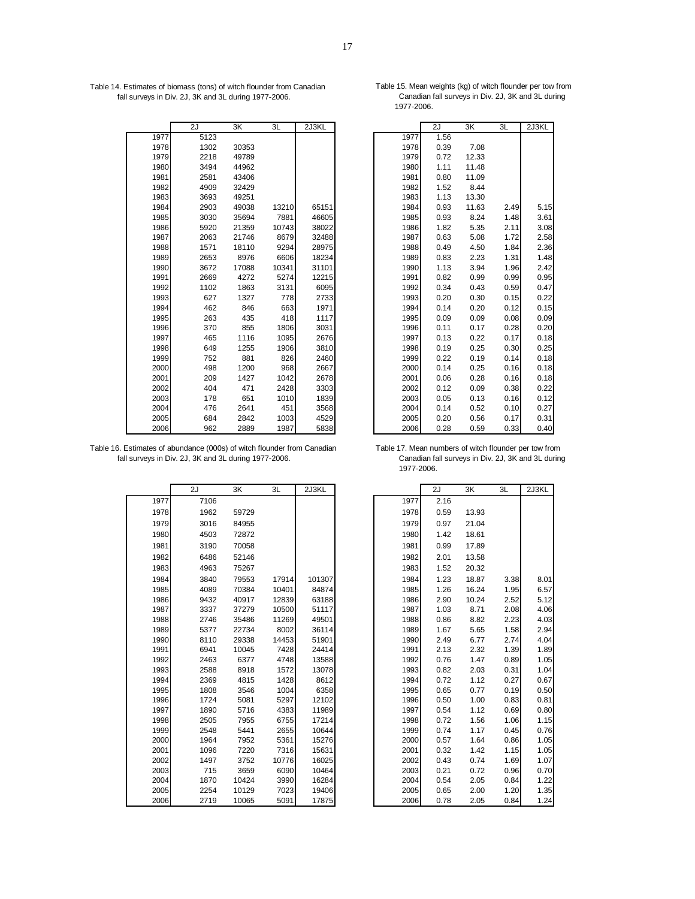Table 14. Estimates of biomass (tons) of witch flounder from Canadian Table 15. Mean weights (kg) of witch flounder per tow from fall surveys in Div. 2J, 3K and 3L during 1977-2006. Canadian fall surveys in Div. 2J, 3K and fall surveys in Div. 2J, 3K and 3L during 1977-2006.

|      | 2J   | 3K    | 3L    | 2J3KL |      | 2J   | 3K    | 3L   | 2J3KL |
|------|------|-------|-------|-------|------|------|-------|------|-------|
| 1977 | 5123 |       |       |       | 1977 | 1.56 |       |      |       |
| 1978 | 1302 | 30353 |       |       | 1978 | 0.39 | 7.08  |      |       |
| 1979 | 2218 | 49789 |       |       | 1979 | 0.72 | 12.33 |      |       |
| 1980 | 3494 | 44962 |       |       | 1980 | 1.11 | 11.48 |      |       |
| 1981 | 2581 | 43406 |       |       | 1981 | 0.80 | 11.09 |      |       |
| 1982 | 4909 | 32429 |       |       | 1982 | 1.52 | 8.44  |      |       |
| 1983 | 3693 | 49251 |       |       | 1983 | 1.13 | 13.30 |      |       |
| 1984 | 2903 | 49038 | 13210 | 65151 | 1984 | 0.93 | 11.63 | 2.49 | 5.15  |
| 1985 | 3030 | 35694 | 7881  | 46605 | 1985 | 0.93 | 8.24  | 1.48 | 3.61  |
| 1986 | 5920 | 21359 | 10743 | 38022 | 1986 | 1.82 | 5.35  | 2.11 | 3.08  |
| 1987 | 2063 | 21746 | 8679  | 32488 | 1987 | 0.63 | 5.08  | 1.72 | 2.58  |
| 1988 | 1571 | 18110 | 9294  | 28975 | 1988 | 0.49 | 4.50  | 1.84 | 2.36  |
| 1989 | 2653 | 8976  | 6606  | 18234 | 1989 | 0.83 | 2.23  | 1.31 | 1.48  |
| 1990 | 3672 | 17088 | 10341 | 31101 | 1990 | 1.13 | 3.94  | 1.96 | 2.42  |
| 1991 | 2669 | 4272  | 5274  | 12215 | 1991 | 0.82 | 0.99  | 0.99 | 0.95  |
| 1992 | 1102 | 1863  | 3131  | 6095  | 1992 | 0.34 | 0.43  | 0.59 | 0.47  |
| 1993 | 627  | 1327  | 778   | 2733  | 1993 | 0.20 | 0.30  | 0.15 | 0.22  |
| 1994 | 462  | 846   | 663   | 1971  | 1994 | 0.14 | 0.20  | 0.12 | 0.15  |
| 1995 | 263  | 435   | 418   | 1117  | 1995 | 0.09 | 0.09  | 0.08 | 0.09  |
| 1996 | 370  | 855   | 1806  | 3031  | 1996 | 0.11 | 0.17  | 0.28 | 0.20  |
| 1997 | 465  | 1116  | 1095  | 2676  | 1997 | 0.13 | 0.22  | 0.17 | 0.18  |
| 1998 | 649  | 1255  | 1906  | 3810  | 1998 | 0.19 | 0.25  | 0.30 | 0.25  |
| 1999 | 752  | 881   | 826   | 2460  | 1999 | 0.22 | 0.19  | 0.14 | 0.18  |
| 2000 | 498  | 1200  | 968   | 2667  | 2000 | 0.14 | 0.25  | 0.16 | 0.18  |
| 2001 | 209  | 1427  | 1042  | 2678  | 2001 | 0.06 | 0.28  | 0.16 | 0.18  |
| 2002 | 404  | 471   | 2428  | 3303  | 2002 | 0.12 | 0.09  | 0.38 | 0.22  |
| 2003 | 178  | 651   | 1010  | 1839  | 2003 | 0.05 | 0.13  | 0.16 | 0.12  |
| 2004 | 476  | 2641  | 451   | 3568  | 2004 | 0.14 | 0.52  | 0.10 | 0.27  |
| 2005 | 684  | 2842  | 1003  | 4529  | 2005 | 0.20 | 0.56  | 0.17 | 0.31  |
| 2006 | 962  | 2889  | 1987  | 5838  | 2006 | 0.28 | 0.59  | 0.33 | 0.40  |

Table 16. Estimates of abundance (000s) of witch flounder from Canadian Table 17. Mean numbers of witch flounder per tow from fall surveys in Div. 2J, 3K and 3L during 1977-2006. Canadian fall surveys in Div. 2J, 3K and 3L fall surveys in Div. 2J, 3K and 3L during 1977-2006.

|      | 2J   | 3K    | 3L    | 2J3KL  |      | 2J   | 3K    | 3L   | 2J3KL |
|------|------|-------|-------|--------|------|------|-------|------|-------|
| 1977 | 7106 |       |       |        | 1977 | 2.16 |       |      |       |
| 1978 | 1962 | 59729 |       |        | 1978 | 0.59 | 13.93 |      |       |
| 1979 | 3016 | 84955 |       |        | 1979 | 0.97 | 21.04 |      |       |
| 1980 | 4503 | 72872 |       |        | 1980 | 1.42 | 18.61 |      |       |
| 1981 | 3190 | 70058 |       |        | 1981 | 0.99 | 17.89 |      |       |
| 1982 | 6486 | 52146 |       |        | 1982 | 2.01 | 13.58 |      |       |
| 1983 | 4963 | 75267 |       |        | 1983 | 1.52 | 20.32 |      |       |
| 1984 | 3840 | 79553 | 17914 | 101307 | 1984 | 1.23 | 18.87 | 3.38 | 8.01  |
| 1985 | 4089 | 70384 | 10401 | 84874  | 1985 | 1.26 | 16.24 | 1.95 | 6.57  |
| 1986 | 9432 | 40917 | 12839 | 63188  | 1986 | 2.90 | 10.24 | 2.52 | 5.12  |
| 1987 | 3337 | 37279 | 10500 | 51117  | 1987 | 1.03 | 8.71  | 2.08 | 4.06  |
| 1988 | 2746 | 35486 | 11269 | 49501  | 1988 | 0.86 | 8.82  | 2.23 | 4.03  |
| 1989 | 5377 | 22734 | 8002  | 36114  | 1989 | 1.67 | 5.65  | 1.58 | 2.94  |
| 1990 | 8110 | 29338 | 14453 | 51901  | 1990 | 2.49 | 6.77  | 2.74 | 4.04  |
| 1991 | 6941 | 10045 | 7428  | 24414  | 1991 | 2.13 | 2.32  | 1.39 | 1.89  |
| 1992 | 2463 | 6377  | 4748  | 13588  | 1992 | 0.76 | 1.47  | 0.89 | 1.05  |
| 1993 | 2588 | 8918  | 1572  | 13078  | 1993 | 0.82 | 2.03  | 0.31 | 1.04  |
| 1994 | 2369 | 4815  | 1428  | 8612   | 1994 | 0.72 | 1.12  | 0.27 | 0.67  |
| 1995 | 1808 | 3546  | 1004  | 6358   | 1995 | 0.65 | 0.77  | 0.19 | 0.50  |
| 1996 | 1724 | 5081  | 5297  | 12102  | 1996 | 0.50 | 1.00  | 0.83 | 0.81  |
| 1997 | 1890 | 5716  | 4383  | 11989  | 1997 | 0.54 | 1.12  | 0.69 | 0.80  |
| 1998 | 2505 | 7955  | 6755  | 17214  | 1998 | 0.72 | 1.56  | 1.06 | 1.15  |
| 1999 | 2548 | 5441  | 2655  | 10644  | 1999 | 0.74 | 1.17  | 0.45 | 0.76  |
| 2000 | 1964 | 7952  | 5361  | 15276  | 2000 | 0.57 | 1.64  | 0.86 | 1.05  |
| 2001 | 1096 | 7220  | 7316  | 15631  | 2001 | 0.32 | 1.42  | 1.15 | 1.05  |
| 2002 | 1497 | 3752  | 10776 | 16025  | 2002 | 0.43 | 0.74  | 1.69 | 1.07  |
| 2003 | 715  | 3659  | 6090  | 10464  | 2003 | 0.21 | 0.72  | 0.96 | 0.70  |
| 2004 | 1870 | 10424 | 3990  | 16284  | 2004 | 0.54 | 2.05  | 0.84 | 1.22  |
| 2005 | 2254 | 10129 | 7023  | 19406  | 2005 | 0.65 | 2.00  | 1.20 | 1.35  |
| 2006 | 2719 | 10065 | 5091  | 17875  | 2006 | 0.78 | 2.05  | 0.84 | 1.24  |

1977-2006.

| 2J   | $\overline{\mathsf{3K}}$ | 3L    | 2J3KL |      | 2J   | 3K    | 3L   | 2J3KL |
|------|--------------------------|-------|-------|------|------|-------|------|-------|
| 5123 |                          |       |       | 1977 | 1.56 |       |      |       |
| 1302 | 30353                    |       |       | 1978 | 0.39 | 7.08  |      |       |
| 2218 | 49789                    |       |       | 1979 | 0.72 | 12.33 |      |       |
| 3494 | 44962                    |       |       | 1980 | 1.11 | 11.48 |      |       |
| 2581 | 43406                    |       |       | 1981 | 0.80 | 11.09 |      |       |
| 4909 | 32429                    |       |       | 1982 | 1.52 | 8.44  |      |       |
| 3693 | 49251                    |       |       | 1983 | 1.13 | 13.30 |      |       |
| 2903 | 49038                    | 13210 | 65151 | 1984 | 0.93 | 11.63 | 2.49 | 5.15  |
| 3030 | 35694                    | 7881  | 46605 | 1985 | 0.93 | 8.24  | 1.48 | 3.61  |
| 5920 | 21359                    | 10743 | 38022 | 1986 | 1.82 | 5.35  | 2.11 | 3.08  |
| 2063 | 21746                    | 8679  | 32488 | 1987 | 0.63 | 5.08  | 1.72 | 2.58  |
| 1571 | 18110                    | 9294  | 28975 | 1988 | 0.49 | 4.50  | 1.84 | 2.36  |
| 2653 | 8976                     | 6606  | 18234 | 1989 | 0.83 | 2.23  | 1.31 | 1.48  |
| 3672 | 17088                    | 10341 | 31101 | 1990 | 1.13 | 3.94  | 1.96 | 2.42  |
| 2669 | 4272                     | 5274  | 12215 | 1991 | 0.82 | 0.99  | 0.99 | 0.95  |
| 1102 | 1863                     | 3131  | 6095  | 1992 | 0.34 | 0.43  | 0.59 | 0.47  |
| 627  | 1327                     | 778   | 2733  | 1993 | 0.20 | 0.30  | 0.15 | 0.22  |
| 462  | 846                      | 663   | 1971  | 1994 | 0.14 | 0.20  | 0.12 | 0.15  |
| 263  | 435                      | 418   | 1117  | 1995 | 0.09 | 0.09  | 0.08 | 0.09  |
| 370  | 855                      | 1806  | 3031  | 1996 | 0.11 | 0.17  | 0.28 | 0.20  |
| 465  | 1116                     | 1095  | 2676  | 1997 | 0.13 | 0.22  | 0.17 | 0.18  |
| 649  | 1255                     | 1906  | 3810  | 1998 | 0.19 | 0.25  | 0.30 | 0.25  |
| 752  | 881                      | 826   | 2460  | 1999 | 0.22 | 0.19  | 0.14 | 0.18  |
| 498  | 1200                     | 968   | 2667  | 2000 | 0.14 | 0.25  | 0.16 | 0.18  |
| 209  | 1427                     | 1042  | 2678  | 2001 | 0.06 | 0.28  | 0.16 | 0.18  |
| 404  | 471                      | 2428  | 3303  | 2002 | 0.12 | 0.09  | 0.38 | 0.22  |
| 178  | 651                      | 1010  | 1839  | 2003 | 0.05 | 0.13  | 0.16 | 0.12  |
| 476  | 2641                     | 451   | 3568  | 2004 | 0.14 | 0.52  | 0.10 | 0.27  |
| 684  | 2842                     | 1003  | 4529  | 2005 | 0.20 | 0.56  | 0.17 | 0.31  |
| 962  | 2889                     | 1987  | 5838  | 2006 | 0.28 | 0.59  | 0.33 | 0.40  |

1977-2006.

| 2J   | 3K    | 3L    | 2J3KL  |      | 2J   | 3K    | 3L   | 2J3KL |
|------|-------|-------|--------|------|------|-------|------|-------|
| 7106 |       |       |        | 1977 | 2.16 |       |      |       |
| 1962 | 59729 |       |        | 1978 | 0.59 | 13.93 |      |       |
| 3016 | 84955 |       |        | 1979 | 0.97 | 21.04 |      |       |
| 4503 | 72872 |       |        | 1980 | 1.42 | 18.61 |      |       |
| 3190 | 70058 |       |        | 1981 | 0.99 | 17.89 |      |       |
| 6486 | 52146 |       |        | 1982 | 2.01 | 13.58 |      |       |
| 4963 | 75267 |       |        | 1983 | 1.52 | 20.32 |      |       |
| 3840 | 79553 | 17914 | 101307 | 1984 | 1.23 | 18.87 | 3.38 | 8.01  |
| 4089 | 70384 | 10401 | 84874  | 1985 | 1.26 | 16.24 | 1.95 | 6.57  |
| 9432 | 40917 | 12839 | 63188  | 1986 | 2.90 | 10.24 | 2.52 | 5.12  |
| 3337 | 37279 | 10500 | 51117  | 1987 | 1.03 | 8.71  | 2.08 | 4.06  |
| 2746 | 35486 | 11269 | 49501  | 1988 | 0.86 | 8.82  | 2.23 | 4.03  |
| 5377 | 22734 | 8002  | 36114  | 1989 | 1.67 | 5.65  | 1.58 | 2.94  |
| 8110 | 29338 | 14453 | 51901  | 1990 | 2.49 | 6.77  | 2.74 | 4.04  |
| 6941 | 10045 | 7428  | 24414  | 1991 | 2.13 | 2.32  | 1.39 | 1.89  |
| 2463 | 6377  | 4748  | 13588  | 1992 | 0.76 | 1.47  | 0.89 | 1.05  |
| 2588 | 8918  | 1572  | 13078  | 1993 | 0.82 | 2.03  | 0.31 | 1.04  |
| 2369 | 4815  | 1428  | 8612   | 1994 | 0.72 | 1.12  | 0.27 | 0.67  |
| 1808 | 3546  | 1004  | 6358   | 1995 | 0.65 | 0.77  | 0.19 | 0.50  |
| 1724 | 5081  | 5297  | 12102  | 1996 | 0.50 | 1.00  | 0.83 | 0.81  |
| 1890 | 5716  | 4383  | 11989  | 1997 | 0.54 | 1.12  | 0.69 | 0.80  |
| 2505 | 7955  | 6755  | 17214  | 1998 | 0.72 | 1.56  | 1.06 | 1.15  |
| 2548 | 5441  | 2655  | 10644  | 1999 | 0.74 | 1.17  | 0.45 | 0.76  |
| 1964 | 7952  | 5361  | 15276  | 2000 | 0.57 | 1.64  | 0.86 | 1.05  |
| 1096 | 7220  | 7316  | 15631  | 2001 | 0.32 | 1.42  | 1.15 | 1.05  |
| 1497 | 3752  | 10776 | 16025  | 2002 | 0.43 | 0.74  | 1.69 | 1.07  |
| 715  | 3659  | 6090  | 10464  | 2003 | 0.21 | 0.72  | 0.96 | 0.70  |
| 1870 | 10424 | 3990  | 16284  | 2004 | 0.54 | 2.05  | 0.84 | 1.22  |
| 2254 | 10129 | 7023  | 19406  | 2005 | 0.65 | 2.00  | 1.20 | 1.35  |
| 2719 | 10065 | 5091  | 17875  | 2006 | 0.78 | 2.05  | 0.84 | 1.24  |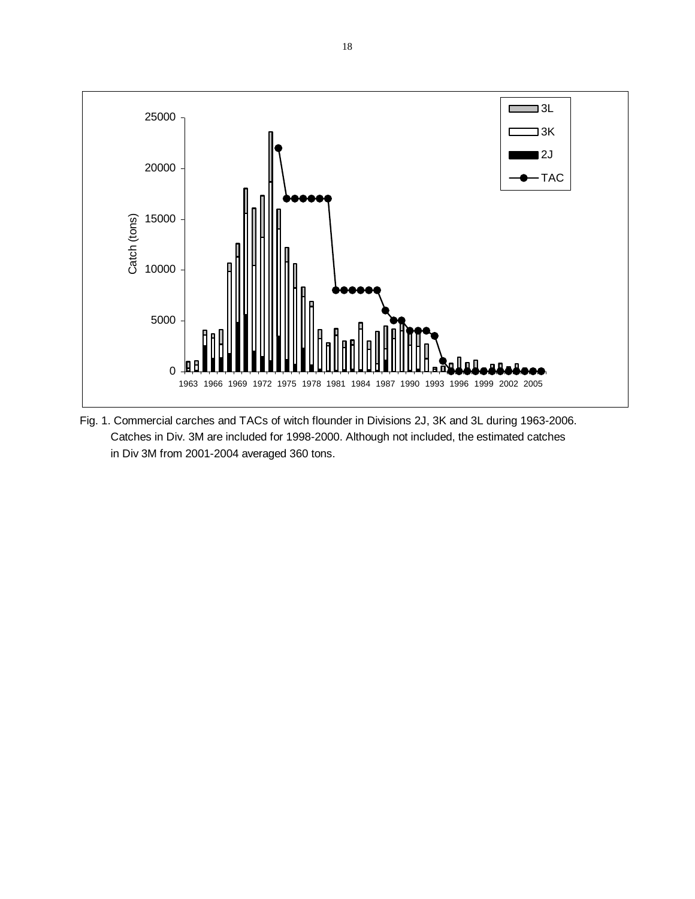

Fig. 1. Commercial carches and TACs of witch flounder in Divisions 2J, 3K and 3L during 1963-2006. Catches in Div. 3M are included for 1998-2000. Although not included, the estimated catches in Div 3M from 2001-2004 averaged 360 tons.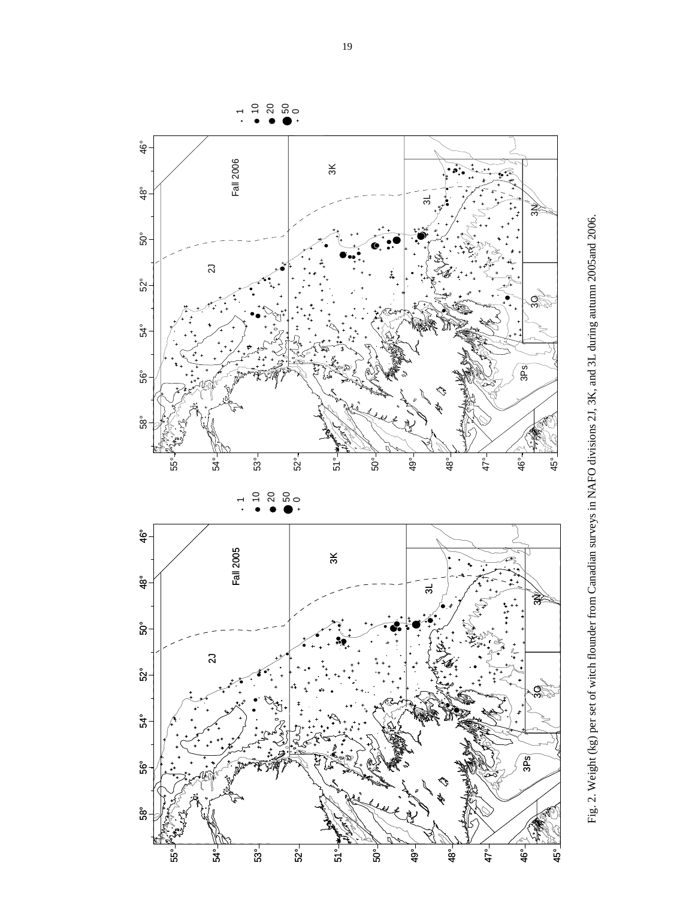

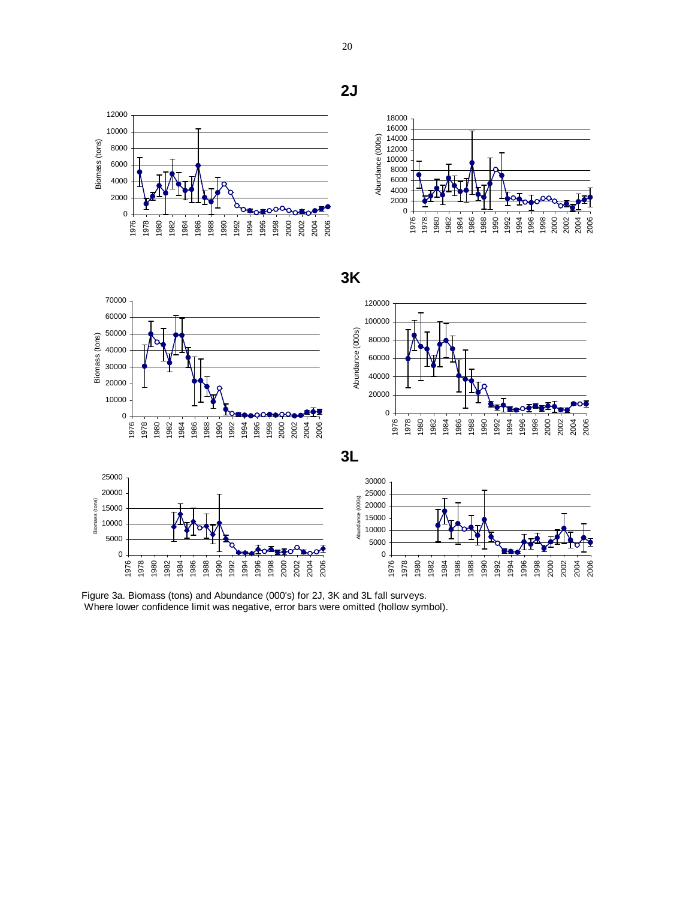Biomass (tons) Biomass (tons) 



# **3K**



Figure 3a. Biomass (tons) and Abundance (000's) for 2J, 3K and 3L fall surveys. Where lower confidence limit was negative, error bars were omitted (hollow symbol).

**2J**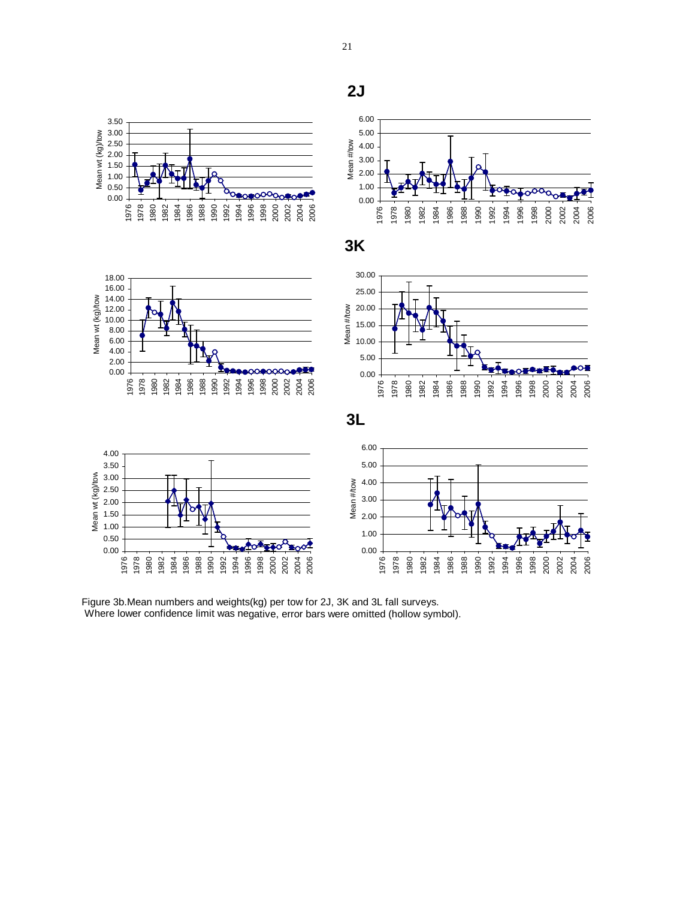

Figure 3b.Mean numbers and weights(kg) per tow for 2J, 3K and 3L fall surveys. Where lower confidence limit was negative, error bars were omitted (hollow symbol).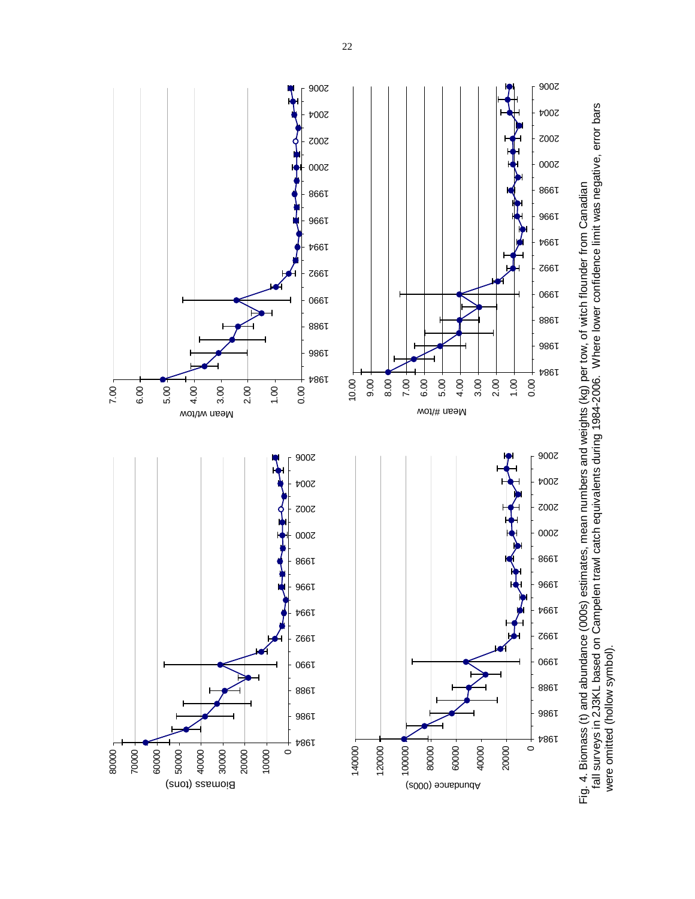